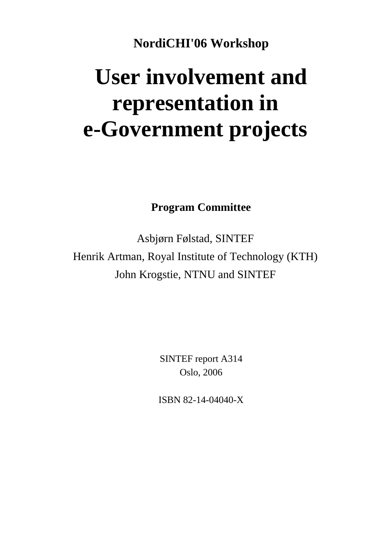**NordiCHI'06 Workshop** 

# **User involvement and representation in e-Government projects**

**Program Committee** 

Asbjørn Følstad, SINTEF Henrik Artman, Royal Institute of Technology (KTH) John Krogstie, NTNU and SINTEF

> SINTEF report A314 Oslo, 2006

ISBN 82-14-04040-X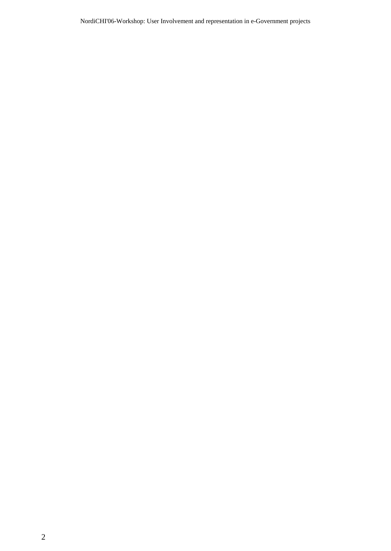NordiCHI'06-Workshop: User Involvement and representation in e-Government projects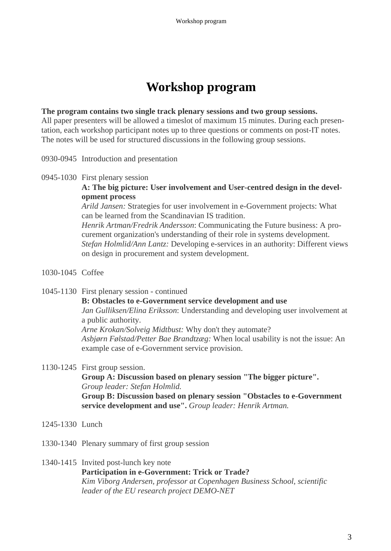# **Workshop program**

#### **The program contains two single track plenary sessions and two group sessions.**

All paper presenters will be allowed a timeslot of maximum 15 minutes. During each presentation, each workshop participant notes up to three questions or comments on post-IT notes. The notes will be used for structured discussions in the following group sessions.

- 0930-0945 Introduction and presentation
- 0945-1030 First plenary session

#### **A: The big picture: User involvement and User-centred design in the development process**

*Arild Jansen:* Strategies for user involvement in e-Government projects: What can be learned from the Scandinavian IS tradition.

*Henrik Artman/Fredrik Andersson*: Communicating the Future business: A procurement organization's understanding of their role in systems development. *Stefan Holmlid/Ann Lantz:* Developing e-services in an authority: Different views on design in procurement and system development.

- 1030-1045 Coffee
- 1045-1130 First plenary session continued
	- **B: Obstacles to e-Government service development and use**

*Jan Gulliksen/Elina Eriksson*: Understanding and developing user involvement at a public authority.

*Arne Krokan/Solveig Midtbust:* Why don't they automate? *Asbjørn Følstad/Petter Bae Brandtzæg:* When local usability is not the issue: An example case of e-Government service provision.

#### 1130-1245 First group session.

**Group A: Discussion based on plenary session "The bigger picture".**  *Group leader: Stefan Holmlid.* **Group B: Discussion based on plenary session "Obstacles to e-Government service development and use".** *Group leader: Henrik Artman.*

- 1245-1330 Lunch
- 1330-1340 Plenary summary of first group session
- 1340-1415 Invited post-lunch key note **Participation in e-Government: Trick or Trade?** *Kim Viborg Andersen, professor at Copenhagen Business School, scientific leader of the EU research project DEMO-NET*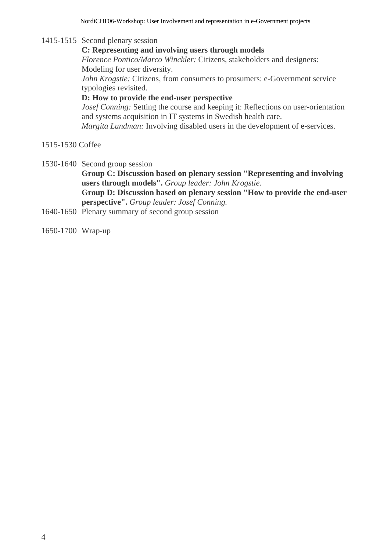NordiCHI'06-Workshop: User Involvement and representation in e-Government projects

- 1415-1515 Second plenary session
	- **C: Representing and involving users through models**

*Florence Pontico/Marco Winckler:* Citizens, stakeholders and designers: Modeling for user diversity.

*John Krogstie:* Citizens, from consumers to prosumers: e-Government service typologies revisited.

#### **D: How to provide the end-user perspective**

*Josef Conning:* Setting the course and keeping it: Reflections on user-orientation and systems acquisition in IT systems in Swedish health care.

*Margita Lundman:* Involving disabled users in the development of e-services.

#### 1515-1530 Coffee

- 1530-1640 Second group session **Group C: Discussion based on plenary session "Representing and involving users through models".** *Group leader: John Krogstie.*  **Group D: Discussion based on plenary session "How to provide the end-user perspective".** *Group leader: Josef Conning.*
- 1640-1650 Plenary summary of second group session
- 1650-1700 Wrap-up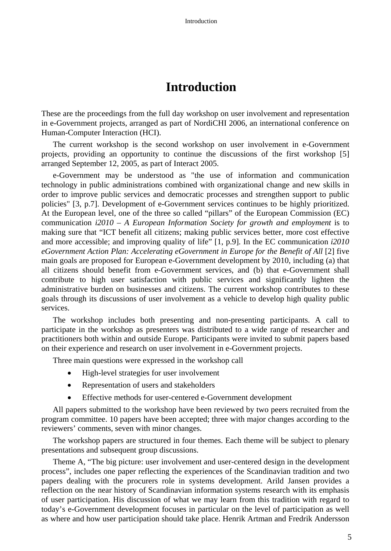## **Introduction**

These are the proceedings from the full day workshop on user involvement and representation in e-Government projects, arranged as part of NordiCHI 2006, an international conference on Human-Computer Interaction (HCI).

The current workshop is the second workshop on user involvement in e-Government projects, providing an opportunity to continue the discussions of the first workshop [5] arranged September 12, 2005, as part of Interact 2005.

e-Government may be understood as "the use of information and communication technology in public administrations combined with organizational change and new skills in order to improve public services and democratic processes and strengthen support to public policies" [3, p.7]. Development of e-Government services continues to be highly prioritized. At the European level, one of the three so called "pillars" of the European Commission (EC) communication *i2010 – A European Information Society for growth and employment* is to making sure that "ICT benefit all citizens; making public services better, more cost effective and more accessible; and improving quality of life" [1, p.9]. In the EC communication *i2010 eGovernment Action Plan: Accelerating eGovernment in Europe for the Benefit of All* [2] five main goals are proposed for European e-Government development by 2010, including (a) that all citizens should benefit from e-Government services, and (b) that e-Government shall contribute to high user satisfaction with public services and significantly lighten the administrative burden on businesses and citizens. The current workshop contributes to these goals through its discussions of user involvement as a vehicle to develop high quality public services.

The workshop includes both presenting and non-presenting participants. A call to participate in the workshop as presenters was distributed to a wide range of researcher and practitioners both within and outside Europe. Participants were invited to submit papers based on their experience and research on user involvement in e-Government projects.

Three main questions were expressed in the workshop call

- High-level strategies for user involvement
- Representation of users and stakeholders
- Effective methods for user-centered e-Government development

All papers submitted to the workshop have been reviewed by two peers recruited from the program committee. 10 papers have been accepted; three with major changes according to the reviewers' comments, seven with minor changes.

The workshop papers are structured in four themes. Each theme will be subject to plenary presentations and subsequent group discussions.

Theme A, "The big picture: user involvement and user-centered design in the development process", includes one paper reflecting the experiences of the Scandinavian tradition and two papers dealing with the procurers role in systems development. Arild Jansen provides a reflection on the near history of Scandinavian information systems research with its emphasis of user participation. His discussion of what we may learn from this tradition with regard to today's e-Government development focuses in particular on the level of participation as well as where and how user participation should take place. Henrik Artman and Fredrik Andersson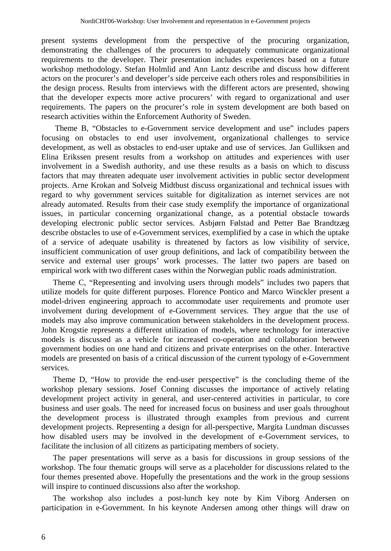present systems development from the perspective of the procuring organization, demonstrating the challenges of the procurers to adequately communicate organizational requirements to the developer. Their presentation includes experiences based on a future workshop methodology. Stefan Holmlid and Ann Lantz describe and discuss how different actors on the procurer's and developer's side perceive each others roles and responsibilities in the design process. Results from interviews with the different actors are presented, showing that the developer expects more active procurers' with regard to organizational and user requirements. The papers on the procurer's role in system development are both based on research activities within the Enforcement Authority of Sweden.

Theme B, "Obstacles to e-Government service development and use" includes papers focusing on obstacles to end user involvement, organizational challenges to service development, as well as obstacles to end-user uptake and use of services. Jan Gulliksen and Elina Erikssen present results from a workshop on attitudes and experiences with user involvement in a Swedish authority, and use these results as a basis on which to discuss factors that may threaten adequate user involvement activities in public sector development projects. Arne Krokan and Solveig Midtbust discuss organizational and technical issues with regard to why government services suitable for digitalization as internet services are not already automated. Results from their case study exemplify the importance of organizational issues, in particular concerning organizational change, as a potential obstacle towards developing electronic public sector services. Asbjørn Følstad and Petter Bae Brandtzæg describe obstacles to use of e-Government services, exemplified by a case in which the uptake of a service of adequate usability is threatened by factors as low visibility of service, insufficient communication of user group definitions, and lack of compatibility between the service and external user groups' work processes. The latter two papers are based on empirical work with two different cases within the Norwegian public roads administration.

Theme C, "Representing and involving users through models" includes two papers that utilize models for quite different purposes. Florence Pontico and Marco Winckler present a model-driven engineering approach to accommodate user requirements and promote user involvement during development of e-Government services. They argue that the use of models may also improve communication between stakeholders in the development process. John Krogstie represents a different utilization of models, where technology for interactive models is discussed as a vehicle for increased co-operation and collaboration between government bodies on one hand and citizens and private enterprises on the other. Interactive models are presented on basis of a critical discussion of the current typology of e-Government services.

Theme D, "How to provide the end-user perspective" is the concluding theme of the workshop plenary sessions. Josef Conning discusses the importance of actively relating development project activity in general, and user-centered activities in particular, to core business and user goals. The need for increased focus on business and user goals throughout the development process is illustrated through examples from previous and current development projects. Representing a design for all-perspective, Margita Lundman discusses how disabled users may be involved in the development of e-Government services, to facilitate the inclusion of all citizens as participating members of society.

The paper presentations will serve as a basis for discussions in group sessions of the workshop. The four thematic groups will serve as a placeholder for discussions related to the four themes presented above. Hopefully the presentations and the work in the group sessions will inspire to continued discussions also after the workshop.

The workshop also includes a post-lunch key note by Kim Viborg Andersen on participation in e-Government. In his keynote Andersen among other things will draw on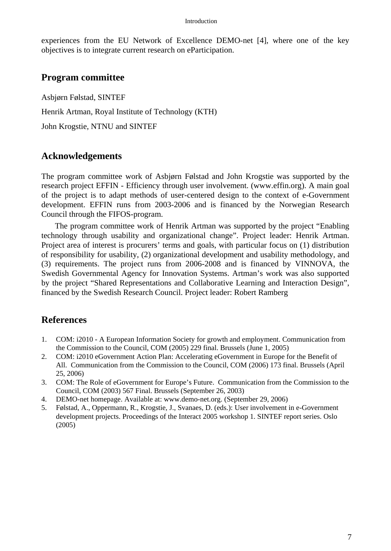#### Introduction

experiences from the EU Network of Excellence DEMO-net [4], where one of the key objectives is to integrate current research on eParticipation.

#### **Program committee**

Asbjørn Følstad, SINTEF Henrik Artman, Royal Institute of Technology (KTH) John Krogstie, NTNU and SINTEF

#### **Acknowledgements**

The program committee work of Asbjørn Følstad and John Krogstie was supported by the research project EFFIN - Efficiency through user involvement. (www.effin.org). A main goal of the project is to adapt methods of user-centered design to the context of e-Government development. EFFIN runs from 2003-2006 and is financed by the Norwegian Research Council through the FIFOS-program.

The program committee work of Henrik Artman was supported by the project "Enabling technology through usability and organizational change". Project leader: Henrik Artman. Project area of interest is procurers' terms and goals, with particular focus on (1) distribution of responsibility for usability, (2) organizational development and usability methodology, and (3) requirements. The project runs from 2006-2008 and is financed by VINNOVA, the Swedish Governmental Agency for Innovation Systems. Artman's work was also supported by the project "Shared Representations and Collaborative Learning and Interaction Design", financed by the Swedish Research Council. Project leader: Robert Ramberg

#### **References**

- 1. COM: i2010 A European Information Society for growth and employment. Communication from the Commission to the Council, COM (2005) 229 final. Brussels (June 1, 2005)
- 2. COM: i2010 eGovernment Action Plan: Accelerating eGovernment in Europe for the Benefit of All. Communication from the Commission to the Council, COM (2006) 173 final. Brussels (April 25, 2006)
- 3. COM: The Role of eGovernment for Europe's Future. Communication from the Commission to the Council, COM (2003) 567 Final. Brussels (September 26, 2003)
- 4. DEMO-net homepage. Available at: www.demo-net.org. (September 29, 2006)
- 5. Følstad, A., Oppermann, R., Krogstie, J., Svanaes, D. (eds.): User involvement in e-Government development projects. Proceedings of the Interact 2005 workshop 1. SINTEF report series. Oslo (2005)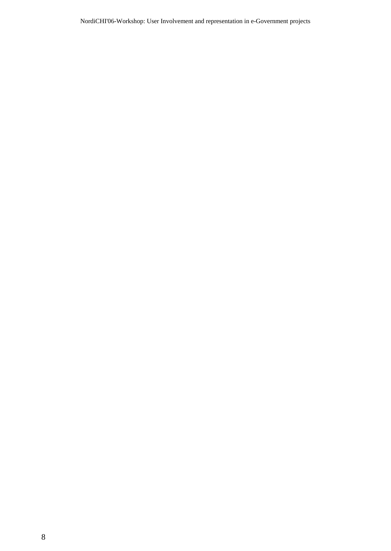NordiCHI'06-Workshop: User Involvement and representation in e-Government projects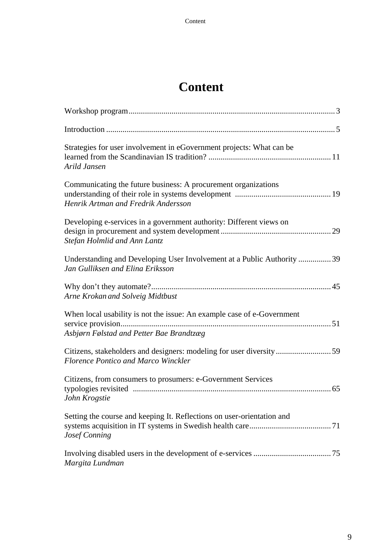# **Content**

| Strategies for user involvement in eGovernment projects: What can be<br>Arild Jansen                               |
|--------------------------------------------------------------------------------------------------------------------|
| Communicating the future business: A procurement organizations<br>Henrik Artman and Fredrik Andersson              |
| Developing e-services in a government authority: Different views on<br>Stefan Holmlid and Ann Lantz                |
| Understanding and Developing User Involvement at a Public Authority  39<br>Jan Gulliksen and Elina Eriksson        |
| Arne Krokan and Solveig Midtbust                                                                                   |
| When local usability is not the issue: An example case of e-Government<br>Asbjørn Følstad and Petter Bae Brandtzæg |
| Florence Pontico and Marco Winckler                                                                                |
| Citizens, from consumers to prosumers: e-Government Services<br>John Krogstie                                      |
| Setting the course and keeping It. Reflections on user-orientation and<br>Josef Conning                            |
| Margita Lundman                                                                                                    |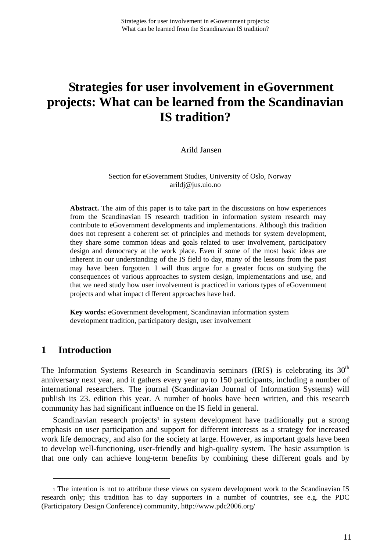## **Strategies for user involvement in eGovernment projects: What can be learned from the Scandinavian IS tradition?**

Arild Jansen

Section for eGovernment Studies, University of Oslo, Norway arildj@jus.uio.no

**Abstract.** The aim of this paper is to take part in the discussions on how experiences from the Scandinavian IS research tradition in information system research may contribute to eGovernment developments and implementations. Although this tradition does not represent a coherent set of principles and methods for system development, they share some common ideas and goals related to user involvement, participatory design and democracy at the work place. Even if some of the most basic ideas are inherent in our understanding of the IS field to day, many of the lessons from the past may have been forgotten. I will thus argue for a greater focus on studying the consequences of various approaches to system design, implementations and use, and that we need study how user involvement is practiced in various types of eGovernment projects and what impact different approaches have had.

**Key words:** eGovernment development, Scandinavian information system development tradition, participatory design, user involvement

#### **1 Introduction**

 $\overline{a}$ 

The Information Systems Research in Scandinavia seminars (IRIS) is celebrating its  $30<sup>th</sup>$ anniversary next year, and it gathers every year up to 150 participants, including a number of international researchers. The journal (Scandinavian Journal of Information Systems) will publish its 23. edition this year. A number of books have been written, and this research community has had significant influence on the IS field in general.

Scandinavian research projects<sup>1</sup> in system development have traditionally put a strong emphasis on user participation and support for different interests as a strategy for increased work life democracy, and also for the society at large. However, as important goals have been to develop well-functioning, user-friendly and high-quality system. The basic assumption is that one only can achieve long-term benefits by combining these different goals and by

<sup>1</sup> The intention is not to attribute these views on system development work to the Scandinavian IS research only; this tradition has to day supporters in a number of countries, see e.g. the PDC (Participatory Design Conference) community, http://www.pdc2006.org/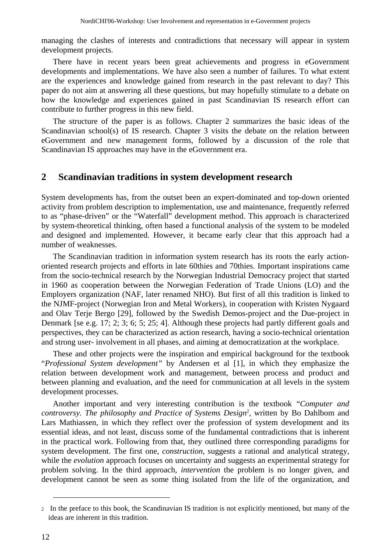managing the clashes of interests and contradictions that necessary will appear in system development projects.

There have in recent years been great achievements and progress in eGovernment developments and implementations. We have also seen a number of failures. To what extent are the experiences and knowledge gained from research in the past relevant to day? This paper do not aim at answering all these questions, but may hopefully stimulate to a debate on how the knowledge and experiences gained in past Scandinavian IS research effort can contribute to further progress in this new field.

The structure of the paper is as follows. Chapter 2 summarizes the basic ideas of the Scandinavian school(s) of IS research. Chapter 3 visits the debate on the relation between eGovernment and new management forms, followed by a discussion of the role that Scandinavian IS approaches may have in the eGovernment era.

#### **2 Scandinavian traditions in system development research**

System developments has, from the outset been an expert-dominated and top-down oriented activity from problem description to implementation, use and maintenance, frequently referred to as "phase-driven" or the "Waterfall" development method. This approach is characterized by system-theoretical thinking, often based a functional analysis of the system to be modeled and designed and implemented. However, it became early clear that this approach had a number of weaknesses.

The Scandinavian tradition in information system research has its roots the early actionoriented research projects and efforts in late 60thies and 70thies. Important inspirations came from the socio-technical research by the Norwegian Industrial Democracy project that started in 1960 as cooperation between the Norwegian Federation of Trade Unions (LO) and the Employers organization (NAF, later renamed NHO). But first of all this tradition is linked to the NJMF-project (Norwegian Iron and Metal Workers), in cooperation with Kristen Nygaard and Olav Terje Bergo [29], followed by the Swedish Demos-project and the Due-project in Denmark [se e.g. 17; 2; 3; 6; 5; 25; 4]. Although these projects had partly different goals and perspectives, they can be characterized as action research, having a socio-technical orientation and strong user- involvement in all phases, and aiming at democratization at the workplace.

These and other projects were the inspiration and empirical background for the textbook "*Professional System development"* by Andersen et al [1], in which they emphasize the relation between development work and management, between process and product and between planning and evaluation, and the need for communication at all levels in the system development processes.

Another important and very interesting contribution is the textbook "*Computer and controversy. The philosophy and Practice of Systems Design*<sup>2</sup> , written by Bo Dahlbom and Lars Mathiassen, in which they reflect over the profession of system development and its essential ideas, and not least, discuss some of the fundamental contradictions that is inherent in the practical work. Following from that, they outlined three corresponding paradigms for system development. The first one, *construction,* suggests a rational and analytical strategy, while the *evolution* approach focuses on uncertainty and suggests an experimental strategy for problem solving. In the third approach, *intervention* the problem is no longer given, and development cannot be seen as some thing isolated from the life of the organization, and

 $\overline{a}$ 

<sup>2</sup> In the preface to this book, the Scandinavian IS tradition is not explicitly mentioned, but many of the ideas are inherent in this tradition.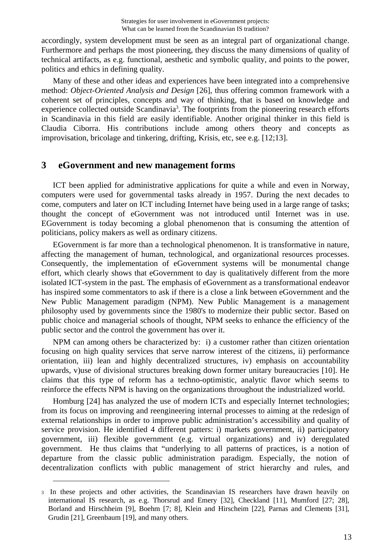accordingly, system development must be seen as an integral part of organizational change. Furthermore and perhaps the most pioneering, they discuss the many dimensions of quality of technical artifacts, as e.g. functional, aesthetic and symbolic quality, and points to the power, politics and ethics in defining quality.

Many of these and other ideas and experiences have been integrated into a comprehensive method: *Object-Oriented Analysis and Design* [26], thus offering common framework with a coherent set of principles, concepts and way of thinking, that is based on knowledge and experience collected outside Scandinavia<sup>3</sup>. The footprints from the pioneering research efforts in Scandinavia in this field are easily identifiable. Another original thinker in this field is Claudia Ciborra. His contributions include among others theory and concepts as improvisation, bricolage and tinkering, drifting, Krisis, etc, see e.g. [12;13].

#### **3 eGovernment and new management forms**

ICT been applied for administrative applications for quite a while and even in Norway, computers were used for governmental tasks already in 1957. During the next decades to come, computers and later on ICT including Internet have being used in a large range of tasks; thought the concept of eGovernment was not introduced until Internet was in use. EGovernment is today becoming a global phenomenon that is consuming the attention of politicians, policy makers as well as ordinary citizens.

EGovernment is far more than a technological phenomenon. It is transformative in nature, affecting the management of human, technological, and organizational resources processes. Consequently, the implementation of eGovernment systems will be monumental change effort, which clearly shows that eGovernment to day is qualitatively different from the more isolated ICT-system in the past. The emphasis of eGovernment as a transformational endeavor has inspired some commentators to ask if there is a close a link between eGovernment and the New Public Management paradigm (NPM). New Public Management is a management philosophy used by governments since the 1980's to modernize their public sector. Based on public choice and managerial schools of thought, NPM seeks to enhance the efficiency of the public sector and the control the government has over it.

NPM can among others be characterized by: i) a customer rather than citizen orientation focusing on high quality services that serve narrow interest of the citizens, ii) performance orientation, iii) lean and highly decentralized structures, iv) emphasis on accountability upwards, v)use of divisional structures breaking down former unitary bureaucracies [10]. He claims that this type of reform has a techno-optimistic, analytic flavor which seems to reinforce the effects NPM is having on the organizations throughout the industrialized world.

Homburg [24] has analyzed the use of modern ICTs and especially Internet technologies; from its focus on improving and reengineering internal processes to aiming at the redesign of external relationships in order to improve public administration's accessibility and quality of service provision. He identified 4 different patters: i) markets government, ii) participatory government, iii) flexible government (e.g. virtual organizations) and iv) deregulated government. He thus claims that "underlying to all patterns of practices, is a notion of departure from the classic public administration paradigm. Especially, the notion of decentralization conflicts with public management of strict hierarchy and rules, and

 $\overline{a}$ 

<sup>3</sup> In these projects and other activities, the Scandinavian IS researchers have drawn heavily on international IS research, as e.g. Thorsrud and Emery [32], Checkland [11], Mumford [27; 28], Borland and Hirschheim [9], Boehm [7; 8], Klein and Hirscheim [22], Parnas and Clements [31], Grudin [21], Greenbaum [19], and many others.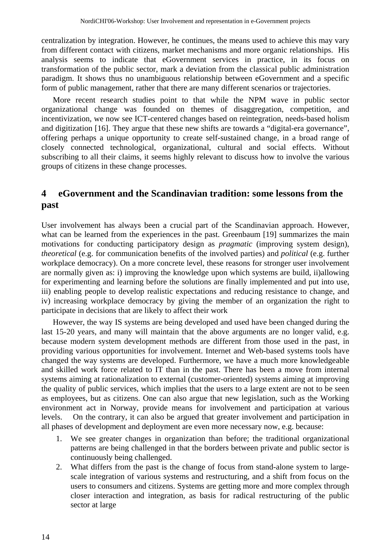centralization by integration. However, he continues, the means used to achieve this may vary from different contact with citizens, market mechanisms and more organic relationships. His analysis seems to indicate that eGovernment services in practice, in its focus on transformation of the public sector, mark a deviation from the classical public administration paradigm. It shows thus no unambiguous relationship between eGovernment and a specific form of public management, rather that there are many different scenarios or trajectories.

More recent research studies point to that while the NPM wave in public sector organizational change was founded on themes of disaggregation, competition, and incentivization, we now see ICT-centered changes based on reintegration, needs-based holism and digitization [16]. They argue that these new shifts are towards a "digital-era governance", offering perhaps a unique opportunity to create self-sustained change, in a broad range of closely connected technological, organizational, cultural and social effects. Without subscribing to all their claims, it seems highly relevant to discuss how to involve the various groups of citizens in these change processes.

#### **4 eGovernment and the Scandinavian tradition: some lessons from the past**

User involvement has always been a crucial part of the Scandinavian approach. However, what can be learned from the experiences in the past. Greenbaum [19] summarizes the main motivations for conducting participatory design as *pragmatic* (improving system design), *theoretical* (e.g. for communication benefits of the involved parties) and *political* (e.g. further workplace democracy). On a more concrete level, these reasons for stronger user involvement are normally given as: i) improving the knowledge upon which systems are build, ii)allowing for experimenting and learning before the solutions are finally implemented and put into use, iii) enabling people to develop realistic expectations and reducing resistance to change, and iv) increasing workplace democracy by giving the member of an organization the right to participate in decisions that are likely to affect their work

However, the way IS systems are being developed and used have been changed during the last 15-20 years, and many will maintain that the above arguments are no longer valid, e.g. because modern system development methods are different from those used in the past, in providing various opportunities for involvement. Internet and Web-based systems tools have changed the way systems are developed. Furthermore, we have a much more knowledgeable and skilled work force related to IT than in the past. There has been a move from internal systems aiming at rationalization to external (customer-oriented) systems aiming at improving the quality of public services, which implies that the users to a large extent are not to be seen as employees, but as citizens. One can also argue that new legislation, such as the Working environment act in Norway, provide means for involvement and participation at various levels. On the contrary, it can also be argued that greater involvement and participation in all phases of development and deployment are even more necessary now, e.g. because:

- 1. We see greater changes in organization than before; the traditional organizational patterns are being challenged in that the borders between private and public sector is continuously being challenged.
- 2. What differs from the past is the change of focus from stand-alone system to largescale integration of various systems and restructuring, and a shift from focus on the users to consumers and citizens. Systems are getting more and more complex through closer interaction and integration, as basis for radical restructuring of the public sector at large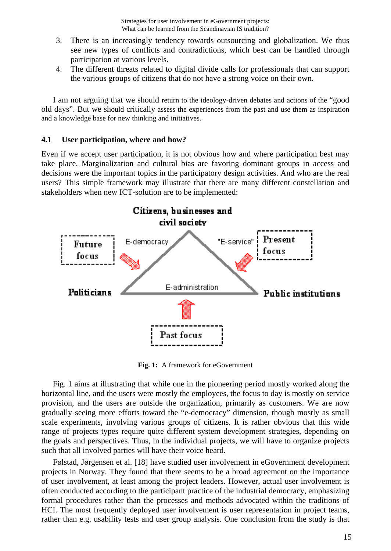- 3. There is an increasingly tendency towards outsourcing and globalization. We thus see new types of conflicts and contradictions, which best can be handled through participation at various levels.
- 4. The different threats related to digital divide calls for professionals that can support the various groups of citizens that do not have a strong voice on their own.

I am not arguing that we should return to the ideology-driven debates and actions of the "good old days". But we should critically assess the experiences from the past and use them as inspiration and a knowledge base for new thinking and initiatives.

#### **4.1 User participation, where and how?**

Even if we accept user participation, it is not obvious how and where participation best may take place. Marginalization and cultural bias are favoring dominant groups in access and decisions were the important topics in the participatory design activities. And who are the real users? This simple framework may illustrate that there are many different constellation and stakeholders when new ICT-solution are to be implemented:



**Fig. 1:** A framework for eGovernment

Fig. 1 aims at illustrating that while one in the pioneering period mostly worked along the horizontal line, and the users were mostly the employees, the focus to day is mostly on service provision, and the users are outside the organization, primarily as customers. We are now gradually seeing more efforts toward the "e-democracy" dimension, though mostly as small scale experiments, involving various groups of citizens. It is rather obvious that this wide range of projects types require quite different system development strategies, depending on the goals and perspectives. Thus, in the individual projects, we will have to organize projects such that all involved parties will have their voice heard.

Følstad, Jørgensen et al. [18] have studied user involvement in eGovernment development projects in Norway. They found that there seems to be a broad agreement on the importance of user involvement, at least among the project leaders. However, actual user involvement is often conducted according to the participant practice of the industrial democracy, emphasizing formal procedures rather than the processes and methods advocated within the traditions of HCI. The most frequently deployed user involvement is user representation in project teams, rather than e.g. usability tests and user group analysis. One conclusion from the study is that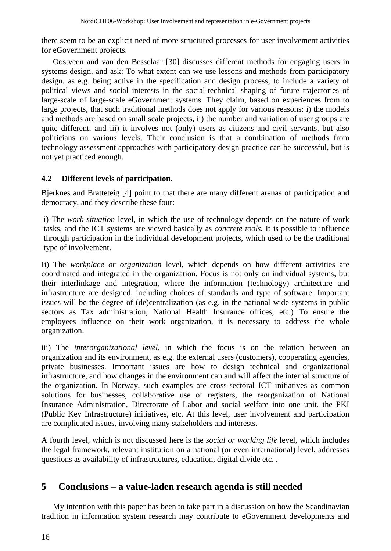there seem to be an explicit need of more structured processes for user involvement activities for eGovernment projects.

Oostveen and van den Besselaar [30] discusses different methods for engaging users in systems design, and ask: To what extent can we use lessons and methods from participatory design, as e.g. being active in the specification and design process, to include a variety of political views and social interests in the social-technical shaping of future trajectories of large-scale of large-scale eGovernment systems. They claim, based on experiences from to large projects, that such traditional methods does not apply for various reasons: i) the models and methods are based on small scale projects, ii) the number and variation of user groups are quite different, and iii) it involves not (only) users as citizens and civil servants, but also politicians on various levels. Their conclusion is that a combination of methods from technology assessment approaches with participatory design practice can be successful, but is not yet practiced enough.

#### **4.2 Different levels of participation.**

Bjerknes and Bratteteig [4] point to that there are many different arenas of participation and democracy, and they describe these four:

i) The *work situation* level, in which the use of technology depends on the nature of work tasks, and the ICT systems are viewed basically as *concrete tools.* It is possible to influence through participation in the individual development projects, which used to be the traditional type of involvement.

Ii) The *workplace or organization* level, which depends on how different activities are coordinated and integrated in the organization. Focus is not only on individual systems, but their interlinkage and integration, where the information (technology) architecture and infrastructure are designed, including choices of standards and type of software. Important issues will be the degree of (de)centralization (as e.g. in the national wide systems in public sectors as Tax administration, National Health Insurance offices, etc.) To ensure the employees influence on their work organization, it is necessary to address the whole organization.

iii) The *interorganizational level,* in which the focus is on the relation between an organization and its environment, as e.g. the external users (customers), cooperating agencies, private businesses. Important issues are how to design technical and organizational infrastructure, and how changes in the environment can and will affect the internal structure of the organization. In Norway, such examples are cross-sectoral ICT initiatives as common solutions for businesses, collaborative use of registers, the reorganization of National Insurance Administration, Directorate of Labor and social welfare into one unit, the PKI (Public Key Infrastructure) initiatives, etc. At this level, user involvement and participation are complicated issues, involving many stakeholders and interests.

A fourth level, which is not discussed here is the *social or working life* level, which includes the legal framework, relevant institution on a national (or even international) level, addresses questions as availability of infrastructures, education, digital divide etc. .

#### **5 Conclusions – a value-laden research agenda is still needed**

My intention with this paper has been to take part in a discussion on how the Scandinavian tradition in information system research may contribute to eGovernment developments and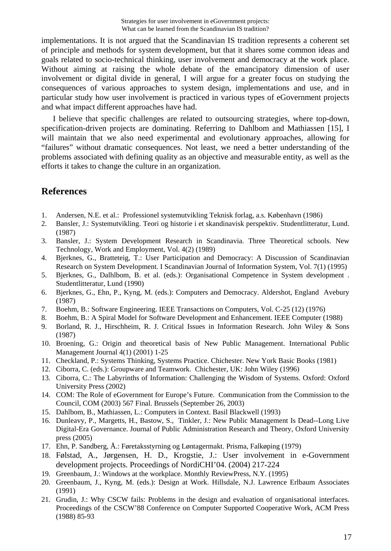implementations. It is not argued that the Scandinavian IS tradition represents a coherent set of principle and methods for system development, but that it shares some common ideas and goals related to socio-technical thinking, user involvement and democracy at the work place. Without aiming at raising the whole debate of the emancipatory dimension of user involvement or digital divide in general, I will argue for a greater focus on studying the consequences of various approaches to system design, implementations and use, and in particular study how user involvement is practiced in various types of eGovernment projects and what impact different approaches have had.

I believe that specific challenges are related to outsourcing strategies, where top-down, specification-driven projects are dominating. Referring to Dahlbom and Mathiassen [15], I will maintain that we also need experimental and evolutionary approaches, allowing for "failures" without dramatic consequences. Not least, we need a better understanding of the problems associated with defining quality as an objective and measurable entity, as well as the efforts it takes to change the culture in an organization.

#### **References**

- 1. Andersen, N.E. et al.: Professionel systemutvikling Teknisk forlag, a.s. København (1986)
- 2. Bansler, J.: Systemutvikling. Teori og historie i et skandinavisk perspektiv. Studentlitteratur, Lund. (1987)
- 3. Bansler, J.: System Development Research in Scandinavia. Three Theoretical schools. New Technology, Work and Employment, Vol. 4(2) (1989)
- 4. Bjerknes, G., Bratteteig, T.: User Participation and Democracy: A Discussion of Scandinavian Research on System Development. I Scandinavian Journal of Information System, Vol. 7(1) (1995)
- 5. Bjerknes, G., Dalhlbom, B. et al. (eds.): Organisational Competence in System development . Studentlitteratur, Lund (1990)
- 6. Bjerknes, G., Ehn, P., Kyng, M. (eds.): Computers and Democracy. Aldershot, England Avebury (1987)
- 7. Boehm, B.: Software Engineering. IEEE Transactions on Computers, Vol. C-25 (12) (1976)
- 8. Boehm, B.: A Spiral Model for Software Development and Enhancement. IEEE Computer (1988)
- 9. Borland, R. J., Hirschheim, R. J. Critical Issues in Information Research. John Wiley & Sons (1987)
- 10. Broening, G.: Origin and theoretical basis of New Public Management. International Public Management Journal 4(1) (2001) 1-25
- 11. Checkland, P.: Systems Thinking, Systems Practice. Chichester. New York Basic Books (1981)
- 12. Ciborra, C. (eds.): Groupware and Teamwork. Chichester, UK: John Wiley (1996)
- 13. Ciborra, C.: The Labyrinths of Information: Challenging the Wisdom of Systems. Oxford: Oxford University Press (2002)
- 14. COM: The Role of eGovernment for Europe's Future. Communication from the Commission to the Council, COM (2003) 567 Final. Brussels (September 26, 2003)
- 15. Dahlbom, B., Mathiassen, L.: Computers in Context. Basil Blackwell (1993)
- 16. Dunleavy, P., Margetts, H., Bastow, S., Tinkler, J.: New Public Management Is Dead--Long Live Digital-Era Governance. Journal of Public Administration Research and Theory, Oxford University press (2005)
- 17. Ehn, P. Sandberg, Å.: Føretaksstyrning og Løntagermakt. Prisma, Falkøping (1979)
- 18. Følstad, A., Jørgensen, H. D., Krogstie, J.: User involvement in e-Government development projects. Proceedings of NordiCHI'04. (2004) 217-224
- 19. Greenbaum, J.: Windows at the workplace. Monthly ReviewPress, N.Y. (1995)
- 20. Greenbaum, J., Kyng, M. (eds.): Design at Work. Hillsdale, N.J. Lawrence Erlbaum Associates (1991)
- 21. Grudin, J.: Why CSCW fails: Problems in the design and evaluation of organisational interfaces. Proceedings of the CSCW'88 Conference on Computer Supported Cooperative Work, ACM Press (1988) 85-93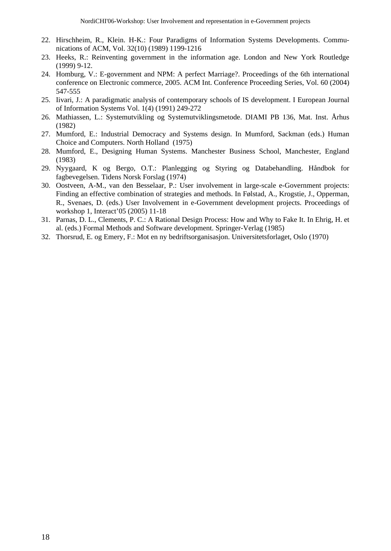- 22. Hirschheim, R., Klein. H-K.: Four Paradigms of Information Systems Developments. Communications of ACM, Vol. 32(10) (1989) 1199-1216
- 23. Heeks, R.: Reinventing government in the information age. London and New York Routledge (1999) 9-12.
- 24. Homburg, V.: E-government and NPM: A perfect Marriage?. Proceedings of the 6th international conference on Electronic commerce, 2005. ACM Int. Conference Proceeding Series, Vol. 60 (2004) 547-555
- 25. Iivari, J.: A paradigmatic analysis of contemporary schools of IS development. I European Journal of Information Systems Vol. 1(4) (1991) 249-272
- 26. Mathiassen, L.: Systemutvikling og Systemutviklingsmetode. DIAMI PB 136, Mat. Inst. Århus (1982)
- 27. Mumford, E.: Industrial Democracy and Systems design. In Mumford, Sackman (eds.) Human Choice and Computers. North Holland (1975)
- 28. Mumford, E., Designing Human Systems. Manchester Business School, Manchester, England (1983)
- 29. Nyygaard, K og Bergo, O.T.: Planlegging og Styring og Databehandling. Håndbok for fagbevegelsen. Tidens Norsk Forslag (1974)
- 30. Oostveen, A-M., van den Besselaar, P.: User involvement in large-scale e-Government projects: Finding an effective combination of strategies and methods. In Følstad, A., Krogstie, J., Opperman, R., Svenaes, D. (eds.) User Involvement in e-Government development projects. Proceedings of workshop 1, Interact'05 (2005) 11-18
- 31. Parnas, D. L., Clements, P. C.: A Rational Design Process: How and Why to Fake It. In Ehrig, H. et al. (eds.) Formal Methods and Software development. Springer-Verlag (1985)
- 32. Thorsrud, E. og Emery, F.: Mot en ny bedriftsorganisasjon. Universitetsforlaget, Oslo (1970)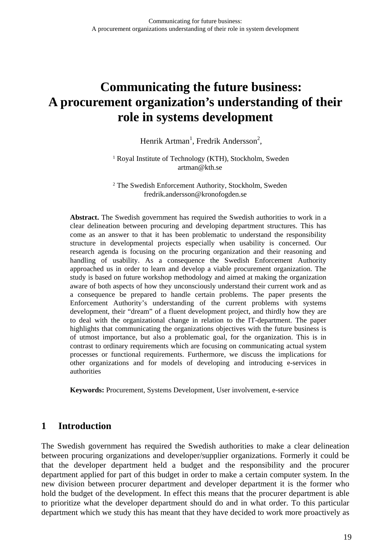## **Communicating the future business: A procurement organization's understanding of their role in systems development**

Henrik Artman<sup>1</sup>, Fredrik Andersson<sup>2</sup>,

<sup>1</sup> Royal Institute of Technology (KTH), Stockholm, Sweden artman@kth.se

<sup>2</sup> The Swedish Enforcement Authority, Stockholm, Sweden fredrik.andersson@kronofogden.se

**Abstract.** The Swedish government has required the Swedish authorities to work in a clear delineation between procuring and developing department structures. This has come as an answer to that it has been problematic to understand the responsibility structure in developmental projects especially when usability is concerned. Our research agenda is focusing on the procuring organization and their reasoning and handling of usability. As a consequence the Swedish Enforcement Authority approached us in order to learn and develop a viable procurement organization. The study is based on future workshop methodology and aimed at making the organization aware of both aspects of how they unconsciously understand their current work and as a consequence be prepared to handle certain problems. The paper presents the Enforcement Authority's understanding of the current problems with systems development, their "dream" of a fluent development project, and thirdly how they are to deal with the organizational change in relation to the IT-department. The paper highlights that communicating the organizations objectives with the future business is of utmost importance, but also a problematic goal, for the organization. This is in contrast to ordinary requirements which are focusing on communicating actual system processes or functional requirements. Furthermore, we discuss the implications for other organizations and for models of developing and introducing e-services in authorities

**Keywords:** Procurement, Systems Development, User involvement, e-service

#### **1 Introduction**

The Swedish government has required the Swedish authorities to make a clear delineation between procuring organizations and developer/supplier organizations. Formerly it could be that the developer department held a budget and the responsibility and the procurer department applied for part of this budget in order to make a certain computer system. In the new division between procurer department and developer department it is the former who hold the budget of the development. In effect this means that the procurer department is able to prioritize what the developer department should do and in what order. To this particular department which we study this has meant that they have decided to work more proactively as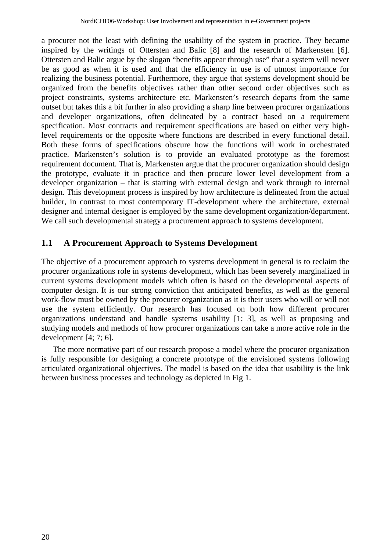a procurer not the least with defining the usability of the system in practice. They became inspired by the writings of Ottersten and Balic [8] and the research of Markensten [6]. Ottersten and Balic argue by the slogan "benefits appear through use" that a system will never be as good as when it is used and that the efficiency in use is of utmost importance for realizing the business potential. Furthermore, they argue that systems development should be organized from the benefits objectives rather than other second order objectives such as project constraints, systems architecture etc. Markensten's research departs from the same outset but takes this a bit further in also providing a sharp line between procurer organizations and developer organizations, often delineated by a contract based on a requirement specification. Most contracts and requirement specifications are based on either very highlevel requirements or the opposite where functions are described in every functional detail. Both these forms of specifications obscure how the functions will work in orchestrated practice. Markensten's solution is to provide an evaluated prototype as the foremost requirement document. That is, Markensten argue that the procurer organization should design the prototype, evaluate it in practice and then procure lower level development from a developer organization – that is starting with external design and work through to internal design. This development process is inspired by how architecture is delineated from the actual builder, in contrast to most contemporary IT-development where the architecture, external designer and internal designer is employed by the same development organization/department. We call such developmental strategy a procurement approach to systems development.

#### **1.1 A Procurement Approach to Systems Development**

The objective of a procurement approach to systems development in general is to reclaim the procurer organizations role in systems development, which has been severely marginalized in current systems development models which often is based on the developmental aspects of computer design. It is our strong conviction that anticipated benefits, as well as the general work-flow must be owned by the procurer organization as it is their users who will or will not use the system efficiently. Our research has focused on both how different procurer organizations understand and handle systems usability [1; 3], as well as proposing and studying models and methods of how procurer organizations can take a more active role in the development [4; 7; 6].

The more normative part of our research propose a model where the procurer organization is fully responsible for designing a concrete prototype of the envisioned systems following articulated organizational objectives. The model is based on the idea that usability is the link between business processes and technology as depicted in Fig 1.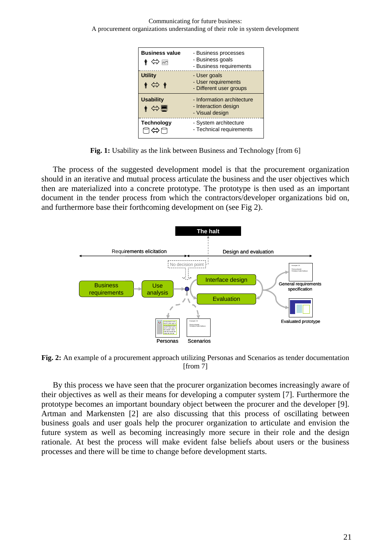Communicating for future business: A procurement organizations understanding of their role in system development

| <b>Business value</b><br>↟⇔ ≅ | - Business processes<br>- Business goals<br>- Business requirements   |
|-------------------------------|-----------------------------------------------------------------------|
| <b>Utility</b><br>† ⇔ †       | - User goals<br>- User requirements<br>- Different user groups        |
| <b>Usability</b><br>♦ ⇔■      | - Information architecture<br>- Interaction design<br>- Visual design |
| <b>Technology</b><br>AAA      | - System architecture<br>- Technical requirements                     |

**Fig. 1:** Usability as the link between Business and Technology [from 6]

The process of the suggested development model is that the procurement organization should in an iterative and mutual process articulate the business and the user objectives which then are materialized into a concrete prototype. The prototype is then used as an important document in the tender process from which the contractors/developer organizations bid on, and furthermore base their forthcoming development on (see Fig 2).



**Fig. 2:** An example of a procurement approach utilizing Personas and Scenarios as tender documentation [from 7]

By this process we have seen that the procurer organization becomes increasingly aware of their objectives as well as their means for developing a computer system [7]. Furthermore the prototype becomes an important boundary object between the procurer and the developer [9]. Artman and Markensten [2] are also discussing that this process of oscillating between business goals and user goals help the procurer organization to articulate and envision the future system as well as becoming increasingly more secure in their role and the design rationale. At best the process will make evident false beliefs about users or the business processes and there will be time to change before development starts.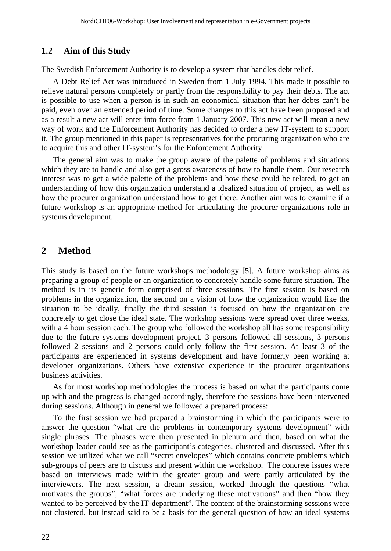#### **1.2 Aim of this Study**

The Swedish Enforcement Authority is to develop a system that handles debt relief.

A Debt Relief Act was introduced in Sweden from 1 July 1994. This made it possible to relieve natural persons completely or partly from the responsibility to pay their debts. The act is possible to use when a person is in such an economical situation that her debts can't be paid, even over an extended period of time. Some changes to this act have been proposed and as a result a new act will enter into force from 1 January 2007. This new act will mean a new way of work and the Enforcement Authority has decided to order a new IT-system to support it. The group mentioned in this paper is representatives for the procuring organization who are to acquire this and other IT-system's for the Enforcement Authority.

The general aim was to make the group aware of the palette of problems and situations which they are to handle and also get a gross awareness of how to handle them. Our research interest was to get a wide palette of the problems and how these could be related, to get an understanding of how this organization understand a idealized situation of project, as well as how the procurer organization understand how to get there. Another aim was to examine if a future workshop is an appropriate method for articulating the procurer organizations role in systems development.

#### **2 Method**

This study is based on the future workshops methodology [5]. A future workshop aims as preparing a group of people or an organization to concretely handle some future situation. The method is in its generic form comprised of three sessions. The first session is based on problems in the organization, the second on a vision of how the organization would like the situation to be ideally, finally the third session is focused on how the organization are concretely to get close the ideal state. The workshop sessions were spread over three weeks, with a 4 hour session each. The group who followed the workshop all has some responsibility due to the future systems development project. 3 persons followed all sessions, 3 persons followed 2 sessions and 2 persons could only follow the first session. At least 3 of the participants are experienced in systems development and have formerly been working at developer organizations. Others have extensive experience in the procurer organizations business activities.

As for most workshop methodologies the process is based on what the participants come up with and the progress is changed accordingly, therefore the sessions have been intervened during sessions. Although in general we followed a prepared process:

To the first session we had prepared a brainstorming in which the participants were to answer the question "what are the problems in contemporary systems development" with single phrases. The phrases were then presented in plenum and then, based on what the workshop leader could see as the participant's categories, clustered and discussed. After this session we utilized what we call "secret envelopes" which contains concrete problems which sub-groups of peers are to discuss and present within the workshop. The concrete issues were based on interviews made within the greater group and were partly articulated by the interviewers. The next session, a dream session, worked through the questions "what motivates the groups", "what forces are underlying these motivations" and then "how they wanted to be perceived by the IT-department". The content of the brainstorming sessions were not clustered, but instead said to be a basis for the general question of how an ideal systems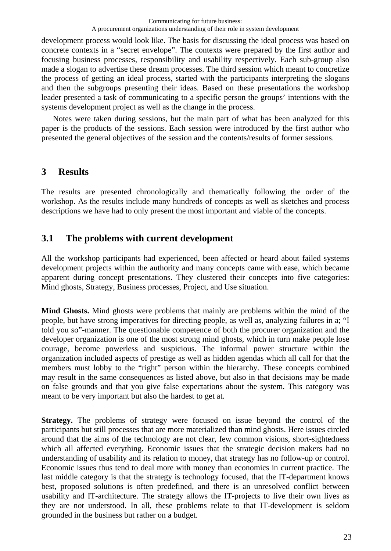development process would look like. The basis for discussing the ideal process was based on concrete contexts in a "secret envelope". The contexts were prepared by the first author and focusing business processes, responsibility and usability respectively. Each sub-group also made a slogan to advertise these dream processes. The third session which meant to concretize the process of getting an ideal process, started with the participants interpreting the slogans and then the subgroups presenting their ideas. Based on these presentations the workshop leader presented a task of communicating to a specific person the groups' intentions with the systems development project as well as the change in the process.

Notes were taken during sessions, but the main part of what has been analyzed for this paper is the products of the sessions. Each session were introduced by the first author who presented the general objectives of the session and the contents/results of former sessions.

#### **3 Results**

The results are presented chronologically and thematically following the order of the workshop. As the results include many hundreds of concepts as well as sketches and process descriptions we have had to only present the most important and viable of the concepts.

#### **3.1 The problems with current development**

All the workshop participants had experienced, been affected or heard about failed systems development projects within the authority and many concepts came with ease, which became apparent during concept presentations. They clustered their concepts into five categories: Mind ghosts, Strategy, Business processes, Project, and Use situation.

**Mind Ghosts.** Mind ghosts were problems that mainly are problems within the mind of the people, but have strong imperatives for directing people, as well as, analyzing failures in a; "I told you so"-manner. The questionable competence of both the procurer organization and the developer organization is one of the most strong mind ghosts, which in turn make people lose courage, become powerless and suspicious. The informal power structure within the organization included aspects of prestige as well as hidden agendas which all call for that the members must lobby to the "right" person within the hierarchy. These concepts combined may result in the same consequences as listed above, but also in that decisions may be made on false grounds and that you give false expectations about the system. This category was meant to be very important but also the hardest to get at.

**Strategy.** The problems of strategy were focused on issue beyond the control of the participants but still processes that are more materialized than mind ghosts. Here issues circled around that the aims of the technology are not clear, few common visions, short-sightedness which all affected everything. Economic issues that the strategic decision makers had no understanding of usability and its relation to money, that strategy has no follow-up or control. Economic issues thus tend to deal more with money than economics in current practice. The last middle category is that the strategy is technology focused, that the IT-department knows best, proposed solutions is often predefined, and there is an unresolved conflict between usability and IT-architecture. The strategy allows the IT-projects to live their own lives as they are not understood. In all, these problems relate to that IT-development is seldom grounded in the business but rather on a budget.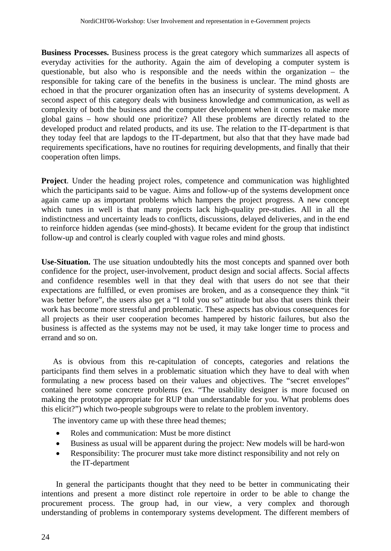**Business Processes.** Business process is the great category which summarizes all aspects of everyday activities for the authority. Again the aim of developing a computer system is questionable, but also who is responsible and the needs within the organization – the responsible for taking care of the benefits in the business is unclear. The mind ghosts are echoed in that the procurer organization often has an insecurity of systems development. A second aspect of this category deals with business knowledge and communication, as well as complexity of both the business and the computer development when it comes to make more global gains – how should one prioritize? All these problems are directly related to the developed product and related products, and its use. The relation to the IT-department is that they today feel that are lapdogs to the IT-department, but also that that they have made bad requirements specifications, have no routines for requiring developments, and finally that their cooperation often limps.

**Project**. Under the heading project roles, competence and communication was highlighted which the participants said to be vague. Aims and follow-up of the systems development once again came up as important problems which hampers the project progress. A new concept which tunes in well is that many projects lack high-quality pre-studies. All in all the indistinctness and uncertainty leads to conflicts, discussions, delayed deliveries, and in the end to reinforce hidden agendas (see mind-ghosts). It became evident for the group that indistinct follow-up and control is clearly coupled with vague roles and mind ghosts.

**Use-Situation.** The use situation undoubtedly hits the most concepts and spanned over both confidence for the project, user-involvement, product design and social affects. Social affects and confidence resembles well in that they deal with that users do not see that their expectations are fulfilled, or even promises are broken, and as a consequence they think "it was better before", the users also get a "I told you so" attitude but also that users think their work has become more stressful and problematic. These aspects has obvious consequences for all projects as their user cooperation becomes hampered by historic failures, but also the business is affected as the systems may not be used, it may take longer time to process and errand and so on.

As is obvious from this re-capitulation of concepts, categories and relations the participants find them selves in a problematic situation which they have to deal with when formulating a new process based on their values and objectives. The "secret envelopes" contained here some concrete problems (ex. "The usability designer is more focused on making the prototype appropriate for RUP than understandable for you. What problems does this elicit?") which two-people subgroups were to relate to the problem inventory.

The inventory came up with these three head themes;

- Roles and communication: Must be more distinct
- Business as usual will be apparent during the project: New models will be hard-won
- Responsibility: The procurer must take more distinct responsibility and not rely on the IT-department

In general the participants thought that they need to be better in communicating their intentions and present a more distinct role repertoire in order to be able to change the procurement process. The group had, in our view, a very complex and thorough understanding of problems in contemporary systems development. The different members of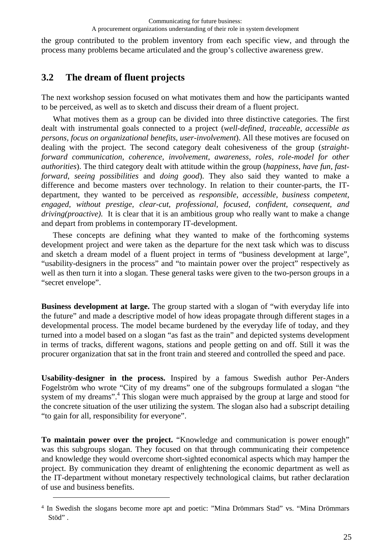the group contributed to the problem inventory from each specific view, and through the process many problems became articulated and the group's collective awareness grew.

## **3.2 The dream of fluent projects**

 $\overline{a}$ 

The next workshop session focused on what motivates them and how the participants wanted to be perceived, as well as to sketch and discuss their dream of a fluent project.

What motives them as a group can be divided into three distinctive categories. The first dealt with instrumental goals connected to a project (*well-defined, traceable, accessible as persons, focus on organizational benefits, user-involvement*). All these motives are focused on dealing with the project. The second category dealt cohesiveness of the group (*straightforward communication, coherence, involvement, awareness, roles, role-model for other authorities*). The third category dealt with attitude within the group (*happiness, have fun, fastforward*, *seeing possibilities* and *doing good*). They also said they wanted to make a difference and become masters over technology. In relation to their counter-parts, the ITdepartment, they wanted to be perceived as *responsible, accessible, business competent, engaged, without prestige, clear-cut, professional, focused, confident, consequent, and driving(proactive)*. It is clear that it is an ambitious group who really want to make a change and depart from problems in contemporary IT-development.

These concepts are defining what they wanted to make of the forthcoming systems development project and were taken as the departure for the next task which was to discuss and sketch a dream model of a fluent project in terms of "business development at large", "usability-designers in the process" and "to maintain power over the project" respectively as well as then turn it into a slogan. These general tasks were given to the two-person groups in a "secret envelope".

**Business development at large.** The group started with a slogan of "with everyday life into the future" and made a descriptive model of how ideas propagate through different stages in a developmental process. The model became burdened by the everyday life of today, and they turned into a model based on a slogan "as fast as the train" and depicted systems development in terms of tracks, different wagons, stations and people getting on and off. Still it was the procurer organization that sat in the front train and steered and controlled the speed and pace.

**Usability-designer in the process.** Inspired by a famous Swedish author Per-Anders Fogelström who wrote "City of my dreams" one of the subgroups formulated a slogan "the system of my dreams".<sup>4</sup> This slogan were much appraised by the group at large and stood for the concrete situation of the user utilizing the system. The slogan also had a subscript detailing "to gain for all, responsibility for everyone".

**To maintain power over the project.** "Knowledge and communication is power enough" was this subgroups slogan. They focused on that through communicating their competence and knowledge they would overcome short-sighted economical aspects which may hamper the project. By communication they dreamt of enlightening the economic department as well as the IT-department without monetary respectively technological claims, but rather declaration of use and business benefits.

<sup>4</sup> In Swedish the slogans become more apt and poetic: "Mina Drömmars Stad" vs. "Mina Drömmars Stöd" .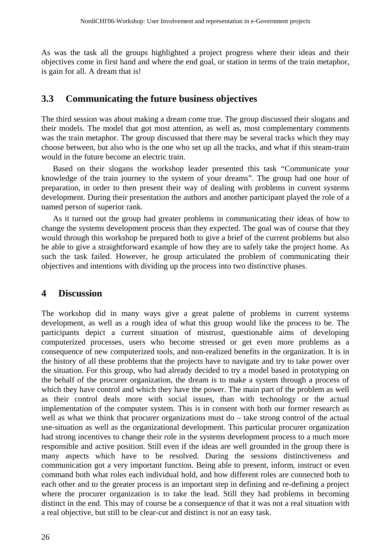As was the task all the groups highlighted a project progress where their ideas and their objectives come in first hand and where the end goal, or station in terms of the train metaphor, is gain for all. A dream that is!

#### **3.3 Communicating the future business objectives**

The third session was about making a dream come true. The group discussed their slogans and their models. The model that got most attention, as well as, most complementary comments was the train metaphor. The group discussed that there may be several tracks which they may choose between, but also who is the one who set up all the tracks, and what if this steam-train would in the future become an electric train.

Based on their slogans the workshop leader presented this task "Communicate your knowledge of the train journey to the system of your dreams". The group had one hour of preparation, in order to then present their way of dealing with problems in current systems development. During their presentation the authors and another participant played the role of a named person of superior rank.

As it turned out the group had greater problems in communicating their ideas of how to change the systems development process than they expected. The goal was of course that they would through this workshop be prepared both to give a brief of the current problems but also be able to give a straightforward example of how they are to safely take the project home. As such the task failed. However, he group articulated the problem of communicating their objectives and intentions with dividing up the process into two distinctive phases.

#### **4 Discussion**

The workshop did in many ways give a great palette of problems in current systems development, as well as a rough idea of what this group would like the process to be. The participants depict a current situation of mistrust, questionable aims of developing computerized processes, users who become stressed or get even more problems as a consequence of new computerized tools, and non-realized benefits in the organization. It is in the history of all these problems that the projects have to navigate and try to take power over the situation. For this group, who had already decided to try a model based in prototyping on the behalf of the procurer organization, the dream is to make a system through a process of which they have control and which they have the power. The main part of the problem as well as their control deals more with social issues, than with technology or the actual implementation of the computer system. This is in consent with both our former research as well as what we think that procurer organizations must do – take strong control of the actual use-situation as well as the organizational development. This particular procurer organization had strong incentives to change their role in the systems development process to a much more responsible and active position. Still even if the ideas are well grounded in the group there is many aspects which have to be resolved. During the sessions distinctiveness and communication got a very important function. Being able to present, inform, instruct or even command both what roles each individual hold, and how different roles are connected both to each other and to the greater process is an important step in defining and re-defining a project where the procurer organization is to take the lead. Still they had problems in becoming distinct in the end. This may of course be a consequence of that it was not a real situation with a real objective, but still to be clear-cut and distinct is not an easy task.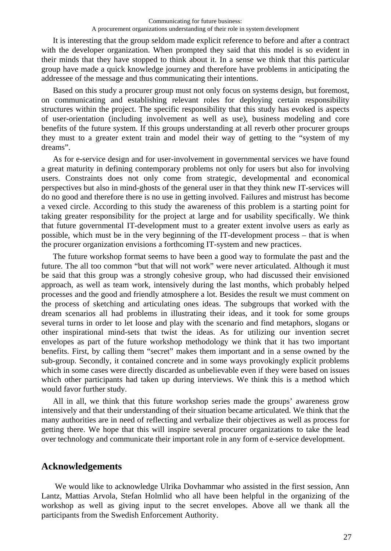It is interesting that the group seldom made explicit reference to before and after a contract with the developer organization. When prompted they said that this model is so evident in their minds that they have stopped to think about it. In a sense we think that this particular group have made a quick knowledge journey and therefore have problems in anticipating the addressee of the message and thus communicating their intentions.

Based on this study a procurer group must not only focus on systems design, but foremost, on communicating and establishing relevant roles for deploying certain responsibility structures within the project. The specific responsibility that this study has evoked is aspects of user-orientation (including involvement as well as use), business modeling and core benefits of the future system. If this groups understanding at all reverb other procurer groups they must to a greater extent train and model their way of getting to the "system of my dreams".

As for e-service design and for user-involvement in governmental services we have found a great maturity in defining contemporary problems not only for users but also for involving users. Constraints does not only come from strategic, developmental and economical perspectives but also in mind-ghosts of the general user in that they think new IT-services will do no good and therefore there is no use in getting involved. Failures and mistrust has become a vexed circle. According to this study the awareness of this problem is a starting point for taking greater responsibility for the project at large and for usability specifically. We think that future governmental IT-development must to a greater extent involve users as early as possible, which must be in the very beginning of the IT-development process – that is when the procurer organization envisions a forthcoming IT-system and new practices.

The future workshop format seems to have been a good way to formulate the past and the future. The all too common "but that will not work" were never articulated. Although it must be said that this group was a strongly cohesive group, who had discussed their envisioned approach, as well as team work, intensively during the last months, which probably helped processes and the good and friendly atmosphere a lot. Besides the result we must comment on the process of sketching and articulating ones ideas. The subgroups that worked with the dream scenarios all had problems in illustrating their ideas, and it took for some groups several turns in order to let loose and play with the scenario and find metaphors, slogans or other inspirational mind-sets that twist the ideas. As for utilizing our invention secret envelopes as part of the future workshop methodology we think that it has two important benefits. First, by calling them "secret" makes them important and in a sense owned by the sub-group. Secondly, it contained concrete and in some ways provokingly explicit problems which in some cases were directly discarded as unbelievable even if they were based on issues which other participants had taken up during interviews. We think this is a method which would favor further study.

All in all, we think that this future workshop series made the groups' awareness grow intensively and that their understanding of their situation became articulated. We think that the many authorities are in need of reflecting and verbalize their objectives as well as process for getting there. We hope that this will inspire several procurer organizations to take the lead over technology and communicate their important role in any form of e-service development.

#### **Acknowledgements**

We would like to acknowledge Ulrika Dovhammar who assisted in the first session, Ann Lantz, Mattias Arvola, Stefan Holmlid who all have been helpful in the organizing of the workshop as well as giving input to the secret envelopes. Above all we thank all the participants from the Swedish Enforcement Authority.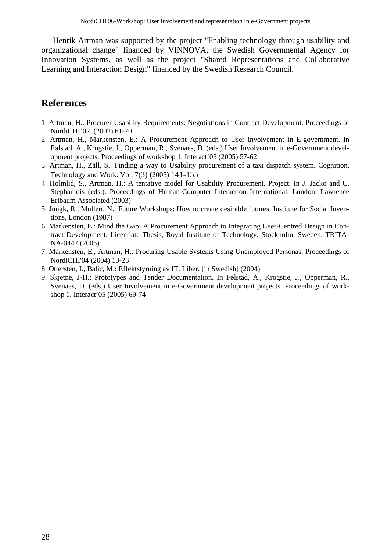Henrik Artman was supported by the project "Enabling technology through usability and organizational change" financed by VINNOVA, the Swedish Governmental Agency for Innovation Systems, as well as the project "Shared Representations and Collaborative Learning and Interaction Design" financed by the Swedish Research Council.

#### **References**

- 1. Artman, H.: Procurer Usability Requirements: Negotiations in Contract Development. Proceedings of NordiCHI'02. (2002) 61-70
- 2. Artman, H., Markensten, E.: A Procurement Approach to User involvement in E-government. In Følstad, A., Krogstie, J., Opperman, R., Svenaes, D. (eds.) User Involvement in e-Government development projects. Proceedings of workshop 1, Interact'05 (2005) 57-62
- 3. Artman, H., Zäll, S.: Finding a way to Usability procurement of a taxi dispatch system. Cognition, Technology and Work. Vol. 7(3) (2005) 141-155
- 4. Holmlid, S., Artman, H.: A tentative model for Usability Procurement. Project. In J. Jacko and C. Stephanidis (eds.). Proceedings of Human-Computer Interaction International. London: Lawrence Erlbaum Associated (2003)
- 5. Jungk, R., Mullert, N.: Future Workshops: How to create desirable futures. Institute for Social Inventions, London (1987)
- 6. Markensten, E.: Mind the Gap: A Procurement Approach to Integrating User-Centred Design in Contract Development. Licentiate Thesis, Royal Institute of Technology, Stockholm, Sweden. TRITA-NA-0447 (2005)
- 7. Markensten, E., Artman, H.: Procuring Usable Systems Using Unemployed Personas. Proceedings of NordiCHI'04 (2004) 13-23
- 8. Ottersten, I., Balic, M.: Effektstyrning av IT. Liber. [in Swedish] (2004)
- 9. Skjetne, J-H.: Prototypes and Tender Documentation. In Følstad, A., Krogstie, J., Opperman, R., Svenaes, D. (eds.) User Involvement in e-Government development projects. Proceedings of workshop 1, Interact'05 (2005) 69-74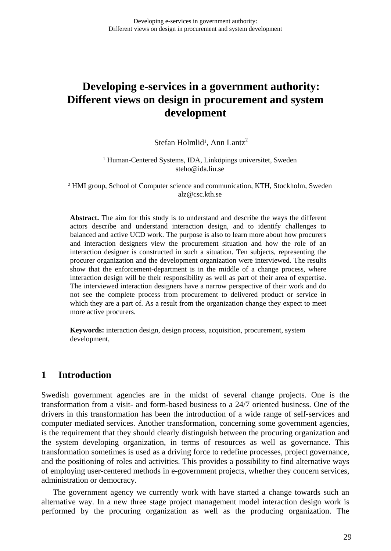## **Developing e-services in a government authority: Different views on design in procurement and system development**

Stefan Holmlid<sup>1</sup>, Ann Lantz<sup>2</sup>

<sup>1</sup> Human-Centered Systems, IDA, Linköpings universitet, Sweden steho@ida.liu.se

<sup>2</sup> HMI group, School of Computer science and communication, KTH, Stockholm, Sweden alz@csc.kth.se

**Abstract.** The aim for this study is to understand and describe the ways the different actors describe and understand interaction design, and to identify challenges to balanced and active UCD work. The purpose is also to learn more about how procurers and interaction designers view the procurement situation and how the role of an interaction designer is constructed in such a situation. Ten subjects, representing the procurer organization and the development organization were interviewed. The results show that the enforcement-department is in the middle of a change process, where interaction design will be their responsibility as well as part of their area of expertise. The interviewed interaction designers have a narrow perspective of their work and do not see the complete process from procurement to delivered product or service in which they are a part of. As a result from the organization change they expect to meet more active procurers.

**Keywords:** interaction design, design process, acquisition, procurement, system development,

#### **1 Introduction**

Swedish government agencies are in the midst of several change projects. One is the transformation from a visit- and form-based business to a 24/7 oriented business. One of the drivers in this transformation has been the introduction of a wide range of self-services and computer mediated services. Another transformation, concerning some government agencies, is the requirement that they should clearly distinguish between the procuring organization and the system developing organization, in terms of resources as well as governance. This transformation sometimes is used as a driving force to redefine processes, project governance, and the positioning of roles and activities. This provides a possibility to find alternative ways of employing user-centered methods in e-government projects, whether they concern services, administration or democracy.

The government agency we currently work with have started a change towards such an alternative way. In a new three stage project management model interaction design work is performed by the procuring organization as well as the producing organization. The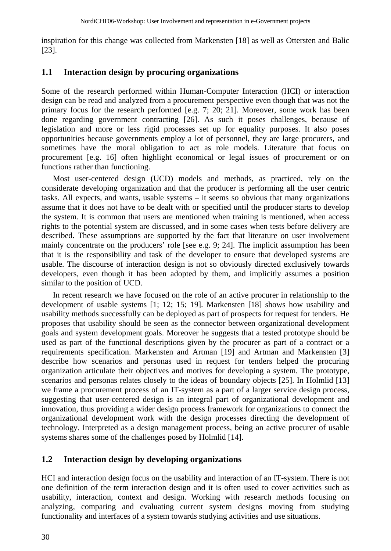inspiration for this change was collected from Markensten [18] as well as Ottersten and Balic [23].

#### **1.1 Interaction design by procuring organizations**

Some of the research performed within Human-Computer Interaction (HCI) or interaction design can be read and analyzed from a procurement perspective even though that was not the primary focus for the research performed [e.g. 7; 20; 21]. Moreover, some work has been done regarding government contracting [26]. As such it poses challenges, because of legislation and more or less rigid processes set up for equality purposes. It also poses opportunities because governments employ a lot of personnel, they are large procurers, and sometimes have the moral obligation to act as role models. Literature that focus on procurement [e.g. 16] often highlight economical or legal issues of procurement or on functions rather than functioning.

Most user-centered design (UCD) models and methods, as practiced, rely on the considerate developing organization and that the producer is performing all the user centric tasks. All expects, and wants, usable systems – it seems so obvious that many organizations assume that it does not have to be dealt with or specified until the producer starts to develop the system. It is common that users are mentioned when training is mentioned, when access rights to the potential system are discussed, and in some cases when tests before delivery are described. These assumptions are supported by the fact that literature on user involvement mainly concentrate on the producers' role [see e.g. 9; 24]. The implicit assumption has been that it is the responsibility and task of the developer to ensure that developed systems are usable. The discourse of interaction design is not so obviously directed exclusively towards developers, even though it has been adopted by them, and implicitly assumes a position similar to the position of UCD.

In recent research we have focused on the role of an active procurer in relationship to the development of usable systems [1; 12; 15; 19]. Markensten [18] shows how usability and usability methods successfully can be deployed as part of prospects for request for tenders. He proposes that usability should be seen as the connector between organizational development goals and system development goals. Moreover he suggests that a tested prototype should be used as part of the functional descriptions given by the procurer as part of a contract or a requirements specification. Markensten and Artman [19] and Artman and Markensten [3] describe how scenarios and personas used in request for tenders helped the procuring organization articulate their objectives and motives for developing a system. The prototype, scenarios and personas relates closely to the ideas of boundary objects [25]. In Holmlid [13] we frame a procurement process of an IT-system as a part of a larger service design process, suggesting that user-centered design is an integral part of organizational development and innovation, thus providing a wider design process framework for organizations to connect the organizational development work with the design processes directing the development of technology. Interpreted as a design management process, being an active procurer of usable systems shares some of the challenges posed by Holmlid [14].

#### **1.2 Interaction design by developing organizations**

HCI and interaction design focus on the usability and interaction of an IT-system. There is not one definition of the term interaction design and it is often used to cover activities such as usability, interaction, context and design. Working with research methods focusing on analyzing, comparing and evaluating current system designs moving from studying functionality and interfaces of a system towards studying activities and use situations.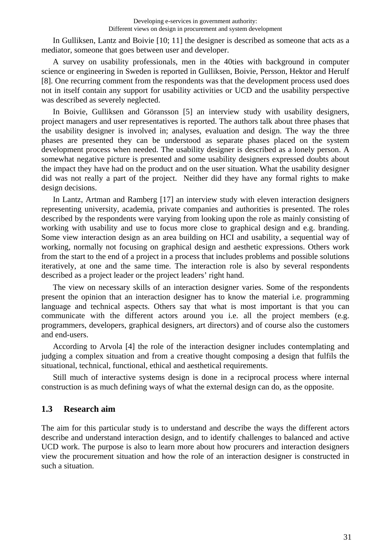In Gulliksen, Lantz and Boivie [10; 11] the designer is described as someone that acts as a mediator, someone that goes between user and developer.

A survey on usability professionals, men in the 40ties with background in computer science or engineering in Sweden is reported in Gulliksen, Boivie, Persson, Hektor and Herulf [8]. One recurring comment from the respondents was that the development process used does not in itself contain any support for usability activities or UCD and the usability perspective was described as severely neglected.

In Boivie, Gulliksen and Göransson [5] an interview study with usability designers, project managers and user representatives is reported. The authors talk about three phases that the usability designer is involved in; analyses, evaluation and design. The way the three phases are presented they can be understood as separate phases placed on the system development process when needed. The usability designer is described as a lonely person. A somewhat negative picture is presented and some usability designers expressed doubts about the impact they have had on the product and on the user situation. What the usability designer did was not really a part of the project. Neither did they have any formal rights to make design decisions.

In Lantz, Artman and Ramberg [17] an interview study with eleven interaction designers representing university, academia, private companies and authorities is presented. The roles described by the respondents were varying from looking upon the role as mainly consisting of working with usability and use to focus more close to graphical design and e.g. branding. Some view interaction design as an area building on HCI and usability, a sequential way of working, normally not focusing on graphical design and aesthetic expressions. Others work from the start to the end of a project in a process that includes problems and possible solutions iteratively, at one and the same time. The interaction role is also by several respondents described as a project leader or the project leaders' right hand.

The view on necessary skills of an interaction designer varies. Some of the respondents present the opinion that an interaction designer has to know the material i.e. programming language and technical aspects. Others say that what is most important is that you can communicate with the different actors around you i.e. all the project members (e.g. programmers, developers, graphical designers, art directors) and of course also the customers and end-users.

According to Arvola [4] the role of the interaction designer includes contemplating and judging a complex situation and from a creative thought composing a design that fulfils the situational, technical, functional, ethical and aesthetical requirements.

Still much of interactive systems design is done in a reciprocal process where internal construction is as much defining ways of what the external design can do, as the opposite.

#### **1.3 Research aim**

The aim for this particular study is to understand and describe the ways the different actors describe and understand interaction design, and to identify challenges to balanced and active UCD work. The purpose is also to learn more about how procurers and interaction designers view the procurement situation and how the role of an interaction designer is constructed in such a situation.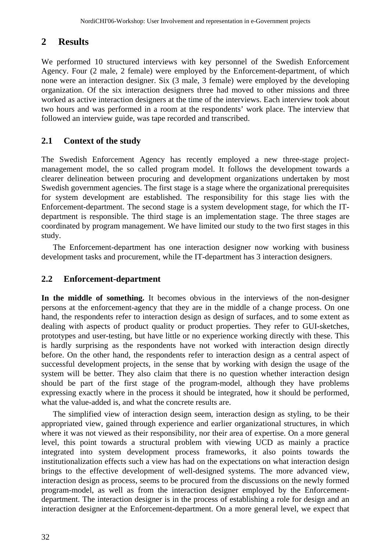### **2 Results**

We performed 10 structured interviews with key personnel of the Swedish Enforcement Agency. Four (2 male, 2 female) were employed by the Enforcement-department, of which none were an interaction designer. Six (3 male, 3 female) were employed by the developing organization. Of the six interaction designers three had moved to other missions and three worked as active interaction designers at the time of the interviews. Each interview took about two hours and was performed in a room at the respondents' work place. The interview that followed an interview guide, was tape recorded and transcribed.

#### **2.1 Context of the study**

The Swedish Enforcement Agency has recently employed a new three-stage projectmanagement model, the so called program model. It follows the development towards a clearer delineation between procuring and development organizations undertaken by most Swedish government agencies. The first stage is a stage where the organizational prerequisites for system development are established. The responsibility for this stage lies with the Enforcement-department. The second stage is a system development stage, for which the ITdepartment is responsible. The third stage is an implementation stage. The three stages are coordinated by program management. We have limited our study to the two first stages in this study.

The Enforcement-department has one interaction designer now working with business development tasks and procurement, while the IT-department has 3 interaction designers.

#### **2.2 Enforcement-department**

**In the middle of something.** It becomes obvious in the interviews of the non-designer persons at the enforcement-agency that they are in the middle of a change process. On one hand, the respondents refer to interaction design as design of surfaces, and to some extent as dealing with aspects of product quality or product properties. They refer to GUI-sketches, prototypes and user-testing, but have little or no experience working directly with these. This is hardly surprising as the respondents have not worked with interaction design directly before. On the other hand, the respondents refer to interaction design as a central aspect of successful development projects, in the sense that by working with design the usage of the system will be better. They also claim that there is no question whether interaction design should be part of the first stage of the program-model, although they have problems expressing exactly where in the process it should be integrated, how it should be performed, what the value-added is, and what the concrete results are.

The simplified view of interaction design seem, interaction design as styling, to be their appropriated view, gained through experience and earlier organizational structures, in which where it was not viewed as their responsibility, nor their area of expertise. On a more general level, this point towards a structural problem with viewing UCD as mainly a practice integrated into system development process frameworks, it also points towards the institutionalization effects such a view has had on the expectations on what interaction design brings to the effective development of well-designed systems. The more advanced view, interaction design as process, seems to be procured from the discussions on the newly formed program-model, as well as from the interaction designer employed by the Enforcementdepartment. The interaction designer is in the process of establishing a role for design and an interaction designer at the Enforcement-department. On a more general level, we expect that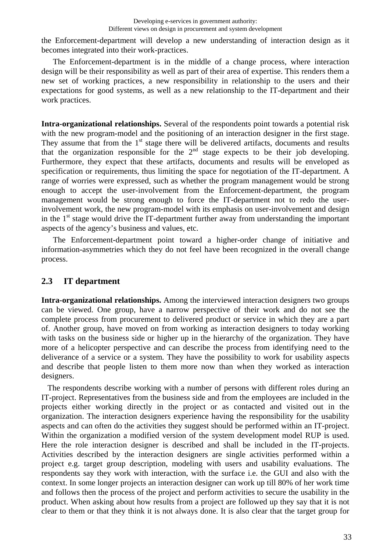the Enforcement-department will develop a new understanding of interaction design as it becomes integrated into their work-practices.

The Enforcement-department is in the middle of a change process, where interaction design will be their responsibility as well as part of their area of expertise. This renders them a new set of working practices, a new responsibility in relationship to the users and their expectations for good systems, as well as a new relationship to the IT-department and their work practices.

**Intra-organizational relationships.** Several of the respondents point towards a potential risk with the new program-model and the positioning of an interaction designer in the first stage. They assume that from the  $1<sup>st</sup>$  stage there will be delivered artifacts, documents and results that the organization responsible for the  $2<sup>nd</sup>$  stage expects to be their job developing. Furthermore, they expect that these artifacts, documents and results will be enveloped as specification or requirements, thus limiting the space for negotiation of the IT-department. A range of worries were expressed, such as whether the program management would be strong enough to accept the user-involvement from the Enforcement-department, the program management would be strong enough to force the IT-department not to redo the userinvolvement work, the new program-model with its emphasis on user-involvement and design in the  $1<sup>st</sup>$  stage would drive the IT-department further away from understanding the important aspects of the agency's business and values, etc.

The Enforcement-department point toward a higher-order change of initiative and information-asymmetries which they do not feel have been recognized in the overall change process.

#### **2.3 IT department**

**Intra-organizational relationships.** Among the interviewed interaction designers two groups can be viewed. One group, have a narrow perspective of their work and do not see the complete process from procurement to delivered product or service in which they are a part of. Another group, have moved on from working as interaction designers to today working with tasks on the business side or higher up in the hierarchy of the organization. They have more of a helicopter perspective and can describe the process from identifying need to the deliverance of a service or a system. They have the possibility to work for usability aspects and describe that people listen to them more now than when they worked as interaction designers.

The respondents describe working with a number of persons with different roles during an IT-project. Representatives from the business side and from the employees are included in the projects either working directly in the project or as contacted and visited out in the organization. The interaction designers experience having the responsibility for the usability aspects and can often do the activities they suggest should be performed within an IT-project. Within the organization a modified version of the system development model RUP is used. Here the role interaction designer is described and shall be included in the IT-projects. Activities described by the interaction designers are single activities performed within a project e.g. target group description, modeling with users and usability evaluations. The respondents say they work with interaction, with the surface i.e. the GUI and also with the context. In some longer projects an interaction designer can work up till 80% of her work time and follows then the process of the project and perform activities to secure the usability in the product. When asking about how results from a project are followed up they say that it is not clear to them or that they think it is not always done. It is also clear that the target group for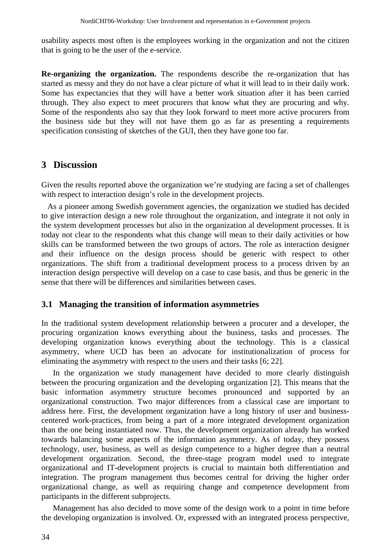usability aspects most often is the employees working in the organization and not the citizen that is going to be the user of the e-service.

**Re-organizing the organization.** The respondents describe the re-organization that has started as messy and they do not have a clear picture of what it will lead to in their daily work. Some has expectancies that they will have a better work situation after it has been carried through. They also expect to meet procurers that know what they are procuring and why. Some of the respondents also say that they look forward to meet more active procurers from the business side but they will not have them go as far as presenting a requirements specification consisting of sketches of the GUI, then they have gone too far.

#### **3 Discussion**

Given the results reported above the organization we're studying are facing a set of challenges with respect to interaction design's role in the development projects.

As a pioneer among Swedish government agencies, the organization we studied has decided to give interaction design a new role throughout the organization, and integrate it not only in the system development processes but also in the organization al development processes. It is today not clear to the respondents what this change will mean to their daily activities or how skills can be transformed between the two groups of actors. The role as interaction designer and their influence on the design process should be generic with respect to other organizations. The shift from a traditional development process to a process driven by an interaction design perspective will develop on a case to case basis, and thus be generic in the sense that there will be differences and similarities between cases.

#### **3.1 Managing the transition of information asymmetries**

In the traditional system development relationship between a procurer and a developer, the procuring organization knows everything about the business, tasks and processes. The developing organization knows everything about the technology. This is a classical asymmetry, where UCD has been an advocate for institutionalization of process for eliminating the asymmetry with respect to the users and their tasks [6; 22].

In the organization we study management have decided to more clearly distinguish between the procuring organization and the developing organization [2]. This means that the basic information asymmetry structure becomes pronounced and supported by an organizational construction. Two major differences from a classical case are important to address here. First, the development organization have a long history of user and businesscentered work-practices, from being a part of a more integrated development organization than the one being instantiated now. Thus, the development organization already has worked towards balancing some aspects of the information asymmetry. As of today, they possess technology, user, business, as well as design competence to a higher degree than a neutral development organization. Second, the three-stage program model used to integrate organizational and IT-development projects is crucial to maintain both differentiation and integration. The program management thus becomes central for driving the higher order organizational change, as well as requiring change and competence development from participants in the different subprojects.

Management has also decided to move some of the design work to a point in time before the developing organization is involved. Or, expressed with an integrated process perspective,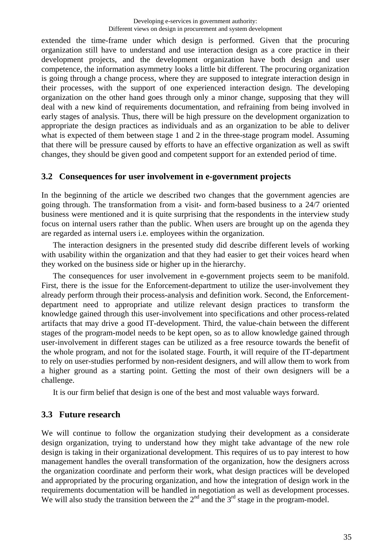extended the time-frame under which design is performed. Given that the procuring organization still have to understand and use interaction design as a core practice in their development projects, and the development organization have both design and user competence, the information asymmetry looks a little bit different. The procuring organization is going through a change process, where they are supposed to integrate interaction design in their processes, with the support of one experienced interaction design. The developing organization on the other hand goes through only a minor change, supposing that they will deal with a new kind of requirements documentation, and refraining from being involved in early stages of analysis. Thus, there will be high pressure on the development organization to appropriate the design practices as individuals and as an organization to be able to deliver what is expected of them between stage 1 and 2 in the three-stage program model. Assuming that there will be pressure caused by efforts to have an effective organization as well as swift changes, they should be given good and competent support for an extended period of time.

#### **3.2 Consequences for user involvement in e-government projects**

In the beginning of the article we described two changes that the government agencies are going through. The transformation from a visit- and form-based business to a 24/7 oriented business were mentioned and it is quite surprising that the respondents in the interview study focus on internal users rather than the public. When users are brought up on the agenda they are regarded as internal users i.e. employees within the organization.

The interaction designers in the presented study did describe different levels of working with usability within the organization and that they had easier to get their voices heard when they worked on the business side or higher up in the hierarchy.

The consequences for user involvement in e-government projects seem to be manifold. First, there is the issue for the Enforcement-department to utilize the user-involvement they already perform through their process-analysis and definition work. Second, the Enforcementdepartment need to appropriate and utilize relevant design practices to transform the knowledge gained through this user-involvement into specifications and other process-related artifacts that may drive a good IT-development. Third, the value-chain between the different stages of the program-model needs to be kept open, so as to allow knowledge gained through user-involvement in different stages can be utilized as a free resource towards the benefit of the whole program, and not for the isolated stage. Fourth, it will require of the IT-department to rely on user-studies performed by non-resident designers, and will allow them to work from a higher ground as a starting point. Getting the most of their own designers will be a challenge.

It is our firm belief that design is one of the best and most valuable ways forward.

#### **3.3 Future research**

We will continue to follow the organization studying their development as a considerate design organization, trying to understand how they might take advantage of the new role design is taking in their organizational development. This requires of us to pay interest to how management handles the overall transformation of the organization, how the designers across the organization coordinate and perform their work, what design practices will be developed and appropriated by the procuring organization, and how the integration of design work in the requirements documentation will be handled in negotiation as well as development processes. We will also study the transition between the  $2<sup>nd</sup>$  and the  $3<sup>rd</sup>$  stage in the program-model.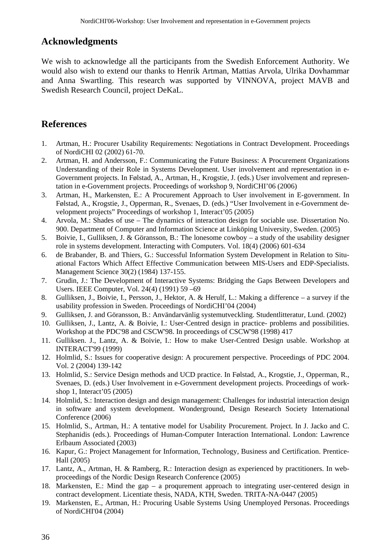## **Acknowledgments**

We wish to acknowledge all the participants from the Swedish Enforcement Authority. We would also wish to extend our thanks to Henrik Artman, Mattias Arvola, Ulrika Dovhammar and Anna Swartling. This research was supported by VINNOVA, project MAVB and Swedish Research Council, project DeKaL.

## **References**

- 1. Artman, H.: Procurer Usability Requirements: Negotiations in Contract Development. Proceedings of NordiCHI 02 (2002) 61-70.
- 2. Artman, H. and Andersson, F.: Communicating the Future Business: A Procurement Organizations Understanding of their Role in Systems Development. User involvement and representation in e-Government projects. In Følstad, A., Artman, H., Krogstie, J. (eds.) User involvement and representation in e-Government projects. Proceedings of workshop 9, NordiCHI'06 (2006)
- 3. Artman, H., Markensten, E.: A Procurement Approach to User involvement in E-government. In Følstad, A., Krogstie, J., Opperman, R., Svenaes, D. (eds.) "User Involvement in e-Government development projects" Proceedings of workshop 1, Interact'05 (2005)
- 4. Arvola, M.: Shades of use The dynamics of interaction design for sociable use. Dissertation No. 900. Department of Computer and Information Science at Linköping University, Sweden. (2005)
- 5. Boivie, I., Gulliksen, J. & Göransson, B.: The lonesome cowboy a study of the usability designer role in systems development. Interacting with Computers. Vol. 18(4) (2006) 601-634
- 6. de Brabander, B. and Thiers, G.: Successful Information System Development in Relation to Situational Factors Which Affect Effective Communication between MIS-Users and EDP-Specialists. Management Science 30(2) (1984) 137-155.
- 7. Grudin, J.: The Development of Interactive Systems: Bridging the Gaps Between Developers and Users. IEEE Computer, Vol. 24(4) (1991) 59 –69
- 8. Gulliksen, J., Boivie, I., Persson, J., Hektor, A. & Herulf, L.: Making a difference a survey if the usability profession in Sweden. Proceedings of NordiCHI'04 (2004)
- 9. Gulliksen, J. and Göransson, B.: Användarvänlig systemutveckling. Studentlitteratur, Lund. (2002)
- 10. Gulliksen, J., Lantz, A. & Boivie, I.: User-Centred design in practice- problems and possibilities. Workshop at the PDC'98 and CSCW'98. In proceedings of CSCW'98 (1998) 417
- 11. Gulliksen. J., Lantz, A. & Boivie, I.: How to make User-Centred Design usable. Workshop at INTERACT'99 (1999)
- 12. Holmlid, S.: Issues for cooperative design: A procurement perspective. Proceedings of PDC 2004. Vol. 2 (2004) 139-142
- 13. Holmlid, S.: Service Design methods and UCD practice. In Følstad, A., Krogstie, J., Opperman, R., Svenaes, D. (eds.) User Involvement in e-Government development projects. Proceedings of workshop 1, Interact'05 (2005)
- 14. Holmlid, S.: Interaction design and design management: Challenges for industrial interaction design in software and system development. Wonderground, Design Research Society International Conference (2006)
- 15. Holmlid, S., Artman, H.: A tentative model for Usability Procurement. Project. In J. Jacko and C. Stephanidis (eds.). Proceedings of Human-Computer Interaction International. London: Lawrence Erlbaum Associated (2003)
- 16. Kapur, G.: Project Management for Information, Technology, Business and Certification. Prentice-Hall (2005)
- 17. Lantz, A., Artman, H. & Ramberg, R.: Interaction design as experienced by practitioners. In webproceedings of the Nordic Design Research Conference (2005)
- 18. Markensten, E.: Mind the gap a proqurement approach to integrating user-centered design in contract development. Licentiate thesis, NADA, KTH, Sweden. TRITA-NA-0447 (2005)
- 19. Markensten, E., Artman, H.: Procuring Usable Systems Using Unemployed Personas. Proceedings of NordiCHI'04 (2004)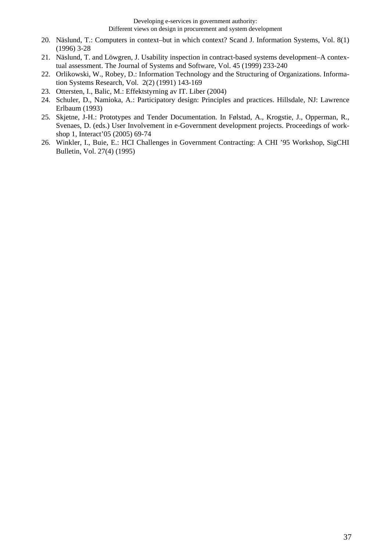- 20. Näslund, T.: Computers in context–but in which context? Scand J. Information Systems, Vol. 8(1) (1996) 3-28
- 21. Näslund, T. and Löwgren, J. Usability inspection in contract-based systems development–A contextual assessment. The Journal of Systems and Software, Vol. 45 (1999) 233-240
- 22. Orlikowski, W., Robey, D.: Information Technology and the Structuring of Organizations. Information Systems Research, Vol. 2(2) (1991) 143-169
- 23. Ottersten, I., Balic, M.: Effektstyrning av IT. Liber (2004)
- 24. Schuler, D., Namioka, A.: Participatory design: Principles and practices. Hillsdale, NJ: Lawrence Erlbaum (1993)
- 25. Skjetne, J-H.: Prototypes and Tender Documentation. In Følstad, A., Krogstie, J., Opperman, R., Svenaes, D. (eds.) User Involvement in e-Government development projects. Proceedings of workshop 1, Interact'05 (2005) 69-74
- 26. Winkler, I., Buie, E.: HCI Challenges in Government Contracting: A CHI '95 Workshop, SigCHI Bulletin, Vol. 27(4) (1995)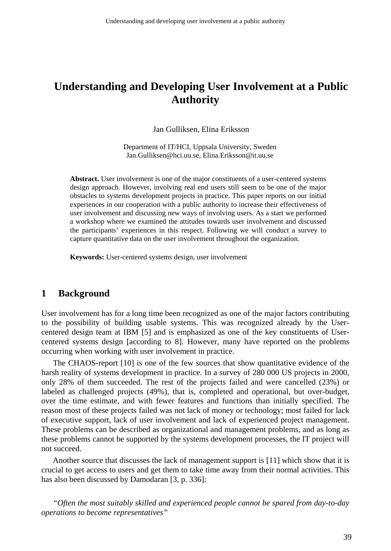# **Understanding and Developing User Involvement at a Public Authority**

Jan Gulliksen, Elina Eriksson

Department of IT/HCI, Uppsala University, Sweden Jan.Gulliksen@hci.uu.se, Elina.Eriksson@it.uu.se

**Abstract.** User involvement is one of the major constituents of a user-centered systems design approach. However, involving real end users still seem to be one of the major obstacles to systems development projects in practice. This paper reports on our initial experiences in our cooperation with a public authority to increase their effectiveness of user involvement and discussing new ways of involving users. As a start we performed a workshop where we examined the attitudes towards user involvement and discussed the participants' experiences in this respect. Following we will conduct a survey to capture quantitative data on the user involvement throughout the organization.

**Keywords:** User-centered systems design, user involvement

## **1 Background**

User involvement has for a long time been recognized as one of the major factors contributing to the possibility of building usable systems. This was recognized already by the Usercentered design team at IBM [5] and is emphasized as one of the key constituents of Usercentered systems design [according to 8]. However, many have reported on the problems occurring when working with user involvement in practice.

The CHAOS-report [10] is one of the few sources that show quantitative evidence of the harsh reality of systems development in practice. In a survey of 280 000 US projects in 2000, only 28% of them succeeded. The rest of the projects failed and were cancelled (23%) or labeled as challenged projects (49%), that is, completed and operational, but over-budget, over the time estimate, and with fewer features and functions than initially specified. The reason most of these projects failed was not lack of money or technology; most failed for lack of executive support, lack of user involvement and lack of experienced project management. These problems can be described as organizational and management problems, and as long as these problems cannot be supported by the systems development processes, the IT project will not succeed.

Another source that discusses the lack of management support is [11] which show that it is crucial to get access to users and get them to take time away from their normal activities. This has also been discussed by Damodaran [3, p. 336]:

*"Often the most suitably skilled and experienced people cannot be spared from day-to-day operations to become representatives"*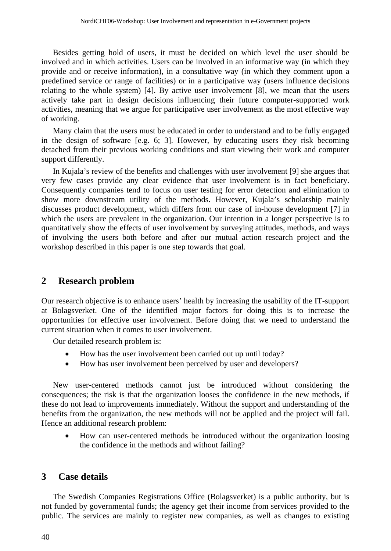Besides getting hold of users, it must be decided on which level the user should be involved and in which activities. Users can be involved in an informative way (in which they provide and or receive information), in a consultative way (in which they comment upon a predefined service or range of facilities) or in a participative way (users influence decisions relating to the whole system) [4]. By active user involvement [8], we mean that the users actively take part in design decisions influencing their future computer-supported work activities, meaning that we argue for participative user involvement as the most effective way of working.

Many claim that the users must be educated in order to understand and to be fully engaged in the design of software [e.g. 6; 3]. However, by educating users they risk becoming detached from their previous working conditions and start viewing their work and computer support differently.

In Kujala's review of the benefits and challenges with user involvement [9] she argues that very few cases provide any clear evidence that user involvement is in fact beneficiary. Consequently companies tend to focus on user testing for error detection and elimination to show more downstream utility of the methods. However, Kujala's scholarship mainly discusses product development, which differs from our case of in-house development [7] in which the users are prevalent in the organization. Our intention in a longer perspective is to quantitatively show the effects of user involvement by surveying attitudes, methods, and ways of involving the users both before and after our mutual action research project and the workshop described in this paper is one step towards that goal.

## **2 Research problem**

Our research objective is to enhance users' health by increasing the usability of the IT-support at Bolagsverket. One of the identified major factors for doing this is to increase the opportunities for effective user involvement. Before doing that we need to understand the current situation when it comes to user involvement.

Our detailed research problem is:

- How has the user involvement been carried out up until today?
- How has user involvement been perceived by user and developers?

New user-centered methods cannot just be introduced without considering the consequences; the risk is that the organization looses the confidence in the new methods, if these do not lead to improvements immediately. Without the support and understanding of the benefits from the organization, the new methods will not be applied and the project will fail. Hence an additional research problem:

• How can user-centered methods be introduced without the organization loosing the confidence in the methods and without failing?

## **3 Case details**

The Swedish Companies Registrations Office (Bolagsverket) is a public authority, but is not funded by governmental funds; the agency get their income from services provided to the public. The services are mainly to register new companies, as well as changes to existing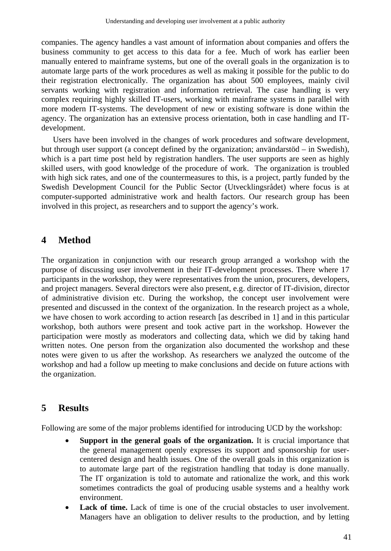companies. The agency handles a vast amount of information about companies and offers the business community to get access to this data for a fee. Much of work has earlier been manually entered to mainframe systems, but one of the overall goals in the organization is to automate large parts of the work procedures as well as making it possible for the public to do their registration electronically. The organization has about 500 employees, mainly civil servants working with registration and information retrieval. The case handling is very complex requiring highly skilled IT-users, working with mainframe systems in parallel with more modern IT-systems. The development of new or existing software is done within the agency. The organization has an extensive process orientation, both in case handling and ITdevelopment.

Users have been involved in the changes of work procedures and software development, but through user support (a concept defined by the organization; användarstöd – in Swedish), which is a part time post held by registration handlers. The user supports are seen as highly skilled users, with good knowledge of the procedure of work. The organization is troubled with high sick rates, and one of the countermeasures to this, is a project, partly funded by the Swedish Development Council for the Public Sector (Utvecklingsrådet) where focus is at computer-supported administrative work and health factors. Our research group has been involved in this project, as researchers and to support the agency's work.

## **4 Method**

The organization in conjunction with our research group arranged a workshop with the purpose of discussing user involvement in their IT-development processes. There where 17 participants in the workshop, they were representatives from the union, procurers, developers, and project managers. Several directors were also present, e.g. director of IT-division, director of administrative division etc. During the workshop, the concept user involvement were presented and discussed in the context of the organization. In the research project as a whole, we have chosen to work according to action research [as described in 1] and in this particular workshop, both authors were present and took active part in the workshop. However the participation were mostly as moderators and collecting data, which we did by taking hand written notes. One person from the organization also documented the workshop and these notes were given to us after the workshop. As researchers we analyzed the outcome of the workshop and had a follow up meeting to make conclusions and decide on future actions with the organization.

## **5 Results**

Following are some of the major problems identified for introducing UCD by the workshop:

- **Support in the general goals of the organization.** It is crucial importance that the general management openly expresses its support and sponsorship for usercentered design and health issues. One of the overall goals in this organization is to automate large part of the registration handling that today is done manually. The IT organization is told to automate and rationalize the work, and this work sometimes contradicts the goal of producing usable systems and a healthy work environment.
- **Lack of time.** Lack of time is one of the crucial obstacles to user involvement. Managers have an obligation to deliver results to the production, and by letting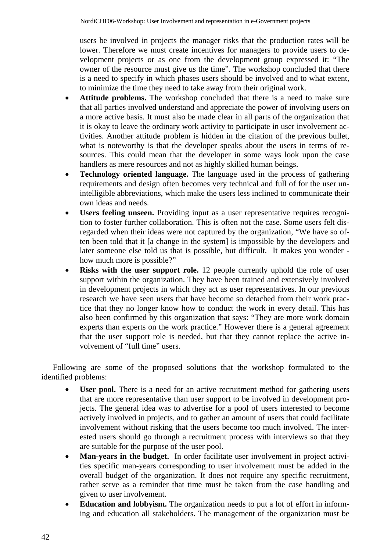users be involved in projects the manager risks that the production rates will be lower. Therefore we must create incentives for managers to provide users to development projects or as one from the development group expressed it: "The owner of the resource must give us the time". The workshop concluded that there is a need to specify in which phases users should be involved and to what extent, to minimize the time they need to take away from their original work.

- Attitude problems. The workshop concluded that there is a need to make sure that all parties involved understand and appreciate the power of involving users on a more active basis. It must also be made clear in all parts of the organization that it is okay to leave the ordinary work activity to participate in user involvement activities. Another attitude problem is hidden in the citation of the previous bullet, what is noteworthy is that the developer speaks about the users in terms of resources. This could mean that the developer in some ways look upon the case handlers as mere resources and not as highly skilled human beings.
- **Technology oriented language.** The language used in the process of gathering requirements and design often becomes very technical and full of for the user unintelligible abbreviations, which make the users less inclined to communicate their own ideas and needs.
- Users feeling unseen. Providing input as a user representative requires recognition to foster further collaboration. This is often not the case. Some users felt disregarded when their ideas were not captured by the organization, "We have so often been told that it [a change in the system] is impossible by the developers and later someone else told us that is possible, but difficult. It makes you wonder how much more is possible?"
- **Risks with the user support role.** 12 people currently uphold the role of user support within the organization. They have been trained and extensively involved in development projects in which they act as user representatives. In our previous research we have seen users that have become so detached from their work practice that they no longer know how to conduct the work in every detail. This has also been confirmed by this organization that says: "They are more work domain experts than experts on the work practice." However there is a general agreement that the user support role is needed, but that they cannot replace the active involvement of "full time" users.

Following are some of the proposed solutions that the workshop formulated to the identified problems:

- **User pool.** There is a need for an active recruitment method for gathering users that are more representative than user support to be involved in development projects. The general idea was to advertise for a pool of users interested to become actively involved in projects, and to gather an amount of users that could facilitate involvement without risking that the users become too much involved. The interested users should go through a recruitment process with interviews so that they are suitable for the purpose of the user pool.
- **Man-years in the budget.** In order facilitate user involvement in project activities specific man-years corresponding to user involvement must be added in the overall budget of the organization. It does not require any specific recruitment, rather serve as a reminder that time must be taken from the case handling and given to user involvement.
- **Education and lobbyism.** The organization needs to put a lot of effort in informing and education all stakeholders. The management of the organization must be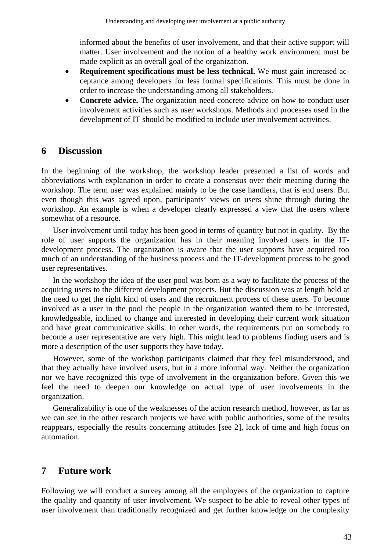informed about the benefits of user involvement, and that their active support will matter. User involvement and the notion of a healthy work environment must be made explicit as an overall goal of the organization.

- **Requirement specifications must be less technical.** We must gain increased acceptance among developers for less formal specifications. This must be done in order to increase the understanding among all stakeholders.
- **Concrete advice.** The organization need concrete advice on how to conduct user involvement activities such as user workshops. Methods and processes used in the development of IT should be modified to include user involvement activities.

## **6 Discussion**

In the beginning of the workshop, the workshop leader presented a list of words and abbreviations with explanation in order to create a consensus over their meaning during the workshop. The term user was explained mainly to be the case handlers, that is end users. But even though this was agreed upon, participants' views on users shine through during the workshop. An example is when a developer clearly expressed a view that the users where somewhat of a resource.

User involvement until today has been good in terms of quantity but not in quality. By the role of user supports the organization has in their meaning involved users in the ITdevelopment process. The organization is aware that the user supports have acquired too much of an understanding of the business process and the IT-development process to be good user representatives.

In the workshop the idea of the user pool was born as a way to facilitate the process of the acquiring users to the different development projects. But the discussion was at length held at the need to get the right kind of users and the recruitment process of these users. To become involved as a user in the pool the people in the organization wanted them to be interested, knowledgeable, inclined to change and interested in developing their current work situation and have great communicative skills. In other words, the requirements put on somebody to become a user representative are very high. This might lead to problems finding users and is more a description of the user supports they have today.

However, some of the workshop participants claimed that they feel misunderstood, and that they actually have involved users, but in a more informal way. Neither the organization nor we have recognized this type of involvement in the organization before. Given this we feel the need to deepen our knowledge on actual type of user involvements in the organization.

Generalizability is one of the weaknesses of the action research method, however, as far as we can see in the other research projects we have with public authorities, some of the results reappears, especially the results concerning attitudes [see 2], lack of time and high focus on automation.

## **7 Future work**

Following we will conduct a survey among all the employees of the organization to capture the quality and quantity of user involvement. We suspect to be able to reveal other types of user involvement than traditionally recognized and get further knowledge on the complexity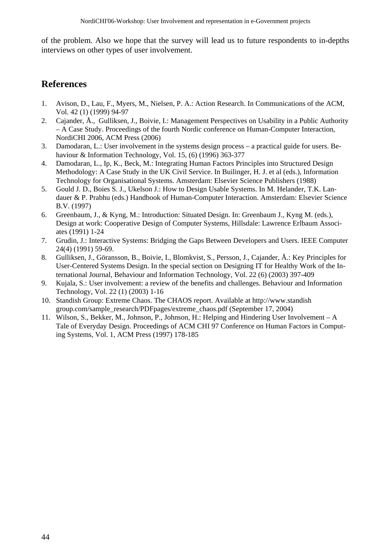of the problem. Also we hope that the survey will lead us to future respondents to in-depths interviews on other types of user involvement.

# **References**

- 1. Avison, D., Lau, F., Myers, M., Nielsen, P. A.: Action Research. In Communications of the ACM, Vol. 42 (1) (1999) 94-97
- 2. Cajander, Å., Gulliksen, J., Boivie, I.: Management Perspectives on Usability in a Public Authority – A Case Study. Proceedings of the fourth Nordic conference on Human-Computer Interaction, NordiCHI 2006, ACM Press (2006)
- 3. Damodaran, L.: User involvement in the systems design process a practical guide for users. Behaviour & Information Technology, Vol. 15, (6) (1996) 363-377
- 4. Damodaran, L., Ip, K., Beck, M.: Integrating Human Factors Principles into Structured Design Methodology: A Case Study in the UK Civil Service. In Builinger, H. J. et al (eds.), Information Technology for Organisational Systems. Amsterdam: Elsevier Science Publishers (1988)
- 5. Gould J. D., Boies S. J., Ukelson J.: How to Design Usable Systems. In M. Helander, T.K. Landauer & P. Prabhu (eds.) Handbook of Human-Computer Interaction. Amsterdam: Elsevier Science B.V. (1997)
- 6. Greenbaum, J., & Kyng, M.: Introduction: Situated Design. In: Greenbaum J., Kyng M. (eds.), Design at work: Cooperative Design of Computer Systems, Hillsdale: Lawrence Erlbaum Associates (1991) 1-24
- 7. Grudin, J.: Interactive Systems: Bridging the Gaps Between Developers and Users. IEEE Computer 24(4) (1991) 59-69.
- 8. Gulliksen, J., Göransson, B., Boivie, I., Blomkvist, S., Persson, J., Cajander, Å.: Key Principles for User-Centered Systems Design. In the special section on Designing IT for Healthy Work of the International Journal, Behaviour and Information Technology, Vol. 22 (6) (2003) 397-409
- 9. Kujala, S.: User involvement: a review of the benefits and challenges. Behaviour and Information Technology, Vol. 22 (1) (2003) 1-16
- 10. Standish Group: Extreme Chaos. The CHAOS report. Available at http://www.standish group.com/sample\_research/PDFpages/extreme\_chaos.pdf (September 17, 2004)
- 11. Wilson, S., Bekker, M., Johnson, P., Johnson, H.: Helping and Hindering User Involvement A Tale of Everyday Design. Proceedings of ACM CHI 97 Conference on Human Factors in Computing Systems, Vol. 1, ACM Press (1997) 178-185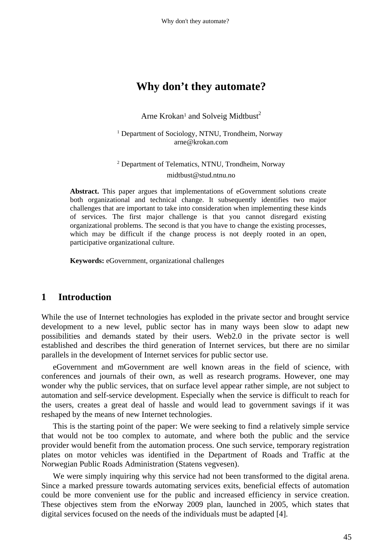# **Why don't they automate?**

#### Arne Krokan<sup>1</sup> and Solveig Midtbust<sup>2</sup>

<sup>1</sup> Department of Sociology, NTNU, Trondheim, Norway arne@krokan.com

#### 2 Department of Telematics, NTNU, Trondheim, Norway midthust@stud.ntnu.no

**Abstract.** This paper argues that implementations of eGovernment solutions create both organizational and technical change. It subsequently identifies two major challenges that are important to take into consideration when implementing these kinds of services. The first major challenge is that you cannot disregard existing organizational problems. The second is that you have to change the existing processes, which may be difficult if the change process is not deeply rooted in an open, participative organizational culture.

**Keywords:** eGovernment, organizational challenges

## **1 Introduction**

While the use of Internet technologies has exploded in the private sector and brought service development to a new level, public sector has in many ways been slow to adapt new possibilities and demands stated by their users. Web2.0 in the private sector is well established and describes the third generation of Internet services, but there are no similar parallels in the development of Internet services for public sector use.

eGovernment and mGovernment are well known areas in the field of science, with conferences and journals of their own, as well as research programs. However, one may wonder why the public services, that on surface level appear rather simple, are not subject to automation and self-service development. Especially when the service is difficult to reach for the users, creates a great deal of hassle and would lead to government savings if it was reshaped by the means of new Internet technologies.

This is the starting point of the paper: We were seeking to find a relatively simple service that would not be too complex to automate, and where both the public and the service provider would benefit from the automation process. One such service, temporary registration plates on motor vehicles was identified in the Department of Roads and Traffic at the Norwegian Public Roads Administration (Statens vegvesen).

We were simply inquiring why this service had not been transformed to the digital arena. Since a marked pressure towards automating services exits, beneficial effects of automation could be more convenient use for the public and increased efficiency in service creation. These objectives stem from the eNorway 2009 plan, launched in 2005, which states that digital services focused on the needs of the individuals must be adapted [4].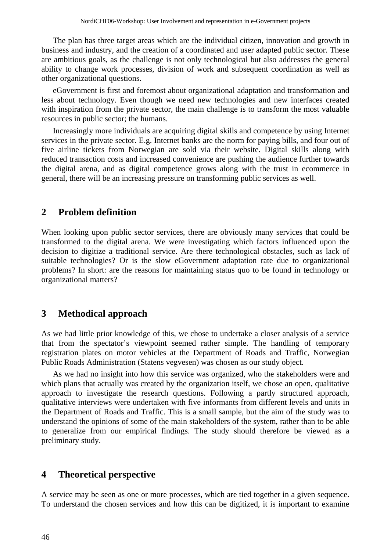The plan has three target areas which are the individual citizen, innovation and growth in business and industry, and the creation of a coordinated and user adapted public sector. These are ambitious goals, as the challenge is not only technological but also addresses the general ability to change work processes, division of work and subsequent coordination as well as other organizational questions.

eGovernment is first and foremost about organizational adaptation and transformation and less about technology. Even though we need new technologies and new interfaces created with inspiration from the private sector, the main challenge is to transform the most valuable resources in public sector; the humans.

Increasingly more individuals are acquiring digital skills and competence by using Internet services in the private sector. E.g. Internet banks are the norm for paying bills, and four out of five airline tickets from Norwegian are sold via their website. Digital skills along with reduced transaction costs and increased convenience are pushing the audience further towards the digital arena, and as digital competence grows along with the trust in ecommerce in general, there will be an increasing pressure on transforming public services as well.

## **2 Problem definition**

When looking upon public sector services, there are obviously many services that could be transformed to the digital arena. We were investigating which factors influenced upon the decision to digitize a traditional service. Are there technological obstacles, such as lack of suitable technologies? Or is the slow eGovernment adaptation rate due to organizational problems? In short: are the reasons for maintaining status quo to be found in technology or organizational matters?

## **3 Methodical approach**

As we had little prior knowledge of this, we chose to undertake a closer analysis of a service that from the spectator's viewpoint seemed rather simple. The handling of temporary registration plates on motor vehicles at the Department of Roads and Traffic, Norwegian Public Roads Administration (Statens vegvesen) was chosen as our study object.

As we had no insight into how this service was organized, who the stakeholders were and which plans that actually was created by the organization itself, we chose an open, qualitative approach to investigate the research questions. Following a partly structured approach, qualitative interviews were undertaken with five informants from different levels and units in the Department of Roads and Traffic. This is a small sample, but the aim of the study was to understand the opinions of some of the main stakeholders of the system, rather than to be able to generalize from our empirical findings. The study should therefore be viewed as a preliminary study.

# **4 Theoretical perspective**

A service may be seen as one or more processes, which are tied together in a given sequence. To understand the chosen services and how this can be digitized, it is important to examine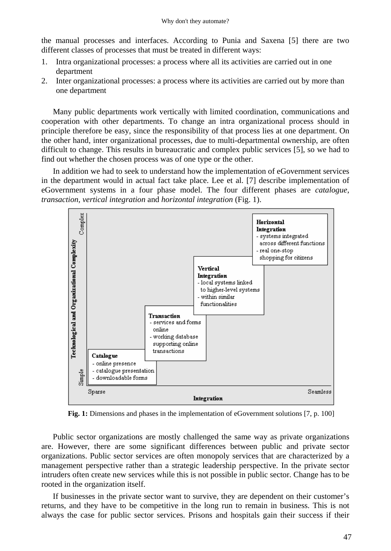the manual processes and interfaces. According to Punia and Saxena [5] there are two different classes of processes that must be treated in different ways:

- 1. Intra organizational processes: a process where all its activities are carried out in one department
- 2. Inter organizational processes: a process where its activities are carried out by more than one department

Many public departments work vertically with limited coordination, communications and cooperation with other departments. To change an intra organizational process should in principle therefore be easy, since the responsibility of that process lies at one department. On the other hand, inter organizational processes, due to multi-departmental ownership, are often difficult to change. This results in bureaucratic and complex public services [5], so we had to find out whether the chosen process was of one type or the other.

In addition we had to seek to understand how the implementation of eGovernment services in the department would in actual fact take place. Lee et al. [7] describe implementation of eGovernment systems in a four phase model. The four different phases are *catalogue, transaction, vertical integration* and *horizontal integration* (Fig. 1).



**Fig. 1:** Dimensions and phases in the implementation of eGovernment solutions [7, p. 100]

Public sector organizations are mostly challenged the same way as private organizations are. However, there are some significant differences between public and private sector organizations. Public sector services are often monopoly services that are characterized by a management perspective rather than a strategic leadership perspective. In the private sector intruders often create new services while this is not possible in public sector. Change has to be rooted in the organization itself.

If businesses in the private sector want to survive, they are dependent on their customer's returns, and they have to be competitive in the long run to remain in business. This is not always the case for public sector services. Prisons and hospitals gain their success if their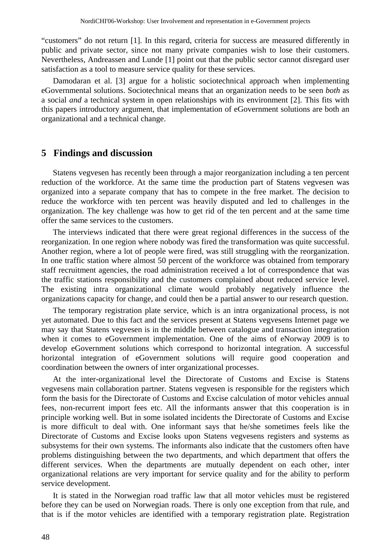"customers" do not return [1]. In this regard, criteria for success are measured differently in public and private sector, since not many private companies wish to lose their customers. Nevertheless, Andreassen and Lunde [1] point out that the public sector cannot disregard user satisfaction as a tool to measure service quality for these services.

Damodaran et al. [3] argue for a holistic sociotechnical approach when implementing eGovernmental solutions. Sociotechnical means that an organization needs to be seen *both* as a social *and* a technical system in open relationships with its environment [2]. This fits with this papers introductory argument, that implementation of eGovernment solutions are both an organizational and a technical change.

#### **5 Findings and discussion**

Statens vegvesen has recently been through a major reorganization including a ten percent reduction of the workforce. At the same time the production part of Statens vegvesen was organized into a separate company that has to compete in the free market. The decision to reduce the workforce with ten percent was heavily disputed and led to challenges in the organization. The key challenge was how to get rid of the ten percent and at the same time offer the same services to the customers.

The interviews indicated that there were great regional differences in the success of the reorganization. In one region where nobody was fired the transformation was quite successful. Another region, where a lot of people were fired, was still struggling with the reorganization. In one traffic station where almost 50 percent of the workforce was obtained from temporary staff recruitment agencies, the road administration received a lot of correspondence that was the traffic stations responsibility and the customers complained about reduced service level. The existing intra organizational climate would probably negatively influence the organizations capacity for change, and could then be a partial answer to our research question.

The temporary registration plate service, which is an intra organizational process, is not yet automated. Due to this fact and the services present at Statens vegvesens Internet page we may say that Statens vegvesen is in the middle between catalogue and transaction integration when it comes to eGovernment implementation. One of the aims of eNorway 2009 is to develop eGovernment solutions which correspond to horizontal integration. A successful horizontal integration of eGovernment solutions will require good cooperation and coordination between the owners of inter organizational processes.

At the inter-organizational level the Directorate of Customs and Excise is Statens vegvesens main collaboration partner. Statens vegvesen is responsible for the registers which form the basis for the Directorate of Customs and Excise calculation of motor vehicles annual fees, non-recurrent import fees etc. All the informants answer that this cooperation is in principle working well. But in some isolated incidents the Directorate of Customs and Excise is more difficult to deal with. One informant says that he/she sometimes feels like the Directorate of Customs and Excise looks upon Statens vegvesens registers and systems as subsystems for their own systems. The informants also indicate that the customers often have problems distinguishing between the two departments, and which department that offers the different services. When the departments are mutually dependent on each other, inter organizational relations are very important for service quality and for the ability to perform service development.

It is stated in the Norwegian road traffic law that all motor vehicles must be registered before they can be used on Norwegian roads. There is only one exception from that rule, and that is if the motor vehicles are identified with a temporary registration plate. Registration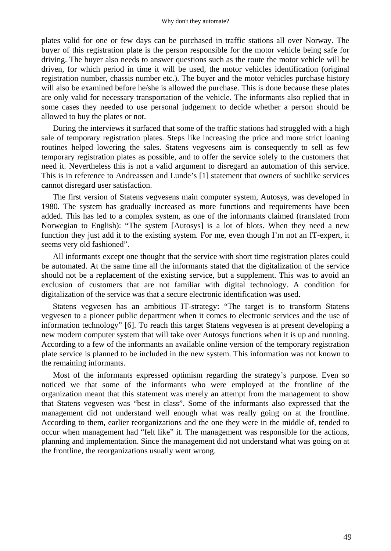plates valid for one or few days can be purchased in traffic stations all over Norway. The buyer of this registration plate is the person responsible for the motor vehicle being safe for driving. The buyer also needs to answer questions such as the route the motor vehicle will be driven, for which period in time it will be used, the motor vehicles identification (original registration number, chassis number etc.). The buyer and the motor vehicles purchase history will also be examined before he/she is allowed the purchase. This is done because these plates are only valid for necessary transportation of the vehicle. The informants also replied that in some cases they needed to use personal judgement to decide whether a person should be allowed to buy the plates or not.

During the interviews it surfaced that some of the traffic stations had struggled with a high sale of temporary registration plates. Steps like increasing the price and more strict loaning routines helped lowering the sales. Statens vegvesens aim is consequently to sell as few temporary registration plates as possible, and to offer the service solely to the customers that need it. Nevertheless this is not a valid argument to disregard an automation of this service. This is in reference to Andreassen and Lunde's [1] statement that owners of suchlike services cannot disregard user satisfaction.

The first version of Statens vegvesens main computer system, Autosys, was developed in 1980. The system has gradually increased as more functions and requirements have been added. This has led to a complex system, as one of the informants claimed (translated from Norwegian to English): "The system [Autosys] is a lot of blots. When they need a new function they just add it to the existing system. For me, even though I'm not an IT-expert, it seems very old fashioned".

All informants except one thought that the service with short time registration plates could be automated. At the same time all the informants stated that the digitalization of the service should not be a replacement of the existing service, but a supplement. This was to avoid an exclusion of customers that are not familiar with digital technology. A condition for digitalization of the service was that a secure electronic identification was used.

Statens vegvesen has an ambitious IT-strategy: "The target is to transform Statens vegvesen to a pioneer public department when it comes to electronic services and the use of information technology" [6]. To reach this target Statens vegvesen is at present developing a new modern computer system that will take over Autosys functions when it is up and running. According to a few of the informants an available online version of the temporary registration plate service is planned to be included in the new system. This information was not known to the remaining informants.

Most of the informants expressed optimism regarding the strategy's purpose. Even so noticed we that some of the informants who were employed at the frontline of the organization meant that this statement was merely an attempt from the management to show that Statens vegvesen was "best in class". Some of the informants also expressed that the management did not understand well enough what was really going on at the frontline. According to them, earlier reorganizations and the one they were in the middle of, tended to occur when management had "felt like" it. The management was responsible for the actions, planning and implementation. Since the management did not understand what was going on at the frontline, the reorganizations usually went wrong.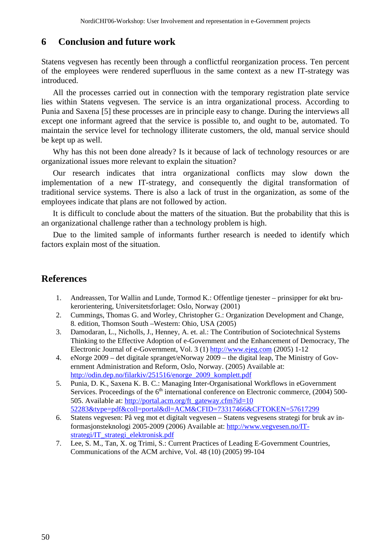# **6 Conclusion and future work**

Statens vegvesen has recently been through a conflictful reorganization process. Ten percent of the employees were rendered superfluous in the same context as a new IT-strategy was introduced.

All the processes carried out in connection with the temporary registration plate service lies within Statens vegvesen. The service is an intra organizational process. According to Punia and Saxena [5] these processes are in principle easy to change. During the interviews all except one informant agreed that the service is possible to, and ought to be, automated. To maintain the service level for technology illiterate customers, the old, manual service should be kept up as well.

Why has this not been done already? Is it because of lack of technology resources or are organizational issues more relevant to explain the situation?

Our research indicates that intra organizational conflicts may slow down the implementation of a new IT-strategy, and consequently the digital transformation of traditional service systems. There is also a lack of trust in the organization, as some of the employees indicate that plans are not followed by action.

It is difficult to conclude about the matters of the situation. But the probability that this is an organizational challenge rather than a technology problem is high.

Due to the limited sample of informants further research is needed to identify which factors explain most of the situation.

# **References**

- 1. Andreassen, Tor Wallin and Lunde, Tormod K.: Offentlige tjenester prinsipper for økt brukerorientering, Universitetsforlaget: Oslo, Norway (2001)
- 2. Cummings, Thomas G. and Worley, Christopher G.: Organization Development and Change, 8. edition, Thomson South –Western: Ohio, USA (2005)
- 3. Damodaran, L., Nicholls, J., Henney, A. et. al.: The Contribution of Sociotechnical Systems Thinking to the Effective Adoption of e-Government and the Enhancement of Democracy, The Electronic Journal of e-Government, Vol. 3 (1) http://www.ejeg.com (2005) 1-12
- 4. eNorge 2009 det digitale spranget/eNorway 2009 the digital leap, The Ministry of Government Administration and Reform, Oslo, Norway. (2005) Available at: http://odin.dep.no/filarkiv/251516/enorge\_2009\_komplett.pdf
- 5. Punia, D. K., Saxena K. B. C.: Managing Inter-Organisational Workflows in eGovernment Services. Proceedings of the  $6<sup>th</sup>$  international conference on Electronic commerce, (2004) 500-505. Available at: http://portal.acm.org/ft\_gateway.cfm?id=10 52283&type=pdf&coll=portal&dl=ACM&CFID=73317466&CFTOKEN=57617299
- 6. Statens vegvesen: På veg mot et digitalt vegvesen Statens vegvesens strategi for bruk av informasjonsteknologi 2005-2009 (2006) Available at: http://www.vegvesen.no/ITstrategi/IT\_strategi\_elektronisk.pdf
- 7. Lee, S. M., Tan, X. og Trimi, S.: Current Practices of Leading E-Government Countries, Communications of the ACM archive, Vol. 48 (10) (2005) 99-104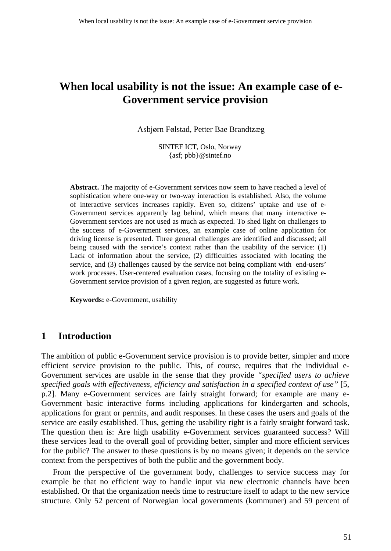# **When local usability is not the issue: An example case of e-Government service provision**

Asbjørn Følstad, Petter Bae Brandtzæg

SINTEF ICT, Oslo, Norway {asf; pbb}@sintef.no

**Abstract.** The majority of e-Government services now seem to have reached a level of sophistication where one-way or two-way interaction is established. Also, the volume of interactive services increases rapidly. Even so, citizens' uptake and use of e-Government services apparently lag behind, which means that many interactive e-Government services are not used as much as expected. To shed light on challenges to the success of e-Government services, an example case of online application for driving license is presented. Three general challenges are identified and discussed; all being caused with the service's context rather than the usability of the service: (1) Lack of information about the service, (2) difficulties associated with locating the service, and (3) challenges caused by the service not being compliant with end-users' work processes. User-centered evaluation cases, focusing on the totality of existing e-Government service provision of a given region, are suggested as future work.

**Keywords:** e-Government, usability

# **1 Introduction**

The ambition of public e-Government service provision is to provide better, simpler and more efficient service provision to the public. This, of course, requires that the individual e-Government services are usable in the sense that they provide *"specified users to achieve specified goals with effectiveness, efficiency and satisfaction in a specified context of use"* [5, p.2]. Many e-Government services are fairly straight forward; for example are many e-Government basic interactive forms including applications for kindergarten and schools, applications for grant or permits, and audit responses. In these cases the users and goals of the service are easily established. Thus, getting the usability right is a fairly straight forward task. The question then is: Are high usability e-Government services guaranteed success? Will these services lead to the overall goal of providing better, simpler and more efficient services for the public? The answer to these questions is by no means given; it depends on the service context from the perspectives of both the public and the government body.

From the perspective of the government body, challenges to service success may for example be that no efficient way to handle input via new electronic channels have been established. Or that the organization needs time to restructure itself to adapt to the new service structure. Only 52 percent of Norwegian local governments (kommuner) and 59 percent of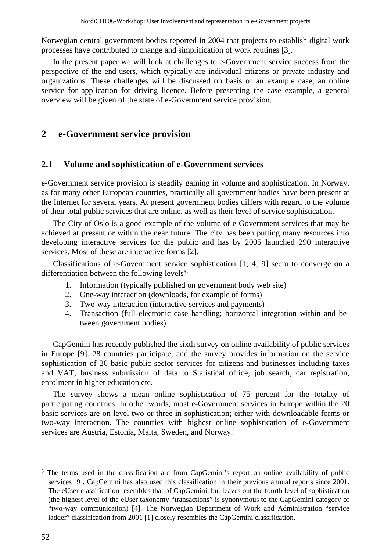Norwegian central government bodies reported in 2004 that projects to establish digital work processes have contributed to change and simplification of work routines [3].

In the present paper we will look at challenges to e-Government service success from the perspective of the end-users, which typically are individual citizens or private industry and organizations. These challenges will be discussed on basis of an example case, an online service for application for driving licence. Before presenting the case example, a general overview will be given of the state of e-Government service provision.

## **2 e-Government service provision**

#### **2.1 Volume and sophistication of e-Government services**

e-Government service provision is steadily gaining in volume and sophistication. In Norway, as for many other European countries, practically all government bodies have been present at the Internet for several years. At present government bodies differs with regard to the volume of their total public services that are online, as well as their level of service sophistication.

The City of Oslo is a good example of the volume of e-Government services that may be achieved at present or within the near future. The city has been putting many resources into developing interactive services for the public and has by 2005 launched 290 interactive services. Most of these are interactive forms [2].

Classifications of e-Government service sophistication [1; 4; 9] seem to converge on a differentiation between the following levels<sup>5</sup>:

- 1. Information (typically published on government body web site)
- 2. One-way interaction (downloads, for example of forms)
- 3. Two-way interaction (interactive services and payments)
- 4. Transaction (full electronic case handling; horizontal integration within and between government bodies)

CapGemini has recently published the sixth survey on online availability of public services in Europe [9]. 28 countries participate, and the survey provides information on the service sophistication of 20 basic public sector services for citizens and businesses including taxes and VAT, business submission of data to Statistical office, job search, car registration, enrolment in higher education etc.

The survey shows a mean online sophistication of 75 percent for the totality of participating countries. In other words, most e-Government services in Europe within the 20 basic services are on level two or three in sophistication; either with downloadable forms or two-way interaction. The countries with highest online sophistication of e-Government services are Austria, Estonia, Malta, Sweden, and Norway.

 $\overline{a}$ 

 $5$  The terms used in the classification are from CapGemini's report on online availability of public services [9]. CapGemini has also used this classification in their previous annual reports since 2001. The eUser classification resembles that of CapGemini, but leaves out the fourth level of sophistication (the highest level of the eUser taxonomy "transactions" is synonymous to the CapGemini category of "two-way communication) [4]. The Norwegian Department of Work and Administration "service ladder" classification from 2001 [1] closely resembles the CapGemini classification.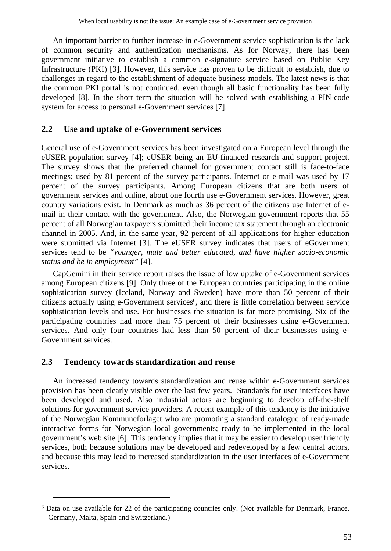An important barrier to further increase in e-Government service sophistication is the lack of common security and authentication mechanisms. As for Norway, there has been government initiative to establish a common e-signature service based on Public Key Infrastructure (PKI) [3]. However, this service has proven to be difficult to establish, due to challenges in regard to the establishment of adequate business models. The latest news is that the common PKI portal is not continued, even though all basic functionality has been fully developed [8]. In the short term the situation will be solved with establishing a PIN-code system for access to personal e-Government services [7].

#### **2.2 Use and uptake of e-Government services**

General use of e-Government services has been investigated on a European level through the eUSER population survey [4]; eUSER being an EU-financed research and support project. The survey shows that the preferred channel for government contact still is face-to-face meetings; used by 81 percent of the survey participants. Internet or e-mail was used by 17 percent of the survey participants. Among European citizens that are both users of government services and online, about one fourth use e-Government services. However, great country variations exist. In Denmark as much as 36 percent of the citizens use Internet of email in their contact with the government. Also, the Norwegian government reports that 55 percent of all Norwegian taxpayers submitted their income tax statement through an electronic channel in 2005. And, in the same year, 92 percent of all applications for higher education were submitted via Internet [3]. The eUSER survey indicates that users of eGovernment services tend to be *"younger, male and better educated, and have higher socio-economic status and be in employment"* [4].

CapGemini in their service report raises the issue of low uptake of e-Government services among European citizens [9]. Only three of the European countries participating in the online sophistication survey (Iceland, Norway and Sweden) have more than 50 percent of their citizens actually using e-Government services<sup>6</sup>, and there is little correlation between service sophistication levels and use. For businesses the situation is far more promising. Six of the participating countries had more than 75 percent of their businesses using e-Government services. And only four countries had less than 50 percent of their businesses using e-Government services.

#### **2.3 Tendency towards standardization and reuse**

 $\overline{a}$ 

An increased tendency towards standardization and reuse within e-Government services provision has been clearly visible over the last few years. Standards for user interfaces have been developed and used. Also industrial actors are beginning to develop off-the-shelf solutions for government service providers. A recent example of this tendency is the initiative of the Norwegian Kommuneforlaget who are promoting a standard catalogue of ready-made interactive forms for Norwegian local governments; ready to be implemented in the local government's web site [6]. This tendency implies that it may be easier to develop user friendly services, both because solutions may be developed and redeveloped by a few central actors, and because this may lead to increased standardization in the user interfaces of e-Government services.

<sup>6</sup> Data on use available for 22 of the participating countries only. (Not available for Denmark, France, Germany, Malta, Spain and Switzerland.)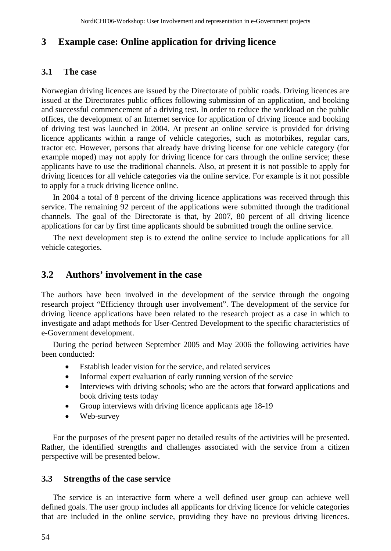# **3 Example case: Online application for driving licence**

#### **3.1 The case**

Norwegian driving licences are issued by the Directorate of public roads. Driving licences are issued at the Directorates public offices following submission of an application, and booking and successful commencement of a driving test. In order to reduce the workload on the public offices, the development of an Internet service for application of driving licence and booking of driving test was launched in 2004. At present an online service is provided for driving licence applicants within a range of vehicle categories, such as motorbikes, regular cars, tractor etc. However, persons that already have driving license for one vehicle category (for example moped) may not apply for driving licence for cars through the online service; these applicants have to use the traditional channels. Also, at present it is not possible to apply for driving licences for all vehicle categories via the online service. For example is it not possible to apply for a truck driving licence online.

In 2004 a total of 8 percent of the driving licence applications was received through this service. The remaining 92 percent of the applications were submitted through the traditional channels. The goal of the Directorate is that, by 2007, 80 percent of all driving licence applications for car by first time applicants should be submitted trough the online service.

The next development step is to extend the online service to include applications for all vehicle categories.

## **3.2 Authors' involvement in the case**

The authors have been involved in the development of the service through the ongoing research project "Efficiency through user involvement". The development of the service for driving licence applications have been related to the research project as a case in which to investigate and adapt methods for User-Centred Development to the specific characteristics of e-Government development.

During the period between September 2005 and May 2006 the following activities have been conducted:

- Establish leader vision for the service, and related services
- Informal expert evaluation of early running version of the service
- Interviews with driving schools; who are the actors that forward applications and book driving tests today
- Group interviews with driving licence applicants age 18-19
- Web-survey

For the purposes of the present paper no detailed results of the activities will be presented. Rather, the identified strengths and challenges associated with the service from a citizen perspective will be presented below.

#### **3.3 Strengths of the case service**

The service is an interactive form where a well defined user group can achieve well defined goals. The user group includes all applicants for driving licence for vehicle categories that are included in the online service, providing they have no previous driving licences.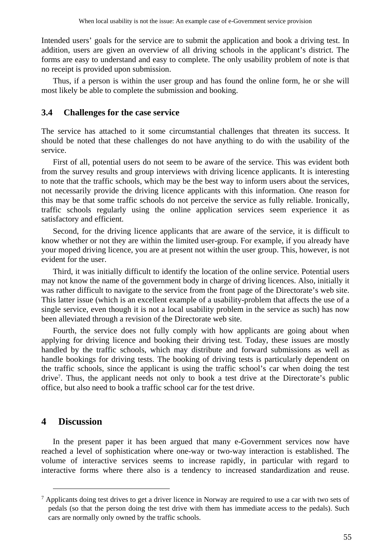Intended users' goals for the service are to submit the application and book a driving test. In addition, users are given an overview of all driving schools in the applicant's district. The forms are easy to understand and easy to complete. The only usability problem of note is that no receipt is provided upon submission.

Thus, if a person is within the user group and has found the online form, he or she will most likely be able to complete the submission and booking.

#### **3.4 Challenges for the case service**

The service has attached to it some circumstantial challenges that threaten its success. It should be noted that these challenges do not have anything to do with the usability of the service.

First of all, potential users do not seem to be aware of the service. This was evident both from the survey results and group interviews with driving licence applicants. It is interesting to note that the traffic schools, which may be the best way to inform users about the services, not necessarily provide the driving licence applicants with this information. One reason for this may be that some traffic schools do not perceive the service as fully reliable. Ironically, traffic schools regularly using the online application services seem experience it as satisfactory and efficient.

Second, for the driving licence applicants that are aware of the service, it is difficult to know whether or not they are within the limited user-group. For example, if you already have your moped driving licence, you are at present not within the user group. This, however, is not evident for the user.

Third, it was initially difficult to identify the location of the online service. Potential users may not know the name of the government body in charge of driving licences. Also, initially it was rather difficult to navigate to the service from the front page of the Directorate's web site. This latter issue (which is an excellent example of a usability-problem that affects the use of a single service, even though it is not a local usability problem in the service as such) has now been alleviated through a revision of the Directorate web site.

Fourth, the service does not fully comply with how applicants are going about when applying for driving licence and booking their driving test. Today, these issues are mostly handled by the traffic schools, which may distribute and forward submissions as well as handle bookings for driving tests. The booking of driving tests is particularly dependent on the traffic schools, since the applicant is using the traffic school's car when doing the test drive7. Thus, the applicant needs not only to book a test drive at the Directorate's public office, but also need to book a traffic school car for the test drive.

#### **4 Discussion**

 $\overline{a}$ 

In the present paper it has been argued that many e-Government services now have reached a level of sophistication where one-way or two-way interaction is established. The volume of interactive services seems to increase rapidly, in particular with regard to interactive forms where there also is a tendency to increased standardization and reuse.

 $7$  Applicants doing test drives to get a driver licence in Norway are required to use a car with two sets of pedals (so that the person doing the test drive with them has immediate access to the pedals). Such cars are normally only owned by the traffic schools.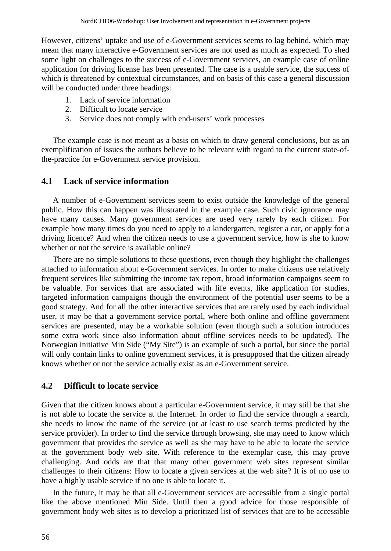However, citizens' uptake and use of e-Government services seems to lag behind, which may mean that many interactive e-Government services are not used as much as expected. To shed some light on challenges to the success of e-Government services, an example case of online application for driving license has been presented. The case is a usable service, the success of which is threatened by contextual circumstances, and on basis of this case a general discussion will be conducted under three headings:

- 1. Lack of service information
- 2. Difficult to locate service
- 3. Service does not comply with end-users' work processes

The example case is not meant as a basis on which to draw general conclusions, but as an exemplification of issues the authors believe to be relevant with regard to the current state-ofthe-practice for e-Government service provision.

## **4.1 Lack of service information**

A number of e-Government services seem to exist outside the knowledge of the general public. How this can happen was illustrated in the example case. Such civic ignorance may have many causes. Many government services are used very rarely by each citizen. For example how many times do you need to apply to a kindergarten, register a car, or apply for a driving licence? And when the citizen needs to use a government service, how is she to know whether or not the service is available online?

There are no simple solutions to these questions, even though they highlight the challenges attached to information about e-Government services. In order to make citizens use relatively frequent services like submitting the income tax report, broad information campaigns seem to be valuable. For services that are associated with life events, like application for studies, targeted information campaigns though the environment of the potential user seems to be a good strategy. And for all the other interactive services that are rarely used by each individual user, it may be that a government service portal, where both online and offline government services are presented, may be a workable solution (even though such a solution introduces some extra work since also information about offline services needs to be updated). The Norwegian initiative Min Side ("My Site") is an example of such a portal, but since the portal will only contain links to online government services, it is presupposed that the citizen already knows whether or not the service actually exist as an e-Government service.

# **4.2 Difficult to locate service**

Given that the citizen knows about a particular e-Government service, it may still be that she is not able to locate the service at the Internet. In order to find the service through a search, she needs to know the name of the service (or at least to use search terms predicted by the service provider). In order to find the service through browsing, she may need to know which government that provides the service as well as she may have to be able to locate the service at the government body web site. With reference to the exemplar case, this may prove challenging. And odds are that that many other government web sites represent similar challenges to their citizens: How to locate a given services at the web site? It is of no use to have a highly usable service if no one is able to locate it.

In the future, it may be that all e-Government services are accessible from a single portal like the above mentioned Min Side. Until then a good advice for those responsible of government body web sites is to develop a prioritized list of services that are to be accessible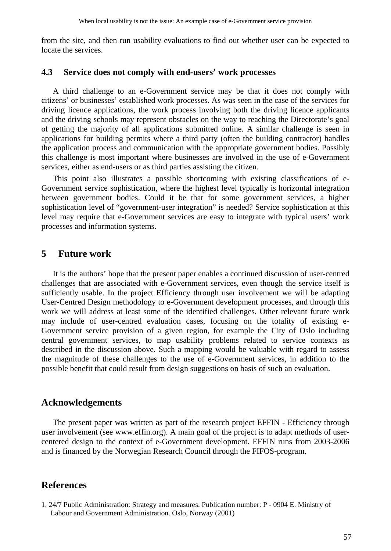from the site, and then run usability evaluations to find out whether user can be expected to locate the services.

#### **4.3 Service does not comply with end-users' work processes**

A third challenge to an e-Government service may be that it does not comply with citizens' or businesses' established work processes. As was seen in the case of the services for driving licence applications, the work process involving both the driving licence applicants and the driving schools may represent obstacles on the way to reaching the Directorate's goal of getting the majority of all applications submitted online. A similar challenge is seen in applications for building permits where a third party (often the building contractor) handles the application process and communication with the appropriate government bodies. Possibly this challenge is most important where businesses are involved in the use of e-Government services, either as end-users or as third parties assisting the citizen.

This point also illustrates a possible shortcoming with existing classifications of e-Government service sophistication, where the highest level typically is horizontal integration between government bodies. Could it be that for some government services, a higher sophistication level of "government-user integration" is needed? Service sophistication at this level may require that e-Government services are easy to integrate with typical users' work processes and information systems.

## **5 Future work**

It is the authors' hope that the present paper enables a continued discussion of user-centred challenges that are associated with e-Government services, even though the service itself is sufficiently usable. In the project Efficiency through user involvement we will be adapting User-Centred Design methodology to e-Government development processes, and through this work we will address at least some of the identified challenges. Other relevant future work may include of user-centred evaluation cases, focusing on the totality of existing e-Government service provision of a given region, for example the City of Oslo including central government services, to map usability problems related to service contexts as described in the discussion above. Such a mapping would be valuable with regard to assess the magnitude of these challenges to the use of e-Government services, in addition to the possible benefit that could result from design suggestions on basis of such an evaluation.

#### **Acknowledgements**

The present paper was written as part of the research project EFFIN - Efficiency through user involvement (see www.effin.org). A main goal of the project is to adapt methods of usercentered design to the context of e-Government development. EFFIN runs from 2003-2006 and is financed by the Norwegian Research Council through the FIFOS-program.

## **References**

<sup>1. 24/7</sup> Public Administration: Strategy and measures. Publication number: P - 0904 E. Ministry of Labour and Government Administration. Oslo, Norway (2001)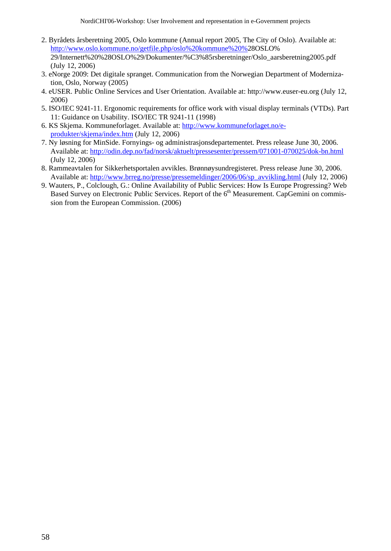- 2. Byrådets årsberetning 2005, Oslo kommune (Annual report 2005, The City of Oslo). Available at: http://www.oslo.kommune.no/getfile.php/oslo%20kommune%20%28OSLO% 29/Internett%20%28OSLO%29/Dokumenter/%C3%85rsberetninger/Oslo\_aarsberetning2005.pdf (July 12, 2006)
- 3. eNorge 2009: Det digitale spranget. Communication from the Norwegian Department of Modernization, Oslo, Norway (2005)
- 4. eUSER. Public Online Services and User Orientation. Available at: http://www.euser-eu.org (July 12, 2006)
- 5. ISO/IEC 9241-11. Ergonomic requirements for office work with visual display terminals (VTDs). Part 11: Guidance on Usability. ISO/IEC TR 9241-11 (1998)
- 6. KS Skjema. Kommuneforlaget. Available at: http://www.kommuneforlaget.no/eprodukter/skjema/index.htm (July 12, 2006)
- 7. Ny løsning for MinSide. Fornyings- og administrasjonsdepartementet. Press release June 30, 2006. Available at: http://odin.dep.no/fad/norsk/aktuelt/pressesenter/pressem/071001-070025/dok-bn.html (July 12, 2006)
- 8. Rammeavtalen for Sikkerhetsportalen avvikles. Brønnøysundregisteret. Press release June 30, 2006. Available at: http://www.brreg.no/presse/pressemeldinger/2006/06/sp\_avvikling.html (July 12, 2006)
- 9. Wauters, P., Colclough, G.: Online Availability of Public Services: How Is Europe Progressing? Web Based Survey on Electronic Public Services. Report of the 6<sup>th</sup> Measurement. CapGemini on commission from the European Commission. (2006)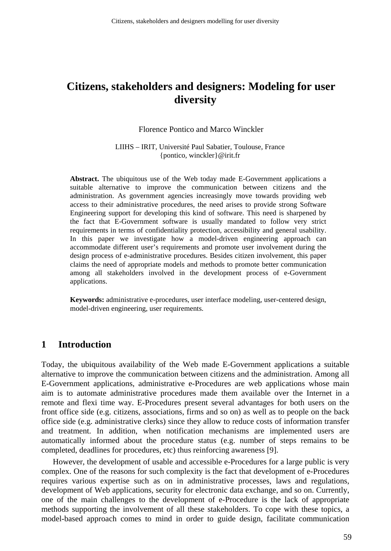# **Citizens, stakeholders and designers: Modeling for user diversity**

Florence Pontico and Marco Winckler

LIIHS – IRIT, Université Paul Sabatier, Toulouse, France {pontico, winckler}@irit.fr

**Abstract.** The ubiquitous use of the Web today made E-Government applications a suitable alternative to improve the communication between citizens and the administration. As government agencies increasingly move towards providing web access to their administrative procedures, the need arises to provide strong Software Engineering support for developing this kind of software. This need is sharpened by the fact that E-Government software is usually mandated to follow very strict requirements in terms of confidentiality protection, accessibility and general usability. In this paper we investigate how a model-driven engineering approach can accommodate different user's requirements and promote user involvement during the design process of e-administrative procedures. Besides citizen involvement, this paper claims the need of appropriate models and methods to promote better communication among all stakeholders involved in the development process of e-Government applications.

**Keywords:** administrative e-procedures, user interface modeling, user-centered design, model-driven engineering, user requirements.

## **1 Introduction**

Today, the ubiquitous availability of the Web made E-Government applications a suitable alternative to improve the communication between citizens and the administration. Among all E-Government applications, administrative e-Procedures are web applications whose main aim is to automate administrative procedures made them available over the Internet in a remote and flexi time way. E-Procedures present several advantages for both users on the front office side (e.g. citizens, associations, firms and so on) as well as to people on the back office side (e.g. administrative clerks) since they allow to reduce costs of information transfer and treatment. In addition, when notification mechanisms are implemented users are automatically informed about the procedure status (e.g. number of steps remains to be completed, deadlines for procedures, etc) thus reinforcing awareness [9].

However, the development of usable and accessible e-Procedures for a large public is very complex. One of the reasons for such complexity is the fact that development of e-Procedures requires various expertise such as on in administrative processes, laws and regulations, development of Web applications, security for electronic data exchange, and so on. Currently, one of the main challenges to the development of e-Procedure is the lack of appropriate methods supporting the involvement of all these stakeholders. To cope with these topics, a model-based approach comes to mind in order to guide design, facilitate communication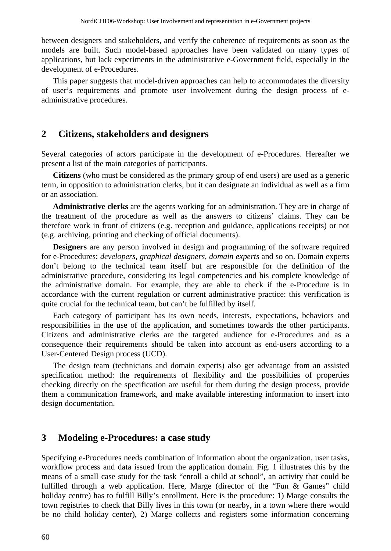between designers and stakeholders, and verify the coherence of requirements as soon as the models are built. Such model-based approaches have been validated on many types of applications, but lack experiments in the administrative e-Government field, especially in the development of e-Procedures.

This paper suggests that model-driven approaches can help to accommodates the diversity of user's requirements and promote user involvement during the design process of eadministrative procedures.

#### **2 Citizens, stakeholders and designers**

Several categories of actors participate in the development of e-Procedures. Hereafter we present a list of the main categories of participants.

**Citizens** (who must be considered as the primary group of end users) are used as a generic term, in opposition to administration clerks, but it can designate an individual as well as a firm or an association.

**Administrative clerks** are the agents working for an administration. They are in charge of the treatment of the procedure as well as the answers to citizens' claims. They can be therefore work in front of citizens (e.g. reception and guidance, applications receipts) or not (e.g. archiving, printing and checking of official documents).

**Designers** are any person involved in design and programming of the software required for e-Procedures: *developers*, *graphical designers*, *domain experts* and so on. Domain experts don't belong to the technical team itself but are responsible for the definition of the administrative procedure, considering its legal competencies and his complete knowledge of the administrative domain. For example, they are able to check if the e-Procedure is in accordance with the current regulation or current administrative practice: this verification is quite crucial for the technical team, but can't be fulfilled by itself.

Each category of participant has its own needs, interests, expectations, behaviors and responsibilities in the use of the application, and sometimes towards the other participants. Citizens and administrative clerks are the targeted audience for e-Procedures and as a consequence their requirements should be taken into account as end-users according to a User-Centered Design process (UCD).

The design team (technicians and domain experts) also get advantage from an assisted specification method: the requirements of flexibility and the possibilities of properties checking directly on the specification are useful for them during the design process, provide them a communication framework, and make available interesting information to insert into design documentation.

#### **3 Modeling e-Procedures: a case study**

Specifying e-Procedures needs combination of information about the organization, user tasks, workflow process and data issued from the application domain. Fig. 1 illustrates this by the means of a small case study for the task "enroll a child at school", an activity that could be fulfilled through a web application. Here, Marge (director of the "Fun & Games" child holiday centre) has to fulfill Billy's enrollment. Here is the procedure: 1) Marge consults the town registries to check that Billy lives in this town (or nearby, in a town where there would be no child holiday center), 2) Marge collects and registers some information concerning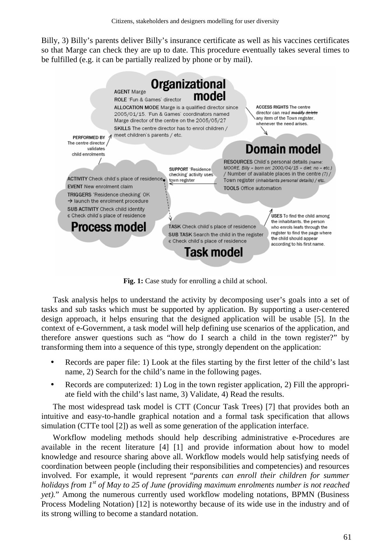Billy, 3) Billy's parents deliver Billy's insurance certificate as well as his vaccines certificates so that Marge can check they are up to date. This procedure eventually takes several times to be fulfilled (e.g. it can be partially realized by phone or by mail).



**Fig. 1:** Case study for enrolling a child at school.

Task analysis helps to understand the activity by decomposing user's goals into a set of tasks and sub tasks which must be supported by application. By supporting a user-centered design approach, it helps ensuring that the designed application will be usable [5]. In the context of e-Government, a task model will help defining use scenarios of the application, and therefore answer questions such as "how do I search a child in the town register?" by transforming them into a sequence of this type, strongly dependent on the application:

- Records are paper file: 1) Look at the files starting by the first letter of the child's last name, 2) Search for the child's name in the following pages.
- Records are computerized: 1) Log in the town register application, 2) Fill the appropriate field with the child's last name, 3) Validate, 4) Read the results.

The most widespread task model is CTT (Concur Task Trees) [7] that provides both an intuitive and easy-to-handle graphical notation and a formal task specification that allows simulation (CTTe tool [2]) as well as some generation of the application interface.

Workflow modeling methods should help describing administrative e-Procedures are available in the recent literature [4] [1] and provide information about how to model knowledge and resource sharing above all. Workflow models would help satisfying needs of coordination between people (including their responsibilities and competencies) and resources involved. For example, it would represent "*parents can enroll their children for summer holidays from 1st of May to 25 of June (providing maximum enrolments number is not reached yet).*" Among the numerous currently used workflow modeling notations, BPMN (Business Process Modeling Notation) [12] is noteworthy because of its wide use in the industry and of its strong willing to become a standard notation.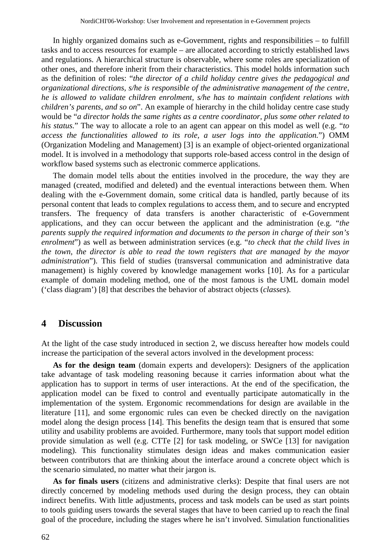In highly organized domains such as e-Government, rights and responsibilities – to fulfill tasks and to access resources for example – are allocated according to strictly established laws and regulations. A hierarchical structure is observable, where some roles are specialization of other ones, and therefore inherit from their characteristics. This model holds information such as the definition of roles: "*the director of a child holiday centre gives the pedagogical and organizational directions, s/he is responsible of the administrative management of the centre, he is allowed to validate children enrolment, s/he has to maintain confident relations with children's parents, and so on*". An example of hierarchy in the child holiday centre case study would be "*a director holds the same rights as a centre coordinator, plus some other related to his status.*" The way to allocate a role to an agent can appear on this model as well (e.g. "*to access the functionalities allowed to its role, a user logs into the application.*") OMM (Organization Modeling and Management) [3] is an example of object-oriented organizational model. It is involved in a methodology that supports role-based access control in the design of workflow based systems such as electronic commerce applications.

The domain model tells about the entities involved in the procedure, the way they are managed (created, modified and deleted) and the eventual interactions between them. When dealing with the e-Government domain, some critical data is handled, partly because of its personal content that leads to complex regulations to access them, and to secure and encrypted transfers. The frequency of data transfers is another characteristic of e-Government applications, and they can occur between the applicant and the administration (e.g. "*the parents supply the required information and documents to the person in charge of their son's enrolment*") as well as between administration services (e.g. "*to check that the child lives in the town, the director is able to read the town registers that are managed by the mayor administration*"). This field of studies (transversal communication and administrative data management) is highly covered by knowledge management works [10]. As for a particular example of domain modeling method, one of the most famous is the UML domain model ('class diagram') [8] that describes the behavior of abstract objects (*classes*).

#### **4 Discussion**

At the light of the case study introduced in section 2, we discuss hereafter how models could increase the participation of the several actors involved in the development process:

**As for the design team** (domain experts and developers): Designers of the application take advantage of task modeling reasoning because it carries information about what the application has to support in terms of user interactions. At the end of the specification, the application model can be fixed to control and eventually participate automatically in the implementation of the system. Ergonomic recommendations for design are available in the literature [11], and some ergonomic rules can even be checked directly on the navigation model along the design process [14]. This benefits the design team that is ensured that some utility and usability problems are avoided. Furthermore, many tools that support model edition provide simulation as well (e.g. CTTe [2] for task modeling, or SWCe [13] for navigation modeling). This functionality stimulates design ideas and makes communication easier between contributors that are thinking about the interface around a concrete object which is the scenario simulated, no matter what their jargon is.

**As for finals users** (citizens and administrative clerks): Despite that final users are not directly concerned by modeling methods used during the design process, they can obtain indirect benefits. With little adjustments, process and task models can be used as start points to tools guiding users towards the several stages that have to been carried up to reach the final goal of the procedure, including the stages where he isn't involved. Simulation functionalities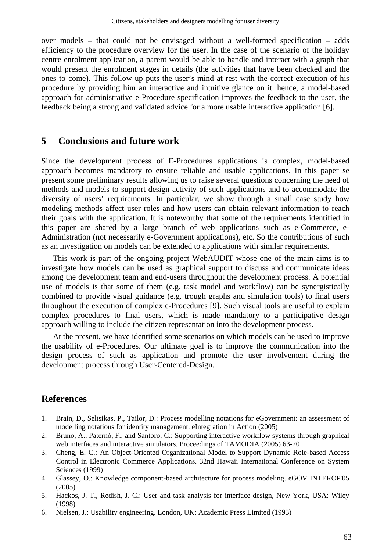over models – that could not be envisaged without a well-formed specification – adds efficiency to the procedure overview for the user. In the case of the scenario of the holiday centre enrolment application, a parent would be able to handle and interact with a graph that would present the enrolment stages in details (the activities that have been checked and the ones to come). This follow-up puts the user's mind at rest with the correct execution of his procedure by providing him an interactive and intuitive glance on it. hence, a model-based approach for administrative e-Procedure specification improves the feedback to the user, the feedback being a strong and validated advice for a more usable interactive application [6].

#### **5 Conclusions and future work**

Since the development process of E-Procedures applications is complex, model-based approach becomes mandatory to ensure reliable and usable applications. In this paper se present some preliminary results allowing us to raise several questions concerning the need of methods and models to support design activity of such applications and to accommodate the diversity of users' requirements. In particular, we show through a small case study how modeling methods affect user roles and how users can obtain relevant information to reach their goals with the application. It is noteworthy that some of the requirements identified in this paper are shared by a large branch of web applications such as e-Commerce, e-Administration (not necessarily e-Government applications), etc. So the contributions of such as an investigation on models can be extended to applications with similar requirements.

This work is part of the ongoing project WebAUDIT whose one of the main aims is to investigate how models can be used as graphical support to discuss and communicate ideas among the development team and end-users throughout the development process. A potential use of models is that some of them (e.g. task model and workflow) can be synergistically combined to provide visual guidance (e.g. trough graphs and simulation tools) to final users throughout the execution of complex e-Procedures [9]. Such visual tools are useful to explain complex procedures to final users, which is made mandatory to a participative design approach willing to include the citizen representation into the development process.

At the present, we have identified some scenarios on which models can be used to improve the usability of e-Procedures. Our ultimate goal is to improve the communication into the design process of such as application and promote the user involvement during the development process through User-Centered-Design.

## **References**

- 1. Brain, D., Seltsikas, P., Tailor, D.: Process modelling notations for eGovernment: an assessment of modelling notations for identity management. eIntegration in Action (2005)
- 2. Bruno, A., Paternó, F., and Santoro, C.: Supporting interactive workflow systems through graphical web interfaces and interactive simulators, Proceedings of TAMODIA (2005) 63-70
- 3. Cheng, E. C.: An Object-Oriented Organizational Model to Support Dynamic Role-based Access Control in Electronic Commerce Applications. 32nd Hawaii International Conference on System Sciences (1999)
- 4. Glassey, O.: Knowledge component-based architecture for process modeling. eGOV INTEROP'05 (2005)
- 5. Hackos, J. T., Redish, J. C.: User and task analysis for interface design, New York, USA: Wiley (1998)
- 6. Nielsen, J.: Usability engineering. London, UK: Academic Press Limited (1993)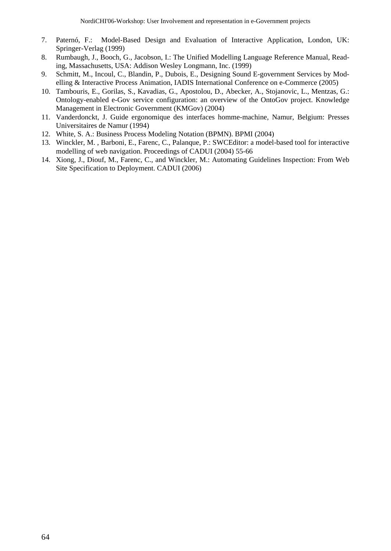- 7. Paternó, F.: Model-Based Design and Evaluation of Interactive Application, London, UK: Springer-Verlag (1999)
- 8. Rumbaugh, J., Booch, G., Jacobson, I.: The Unified Modelling Language Reference Manual, Reading, Massachusetts, USA: Addison Wesley Longmann, Inc. (1999)
- 9. Schmitt, M., Incoul, C., Blandin, P., Dubois, E., Designing Sound E-government Services by Modelling & Interactive Process Animation, IADIS International Conference on e-Commerce (2005)
- 10. Tambouris, E., Gorilas, S., Kavadias, G., Apostolou, D., Abecker, A., Stojanovic, L., Mentzas, G.: Ontology-enabled e-Gov service configuration: an overview of the OntoGov project. Knowledge Management in Electronic Government (KMGov) (2004)
- 11. Vanderdonckt, J. Guide ergonomique des interfaces homme-machine, Namur, Belgium: Presses Universitaires de Namur (1994)
- 12. White, S. A.: Business Process Modeling Notation (BPMN). BPMI (2004)
- 13. Winckler, M. , Barboni, E., Farenc, C., Palanque, P.: SWCEditor: a model-based tool for interactive modelling of web navigation. Proceedings of CADUI (2004) 55-66
- 14. Xiong, J., Diouf, M., Farenc, C., and Winckler, M.: Automating Guidelines Inspection: From Web Site Specification to Deployment. CADUI (2006)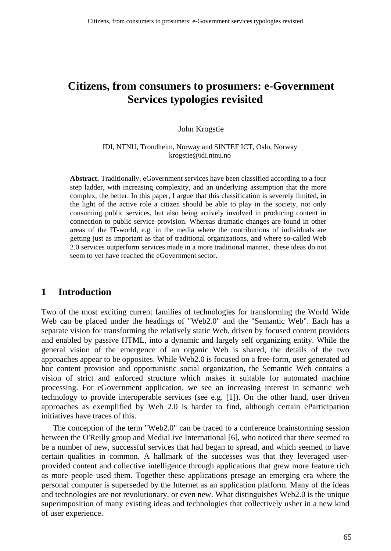# **Citizens, from consumers to prosumers: e-Government Services typologies revisited**

John Krogstie

IDI, NTNU, Trondheim, Norway and SINTEF ICT, Oslo, Norway krogstie@idi.ntnu.no

**Abstract.** Traditionally, eGovernment services have been classified according to a four step ladder, with increasing complexity, and an underlying assumption that the more complex, the better. In this paper, I argue that this classification is severely limited, in the light of the active role a citizen should be able to play in the society, not only consuming public services, but also being actively involved in producing content in connection to public service provision. Whereas dramatic changes are found in other areas of the IT-world, e.g. in the media where the contributions of individuals are getting just as important as that of traditional organizations, and where so-called Web 2.0 services outperform services made in a more traditional manner, these ideas do not seem to yet have reached the eGovernment sector.

# **1 Introduction**

Two of the most exciting current families of technologies for transforming the World Wide Web can be placed under the headings of "Web2.0" and the "Semantic Web". Each has a separate vision for transforming the relatively static Web, driven by focused content providers and enabled by passive HTML, into a dynamic and largely self organizing entity. While the general vision of the emergence of an organic Web is shared, the details of the two approaches appear to be opposites. While Web2.0 is focused on a free-form, user generated ad hoc content provision and opportunistic social organization, the Semantic Web contains a vision of strict and enforced structure which makes it suitable for automated machine processing. For eGovernment application, we see an increasing interest in semantic web technology to provide interoperable services (see e.g. [1]). On the other hand, user driven approaches as exemplified by Web 2.0 is harder to find, although certain eParticipation initiatives have traces of this.

The conception of the term "Web2.0" can be traced to a conference brainstorming session between the O'Reilly group and MediaLive International [6], who noticed that there seemed to be a number of new, successful services that had began to spread, and which seemed to have certain qualities in common. A hallmark of the successes was that they leveraged userprovided content and collective intelligence through applications that grew more feature rich as more people used them. Together these applications presage an emerging era where the personal computer is superseded by the Internet as an application platform. Many of the ideas and technologies are not revolutionary, or even new. What distinguishes Web2.0 is the unique superimposition of many existing ideas and technologies that collectively usher in a new kind of user experience.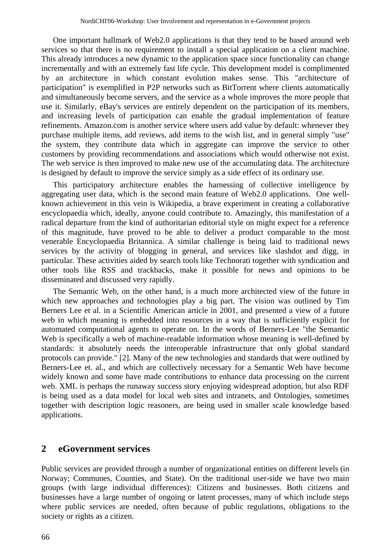One important hallmark of Web2.0 applications is that they tend to be based around web services so that there is no requirement to install a special application on a client machine. This already introduces a new dynamic to the application space since functionality can change incrementally and with an extremely fast life cycle. This development model is complimented by an architecture in which constant evolution makes sense. This "architecture of participation" is exemplified in P2P networks such as BitTorrent where clients automatically and simultaneously become servers, and the service as a whole improves the more people that use it. Similarly, eBay's services are entirely dependent on the participation of its members, and increasing levels of participation can enable the gradual implementation of feature refinements. Amazon.com is another service where users add value by default: whenever they purchase multiple items, add reviews, add items to the wish list, and in general simply "use" the system, they contribute data which in aggregate can improve the service to other customers by providing recommendations and associations which would otherwise not exist. The web service is then improved to make new use of the accumulating data. The architecture is designed by default to improve the service simply as a side effect of its ordinary use.

This participatory architecture enables the harnessing of collective intelligence by aggregating user data, which is the second main feature of Web2.0 applications. One wellknown achievement in this vein is Wikipedia, a brave experiment in creating a collaborative encyclopaedia which, ideally, anyone could contribute to. Amazingly, this manifestation of a radical departure from the kind of authoritarian editorial style on might expect for a reference of this magnitude, have proved to be able to deliver a product comparable to the most venerable Encyclopaedia Britannica. A similar challenge is being laid to traditional news services by the activity of blogging in general, and services like slashdot and digg, in particular. These activities aided by search tools like Technorati together with syndication and other tools like RSS and trackbacks, make it possible for news and opinions to be disseminated and discussed very rapidly.

The Semantic Web, on the other hand, is a much more architected view of the future in which new approaches and technologies play a big part. The vision was outlined by Tim Berners Lee et al. in a Scientific American article in 2001, and presented a view of a future web in which meaning is embedded into resources in a way that is sufficiently explicit for automated computational agents to operate on. In the words of Berners-Lee "the Semantic Web is specifically a web of machine-readable information whose meaning is well-defined by standards: it absolutely needs the interoperable infrastructure that only global standard protocols can provide." [2]. Many of the new technologies and standards that were outlined by Berners-Lee et. al., and which are collectively necessary for a Semantic Web have become widely known and some have made contributions to enhance data processing on the current web. XML is perhaps the runaway success story enjoying widespread adoption, but also RDF is being used as a data model for local web sites and intranets, and Ontologies, sometimes together with description logic reasoners, are being used in smaller scale knowledge based applications.

#### **2 eGovernment services**

Public services are provided through a number of organizational entities on different levels (in Norway; Communes, Counties, and State). On the traditional user-side we have two main groups (with large individual differences): Citizens and businesses. Both citizens and businesses have a large number of ongoing or latent processes, many of which include steps where public services are needed, often because of public regulations, obligations to the society or rights as a citizen.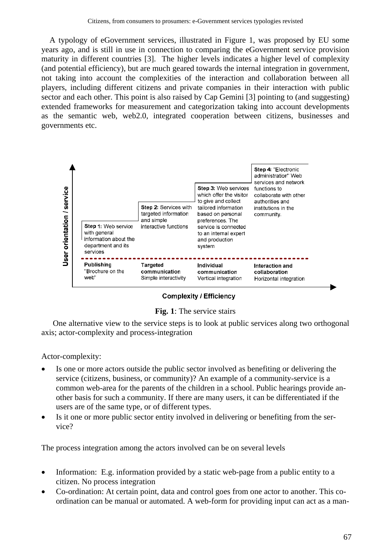A typology of eGovernment services, illustrated in Figure 1, was proposed by EU some years ago, and is still in use in connection to comparing the eGovernment service provision maturity in different countries [3]. The higher levels indicates a higher level of complexity (and potential efficiency), but are much geared towards the internal integration in government, not taking into account the complexities of the interaction and collaboration between all players, including different citizens and private companies in their interaction with public sector and each other. This point is also raised by Cap Gemini [3] pointing to (and suggesting) extended frameworks for measurement and categorization taking into account developments as the semantic web, web2.0, integrated cooperation between citizens, businesses and governments etc.



**Complexity / Efficiency** 

**Fig. 1**: The service stairs

One alternative view to the service steps is to look at public services along two orthogonal axis; actor-complexity and process-integration

Actor-complexity:

- Is one or more actors outside the public sector involved as benefiting or delivering the service (citizens, business, or community)? An example of a community-service is a common web-area for the parents of the children in a school. Public hearings provide another basis for such a community. If there are many users, it can be differentiated if the users are of the same type, or of different types.
- Is it one or more public sector entity involved in delivering or benefiting from the service?

The process integration among the actors involved can be on several levels

- Information: E.g. information provided by a static web-page from a public entity to a citizen. No process integration
- Co-ordination: At certain point, data and control goes from one actor to another. This coordination can be manual or automated. A web-form for providing input can act as a man-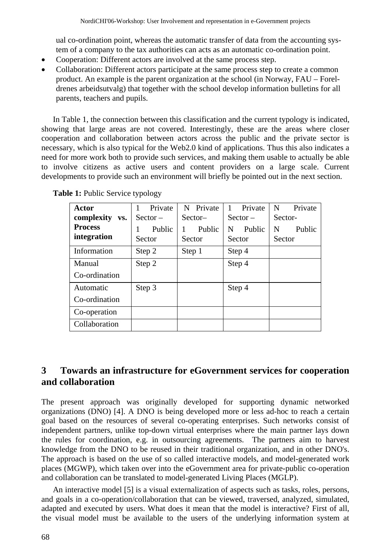ual co-ordination point, whereas the automatic transfer of data from the accounting system of a company to the tax authorities can acts as an automatic co-ordination point.

- Cooperation: Different actors are involved at the same process step.
- Collaboration: Different actors participate at the same process step to create a common product. An example is the parent organization at the school (in Norway, FAU – Foreldrenes arbeidsutvalg) that together with the school develop information bulletins for all parents, teachers and pupils.

In Table 1, the connection between this classification and the current typology is indicated, showing that large areas are not covered. Interestingly, these are the areas where closer cooperation and collaboration between actors across the public and the private sector is necessary, which is also typical for the Web2.0 kind of applications. Thus this also indicates a need for more work both to provide such services, and making them usable to actually be able to involve citizens as active users and content providers on a large scale. Current developments to provide such an environment will briefly be pointed out in the next section.

| Actor<br>complexity<br>VS.    | Private<br>$Sector -$ | N Private<br>Sector- | Private<br>$Sector -$ | N<br>Private<br>Sector- |
|-------------------------------|-----------------------|----------------------|-----------------------|-------------------------|
| <b>Process</b><br>integration | Public<br>Sector      | Public<br>Sector     | Public<br>N<br>Sector | Public<br>N<br>Sector   |
| Information                   | Step 2                | Step 1               | Step 4                |                         |
| Manual                        | Step 2                |                      | Step 4                |                         |
| Co-ordination                 |                       |                      |                       |                         |
| Automatic                     | Step 3                |                      | Step 4                |                         |
| Co-ordination                 |                       |                      |                       |                         |
| Co-operation                  |                       |                      |                       |                         |
| Collaboration                 |                       |                      |                       |                         |

**Table 1:** Public Service typology

# **3 Towards an infrastructure for eGovernment services for cooperation and collaboration**

The present approach was originally developed for supporting dynamic networked organizations (DNO) [4]. A DNO is being developed more or less ad-hoc to reach a certain goal based on the resources of several co-operating enterprises. Such networks consist of independent partners, unlike top-down virtual enterprises where the main partner lays down the rules for coordination, e.g. in outsourcing agreements. The partners aim to harvest knowledge from the DNO to be reused in their traditional organization, and in other DNO's. The approach is based on the use of so called interactive models, and model-generated work places (MGWP), which taken over into the eGovernment area for private-public co-operation and collaboration can be translated to model-generated Living Places (MGLP).

An interactive model [5] is a visual externalization of aspects such as tasks, roles, persons, and goals in a co-operation/collaboration that can be viewed, traversed, analyzed, simulated, adapted and executed by users. What does it mean that the model is interactive? First of all, the visual model must be available to the users of the underlying information system at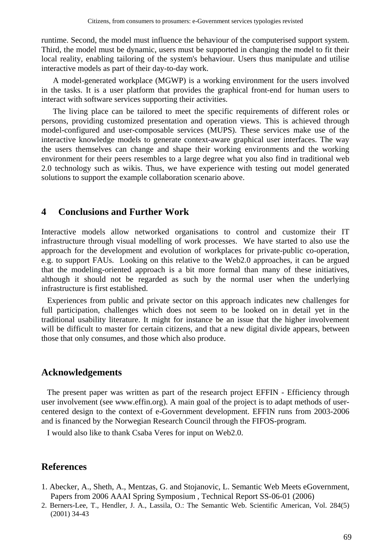runtime. Second, the model must influence the behaviour of the computerised support system. Third, the model must be dynamic, users must be supported in changing the model to fit their local reality, enabling tailoring of the system's behaviour. Users thus manipulate and utilise interactive models as part of their day-to-day work.

A model-generated workplace (MGWP) is a working environment for the users involved in the tasks. It is a user platform that provides the graphical front-end for human users to interact with software services supporting their activities.

The living place can be tailored to meet the specific requirements of different roles or persons, providing customized presentation and operation views. This is achieved through model-configured and user-composable services (MUPS). These services make use of the interactive knowledge models to generate context-aware graphical user interfaces. The way the users themselves can change and shape their working environments and the working environment for their peers resembles to a large degree what you also find in traditional web 2.0 technology such as wikis. Thus, we have experience with testing out model generated solutions to support the example collaboration scenario above.

## **4 Conclusions and Further Work**

Interactive models allow networked organisations to control and customize their IT infrastructure through visual modelling of work processes. We have started to also use the approach for the development and evolution of workplaces for private-public co-operation, e.g. to support FAUs. Looking on this relative to the Web2.0 approaches, it can be argued that the modeling-oriented approach is a bit more formal than many of these initiatives, although it should not be regarded as such by the normal user when the underlying infrastructure is first established.

Experiences from public and private sector on this approach indicates new challenges for full participation, challenges which does not seem to be looked on in detail yet in the traditional usability literature. It might for instance be an issue that the higher involvement will be difficult to master for certain citizens, and that a new digital divide appears, between those that only consumes, and those which also produce.

## **Acknowledgements**

The present paper was written as part of the research project EFFIN - Efficiency through user involvement (see www.effin.org). A main goal of the project is to adapt methods of usercentered design to the context of e-Government development. EFFIN runs from 2003-2006 and is financed by the Norwegian Research Council through the FIFOS-program.

I would also like to thank Csaba Veres for input on Web2.0.

# **References**

- 1. Abecker, A., Sheth, A., Mentzas, G. and Stojanovic, L. Semantic Web Meets eGovernment, Papers from 2006 AAAI Spring Symposium , Technical Report SS-06-01 (2006)
- 2. Berners-Lee, T., Hendler, J. A., Lassila, O.: The Semantic Web. Scientific American, Vol. 284(5) (2001) 34-43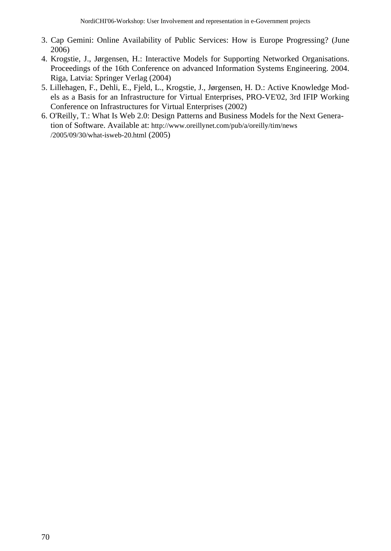- 3. Cap Gemini: Online Availability of Public Services: How is Europe Progressing? (June 2006)
- 4. Krogstie, J., Jørgensen, H.: Interactive Models for Supporting Networked Organisations. Proceedings of the 16th Conference on advanced Information Systems Engineering. 2004. Riga, Latvia: Springer Verlag (2004)
- 5. Lillehagen, F., Dehli, E., Fjeld, L., Krogstie, J., Jørgensen, H. D.: Active Knowledge Models as a Basis for an Infrastructure for Virtual Enterprises, PRO-VE'02, 3rd IFIP Working Conference on Infrastructures for Virtual Enterprises (2002)
- 6. O'Reilly, T.: What Is Web 2.0: Design Patterns and Business Models for the Next Generation of Software. Available at: http://www.oreillynet.com/pub/a/oreilly/tim/news /2005/09/30/what-isweb-20.html (2005)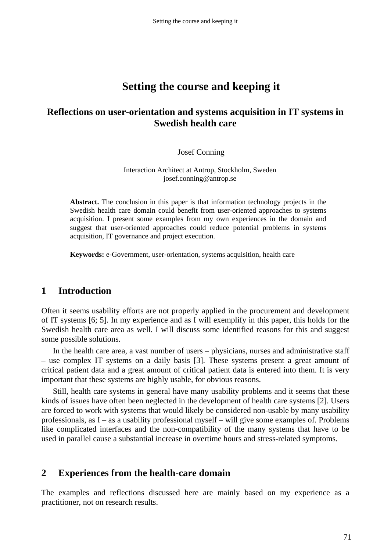# **Setting the course and keeping it**

# **Reflections on user-orientation and systems acquisition in IT systems in Swedish health care**

Josef Conning

Interaction Architect at Antrop, Stockholm, Sweden josef.conning@antrop.se

**Abstract.** The conclusion in this paper is that information technology projects in the Swedish health care domain could benefit from user-oriented approaches to systems acquisition. I present some examples from my own experiences in the domain and suggest that user-oriented approaches could reduce potential problems in systems acquisition, IT governance and project execution.

**Keywords:** e-Government, user-orientation, systems acquisition, health care

# **1 Introduction**

Often it seems usability efforts are not properly applied in the procurement and development of IT systems [6; 5]. In my experience and as I will exemplify in this paper, this holds for the Swedish health care area as well. I will discuss some identified reasons for this and suggest some possible solutions.

In the health care area, a vast number of users – physicians, nurses and administrative staff – use complex IT systems on a daily basis [3]. These systems present a great amount of critical patient data and a great amount of critical patient data is entered into them. It is very important that these systems are highly usable, for obvious reasons.

Still, health care systems in general have many usability problems and it seems that these kinds of issues have often been neglected in the development of health care systems [2]. Users are forced to work with systems that would likely be considered non-usable by many usability professionals, as I – as a usability professional myself – will give some examples of. Problems like complicated interfaces and the non-compatibility of the many systems that have to be used in parallel cause a substantial increase in overtime hours and stress-related symptoms.

## **2 Experiences from the health-care domain**

The examples and reflections discussed here are mainly based on my experience as a practitioner, not on research results.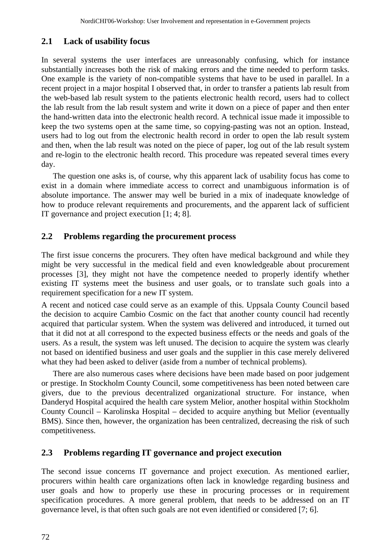# **2.1 Lack of usability focus**

In several systems the user interfaces are unreasonably confusing, which for instance substantially increases both the risk of making errors and the time needed to perform tasks. One example is the variety of non-compatible systems that have to be used in parallel. In a recent project in a major hospital I observed that, in order to transfer a patients lab result from the web-based lab result system to the patients electronic health record, users had to collect the lab result from the lab result system and write it down on a piece of paper and then enter the hand-written data into the electronic health record. A technical issue made it impossible to keep the two systems open at the same time, so copying-pasting was not an option. Instead, users had to log out from the electronic health record in order to open the lab result system and then, when the lab result was noted on the piece of paper, log out of the lab result system and re-login to the electronic health record. This procedure was repeated several times every day.

The question one asks is, of course, why this apparent lack of usability focus has come to exist in a domain where immediate access to correct and unambiguous information is of absolute importance. The answer may well be buried in a mix of inadequate knowledge of how to produce relevant requirements and procurements, and the apparent lack of sufficient IT governance and project execution [1; 4; 8].

## **2.2 Problems regarding the procurement process**

The first issue concerns the procurers. They often have medical background and while they might be very successful in the medical field and even knowledgeable about procurement processes [3], they might not have the competence needed to properly identify whether existing IT systems meet the business and user goals, or to translate such goals into a requirement specification for a new IT system.

A recent and noticed case could serve as an example of this. Uppsala County Council based the decision to acquire Cambio Cosmic on the fact that another county council had recently acquired that particular system. When the system was delivered and introduced, it turned out that it did not at all correspond to the expected business effects or the needs and goals of the users. As a result, the system was left unused. The decision to acquire the system was clearly not based on identified business and user goals and the supplier in this case merely delivered what they had been asked to deliver (aside from a number of technical problems).

There are also numerous cases where decisions have been made based on poor judgement or prestige. In Stockholm County Council, some competitiveness has been noted between care givers, due to the previous decentralized organizational structure. For instance, when Danderyd Hospital acquired the health care system Melior, another hospital within Stockholm County Council – Karolinska Hospital – decided to acquire anything but Melior (eventually BMS). Since then, however, the organization has been centralized, decreasing the risk of such competitiveness.

# **2.3 Problems regarding IT governance and project execution**

The second issue concerns IT governance and project execution. As mentioned earlier, procurers within health care organizations often lack in knowledge regarding business and user goals and how to properly use these in procuring processes or in requirement specification procedures. A more general problem, that needs to be addressed on an IT governance level, is that often such goals are not even identified or considered [7; 6].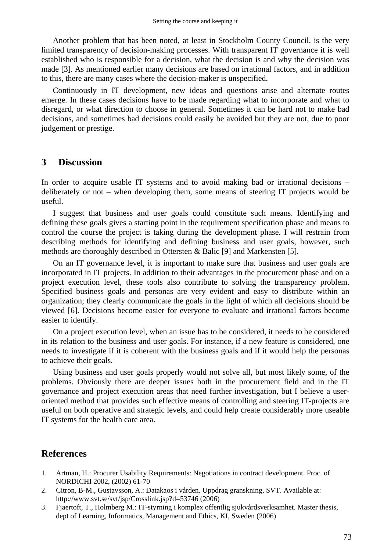Another problem that has been noted, at least in Stockholm County Council, is the very limited transparency of decision-making processes. With transparent IT governance it is well established who is responsible for a decision, what the decision is and why the decision was made [3]. As mentioned earlier many decisions are based on irrational factors, and in addition to this, there are many cases where the decision-maker is unspecified.

Continuously in IT development, new ideas and questions arise and alternate routes emerge. In these cases decisions have to be made regarding what to incorporate and what to disregard, or what direction to choose in general. Sometimes it can be hard not to make bad decisions, and sometimes bad decisions could easily be avoided but they are not, due to poor judgement or prestige.

#### **3 Discussion**

In order to acquire usable IT systems and to avoid making bad or irrational decisions – deliberately or not – when developing them, some means of steering IT projects would be useful.

I suggest that business and user goals could constitute such means. Identifying and defining these goals gives a starting point in the requirement specification phase and means to control the course the project is taking during the development phase. I will restrain from describing methods for identifying and defining business and user goals, however, such methods are thoroughly described in Ottersten & Balic [9] and Markensten [5].

On an IT governance level, it is important to make sure that business and user goals are incorporated in IT projects. In addition to their advantages in the procurement phase and on a project execution level, these tools also contribute to solving the transparency problem. Specified business goals and personas are very evident and easy to distribute within an organization; they clearly communicate the goals in the light of which all decisions should be viewed [6]. Decisions become easier for everyone to evaluate and irrational factors become easier to identify.

On a project execution level, when an issue has to be considered, it needs to be considered in its relation to the business and user goals. For instance, if a new feature is considered, one needs to investigate if it is coherent with the business goals and if it would help the personas to achieve their goals.

Using business and user goals properly would not solve all, but most likely some, of the problems. Obviously there are deeper issues both in the procurement field and in the IT governance and project execution areas that need further investigation, but I believe a useroriented method that provides such effective means of controlling and steering IT-projects are useful on both operative and strategic levels, and could help create considerably more useable IT systems for the health care area.

#### **References**

- 1. Artman, H.: Procurer Usability Requirements: Negotiations in contract development. Proc. of NORDICHI 2002, (2002) 61-70
- 2. Citron, B-M., Gustavsson, A.: Datakaos i vården. Uppdrag granskning, SVT. Available at: http://www.svt.se/svt/jsp/Crosslink.jsp?d=53746 (2006)
- 3. Fjaertoft, T., Holmberg M.: IT-styrning i komplex offentlig sjukvårdsverksamhet. Master thesis, dept of Learning, Informatics, Management and Ethics, KI, Sweden (2006)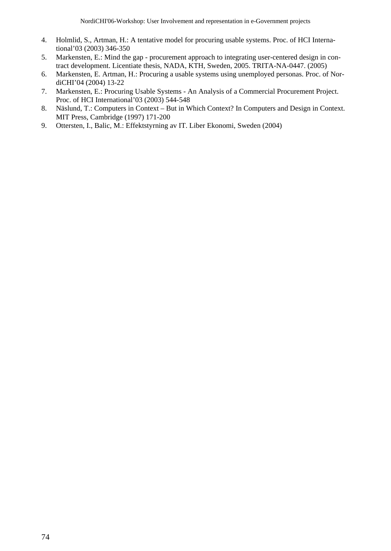- 4. Holmlid, S., Artman, H.: A tentative model for procuring usable systems. Proc. of HCI International'03 (2003) 346-350
- 5. Markensten, E.: Mind the gap procurement approach to integrating user-centered design in contract development. Licentiate thesis, NADA, KTH, Sweden, 2005. TRITA-NA-0447. (2005)
- 6. Markensten, E. Artman, H.: Procuring a usable systems using unemployed personas. Proc. of NordiCHI'04 (2004) 13-22
- 7. Markensten, E.: Procuring Usable Systems An Analysis of a Commercial Procurement Project. Proc. of HCI International'03 (2003) 544-548
- 8. Näslund, T.: Computers in Context But in Which Context? In Computers and Design in Context. MIT Press, Cambridge (1997) 171-200
- 9. Ottersten, I., Balic, M.: Effektstyrning av IT. Liber Ekonomi, Sweden (2004)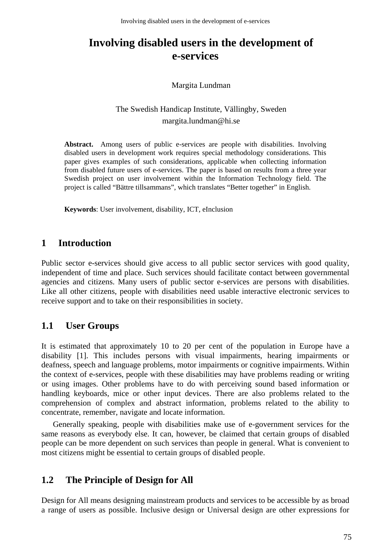# **Involving disabled users in the development of e-services**

Margita Lundman

# The Swedish Handicap Institute, Vällingby, Sweden margita.lundman@hi.se

**Abstract.** Among users of public e-services are people with disabilities. Involving disabled users in development work requires special methodology considerations. This paper gives examples of such considerations, applicable when collecting information from disabled future users of e-services. The paper is based on results from a three year Swedish project on user involvement within the Information Technology field. The project is called "Bättre tillsammans", which translates "Better together" in English.

**Keywords**: User involvement, disability, ICT, eInclusion

## **1 Introduction**

Public sector e-services should give access to all public sector services with good quality, independent of time and place. Such services should facilitate contact between governmental agencies and citizens. Many users of public sector e-services are persons with disabilities. Like all other citizens, people with disabilities need usable interactive electronic services to receive support and to take on their responsibilities in society.

## **1.1 User Groups**

It is estimated that approximately 10 to 20 per cent of the population in Europe have a disability [1]. This includes persons with visual impairments, hearing impairments or deafness, speech and language problems, motor impairments or cognitive impairments. Within the context of e-services, people with these disabilities may have problems reading or writing or using images. Other problems have to do with perceiving sound based information or handling keyboards, mice or other input devices. There are also problems related to the comprehension of complex and abstract information, problems related to the ability to concentrate, remember, navigate and locate information.

Generally speaking, people with disabilities make use of e-government services for the same reasons as everybody else. It can, however, be claimed that certain groups of disabled people can be more dependent on such services than people in general. What is convenient to most citizens might be essential to certain groups of disabled people.

## **1.2 The Principle of Design for All**

Design for All means designing mainstream products and services to be accessible by as broad a range of users as possible. Inclusive design or Universal design are other expressions for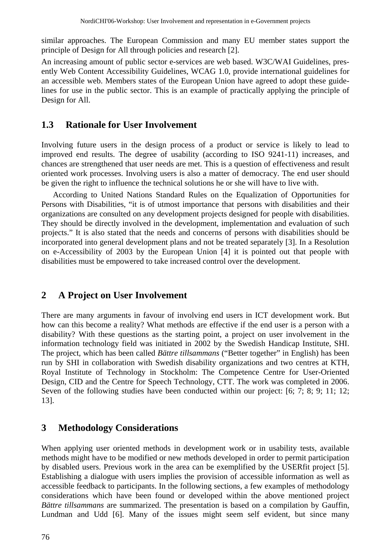similar approaches. The European Commission and many EU member states support the principle of Design for All through policies and research [2].

An increasing amount of public sector e-services are web based. W3C/WAI Guidelines, presently Web Content Accessibility Guidelines, WCAG 1.0, provide international guidelines for an accessible web. Members states of the European Union have agreed to adopt these guidelines for use in the public sector. This is an example of practically applying the principle of Design for All.

#### **1.3 Rationale for User Involvement**

Involving future users in the design process of a product or service is likely to lead to improved end results. The degree of usability (according to ISO 9241-11) increases, and chances are strengthened that user needs are met. This is a question of effectiveness and result oriented work processes. Involving users is also a matter of democracy. The end user should be given the right to influence the technical solutions he or she will have to live with.

According to United Nations Standard Rules on the Equalization of Opportunities for Persons with Disabilities, "it is of utmost importance that persons with disabilities and their organizations are consulted on any development projects designed for people with disabilities. They should be directly involved in the development, implementation and evaluation of such projects." It is also stated that the needs and concerns of persons with disabilities should be incorporated into general development plans and not be treated separately [3]. In a Resolution on e-Accessibility of 2003 by the European Union [4] it is pointed out that people with disabilities must be empowered to take increased control over the development.

## **2 A Project on User Involvement**

There are many arguments in favour of involving end users in ICT development work. But how can this become a reality? What methods are effective if the end user is a person with a disability? With these questions as the starting point, a project on user involvement in the information technology field was initiated in 2002 by the Swedish Handicap Institute, SHI. The project, which has been called *Bättre tillsammans* ("Better together" in English) has been run by SHI in collaboration with Swedish disability organizations and two centres at KTH, Royal Institute of Technology in Stockholm: The Competence Centre for User-Oriented Design, CID and the Centre for Speech Technology, CTT. The work was completed in 2006. Seven of the following studies have been conducted within our project: [6; 7; 8; 9; 11; 12; 13].

## **3 Methodology Considerations**

When applying user oriented methods in development work or in usability tests, available methods might have to be modified or new methods developed in order to permit participation by disabled users. Previous work in the area can be exemplified by the USERfit project [5]. Establishing a dialogue with users implies the provision of accessible information as well as accessible feedback to participants. In the following sections, a few examples of methodology considerations which have been found or developed within the above mentioned project *Bättre tillsammans* are summarized. The presentation is based on a compilation by Gauffin, Lundman and Udd [6]. Many of the issues might seem self evident, but since many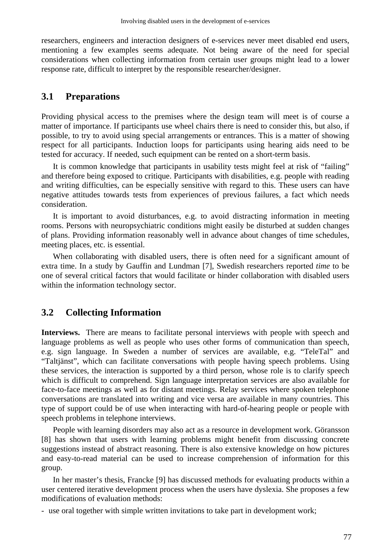researchers, engineers and interaction designers of e-services never meet disabled end users, mentioning a few examples seems adequate. Not being aware of the need for special considerations when collecting information from certain user groups might lead to a lower response rate, difficult to interpret by the responsible researcher/designer.

#### **3.1 Preparations**

Providing physical access to the premises where the design team will meet is of course a matter of importance. If participants use wheel chairs there is need to consider this, but also, if possible, to try to avoid using special arrangements or entrances. This is a matter of showing respect for all participants. Induction loops for participants using hearing aids need to be tested for accuracy. If needed, such equipment can be rented on a short-term basis.

It is common knowledge that participants in usability tests might feel at risk of "failing" and therefore being exposed to critique. Participants with disabilities, e.g. people with reading and writing difficulties, can be especially sensitive with regard to this. These users can have negative attitudes towards tests from experiences of previous failures, a fact which needs consideration.

It is important to avoid disturbances, e.g. to avoid distracting information in meeting rooms. Persons with neuropsychiatric conditions might easily be disturbed at sudden changes of plans. Providing information reasonably well in advance about changes of time schedules, meeting places, etc. is essential.

When collaborating with disabled users, there is often need for a significant amount of extra time. In a study by Gauffin and Lundman [7], Swedish researchers reported *time* to be one of several critical factors that would facilitate or hinder collaboration with disabled users within the information technology sector.

## **3.2 Collecting Information**

**Interviews.** There are means to facilitate personal interviews with people with speech and language problems as well as people who uses other forms of communication than speech, e.g. sign language. In Sweden a number of services are available, e.g. "TeleTal" and "Taltjänst", which can facilitate conversations with people having speech problems. Using these services, the interaction is supported by a third person, whose role is to clarify speech which is difficult to comprehend. Sign language interpretation services are also available for face-to-face meetings as well as for distant meetings. Relay services where spoken telephone conversations are translated into writing and vice versa are available in many countries. This type of support could be of use when interacting with hard-of-hearing people or people with speech problems in telephone interviews.

People with learning disorders may also act as a resource in development work. Göransson [8] has shown that users with learning problems might benefit from discussing concrete suggestions instead of abstract reasoning. There is also extensive knowledge on how pictures and easy-to-read material can be used to increase comprehension of information for this group.

In her master's thesis, Francke [9] has discussed methods for evaluating products within a user centered iterative development process when the users have dyslexia. She proposes a few modifications of evaluation methods:

- use oral together with simple written invitations to take part in development work;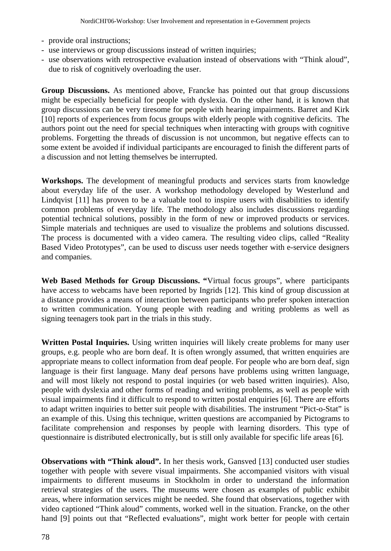- provide oral instructions;
- use interviews or group discussions instead of written inquiries;
- use observations with retrospective evaluation instead of observations with "Think aloud", due to risk of cognitively overloading the user.

**Group Discussions.** As mentioned above, Francke has pointed out that group discussions might be especially beneficial for people with dyslexia. On the other hand, it is known that group discussions can be very tiresome for people with hearing impairments. Barret and Kirk [10] reports of experiences from focus groups with elderly people with cognitive deficits. The authors point out the need for special techniques when interacting with groups with cognitive problems. Forgetting the threads of discussion is not uncommon, but negative effects can to some extent be avoided if individual participants are encouraged to finish the different parts of a discussion and not letting themselves be interrupted.

**Workshops.** The development of meaningful products and services starts from knowledge about everyday life of the user. A workshop methodology developed by Westerlund and Lindqvist [11] has proven to be a valuable tool to inspire users with disabilities to identify common problems of everyday life. The methodology also includes discussions regarding potential technical solutions, possibly in the form of new or improved products or services. Simple materials and techniques are used to visualize the problems and solutions discussed. The process is documented with a video camera. The resulting video clips, called "Reality Based Video Prototypes", can be used to discuss user needs together with e-service designers and companies.

**Web Based Methods for Group Discussions. "**Virtual focus groups", where participants have access to webcams have been reported by Ingrids [12]. This kind of group discussion at a distance provides a means of interaction between participants who prefer spoken interaction to written communication. Young people with reading and writing problems as well as signing teenagers took part in the trials in this study.

**Written Postal Inquiries.** Using written inquiries will likely create problems for many user groups, e.g. people who are born deaf. It is often wrongly assumed, that written enquiries are appropriate means to collect information from deaf people. For people who are born deaf, sign language is their first language. Many deaf persons have problems using written language, and will most likely not respond to postal inquiries (or web based written inquiries). Also, people with dyslexia and other forms of reading and writing problems, as well as people with visual impairments find it difficult to respond to written postal enquiries [6]. There are efforts to adapt written inquiries to better suit people with disabilities. The instrument "Pict-o-Stat" is an example of this. Using this technique, written questions are accompanied by Pictograms to facilitate comprehension and responses by people with learning disorders. This type of questionnaire is distributed electronically, but is still only available for specific life areas [6].

**Observations with "Think aloud".** In her thesis work, Gansved [13] conducted user studies together with people with severe visual impairments. She accompanied visitors with visual impairments to different museums in Stockholm in order to understand the information retrieval strategies of the users. The museums were chosen as examples of public exhibit areas, where information services might be needed. She found that observations, together with video captioned "Think aloud" comments, worked well in the situation. Francke, on the other hand [9] points out that "Reflected evaluations", might work better for people with certain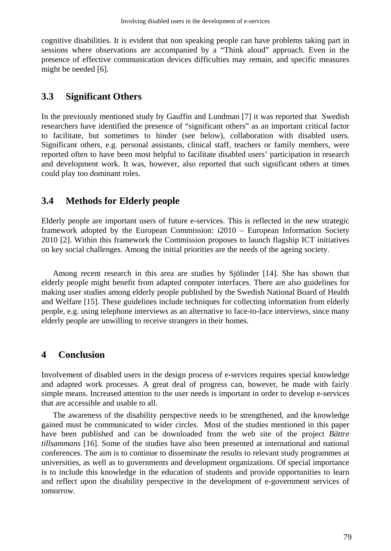cognitive disabilities. It is evident that non speaking people can have problems taking part in sessions where observations are accompanied by a "Think aloud" approach. Even in the presence of effective communication devices difficulties may remain, and specific measures might be needed [6].

#### **3.3 Significant Others**

In the previously mentioned study by Gauffin and Lundman [7] it was reported that Swedish researchers have identified the presence of "significant others" as an important critical factor to facilitate, but sometimes to hinder (see below), collaboration with disabled users. Significant others, e.g. personal assistants, clinical staff, teachers or family members, were reported often to have been most helpful to facilitate disabled users' participation in research and development work. It was, however, also reported that such significant others at times could play too dominant roles.

## **3.4 Methods for Elderly people**

Elderly people are important users of future e-services. This is reflected in the new strategic framework adopted by the European Commission: i2010 – European Information Society 2010 [2]. Within this framework the Commission proposes to launch flagship ICT initiatives on key social challenges. Among the initial priorities are the needs of the ageing society.

Among recent research in this area are studies by Sjölinder [14]. She has shown that elderly people might benefit from adapted computer interfaces. There are also guidelines for making user studies among elderly people published by the Swedish National Board of Health and Welfare [15]. These guidelines include techniques for collecting information from elderly people, e.g. using telephone interviews as an alternative to face-to-face interviews, since many elderly people are unwilling to receive strangers in their homes.

## **4 Conclusion**

Involvement of disabled users in the design process of e-services requires special knowledge and adapted work processes. A great deal of progress can, however, be made with fairly simple means. Increased attention to the user needs is important in order to develop e-services that are accessible and usable to all.

The awareness of the disability perspective needs to be strengthened, and the knowledge gained must be communicated to wider circles. Most of the studies mentioned in this paper have been published and can be downloaded from the web site of the project *Bättre tillsammans* [16]. Some of the studies have also been presented at international and national conferences. The aim is to continue to disseminate the results to relevant study programmes at universities, as well as to governments and development organizations. Of special importance is to include this knowledge in the education of students and provide opportunities to learn and reflect upon the disability perspective in the development of e-government services of tomorrow.